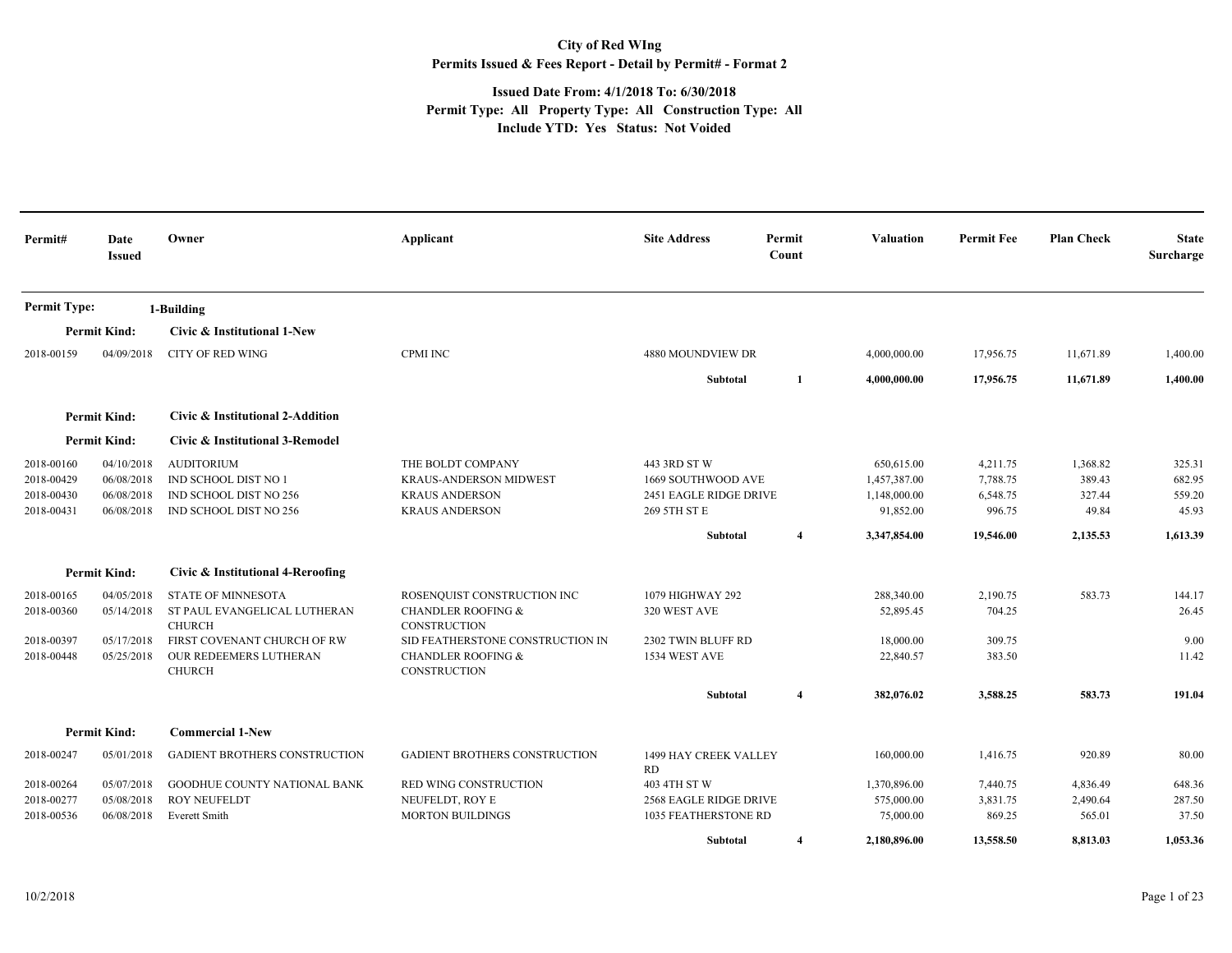## **City of Red WIng Permits Issued & Fees Report - Detail by Permit# - Format 2**

## **Issued Date From: 4/1/2018 To: 6/30/2018 Permit Type: All Property Type: All Construction Type: All Include YTD: Yes Status: Not Voided**

| Permit#                                              | Date<br><b>Issued</b>                                | Owner                                                                                                                                                | Applicant                                                                                                                                                         | <b>Site Address</b>                                                          | Permit<br>Count         | Valuation                                               | <b>Permit Fee</b>                          | <b>Plan Check</b>                     | <b>State</b><br>Surcharge           |
|------------------------------------------------------|------------------------------------------------------|------------------------------------------------------------------------------------------------------------------------------------------------------|-------------------------------------------------------------------------------------------------------------------------------------------------------------------|------------------------------------------------------------------------------|-------------------------|---------------------------------------------------------|--------------------------------------------|---------------------------------------|-------------------------------------|
| <b>Permit Type:</b>                                  |                                                      | 1-Building                                                                                                                                           |                                                                                                                                                                   |                                                                              |                         |                                                         |                                            |                                       |                                     |
|                                                      | <b>Permit Kind:</b>                                  | Civic & Institutional 1-New                                                                                                                          |                                                                                                                                                                   |                                                                              |                         |                                                         |                                            |                                       |                                     |
| 2018-00159                                           | 04/09/2018                                           | <b>CITY OF RED WING</b>                                                                                                                              | <b>CPMI INC</b>                                                                                                                                                   | 4880 MOUNDVIEW DR                                                            |                         | 4,000,000.00                                            | 17,956.75                                  | 11,671.89                             | 1,400.00                            |
|                                                      |                                                      |                                                                                                                                                      |                                                                                                                                                                   | Subtotal                                                                     | 1                       | 4,000,000.00                                            | 17,956.75                                  | 11,671.89                             | 1,400.00                            |
|                                                      | <b>Permit Kind:</b>                                  | Civic & Institutional 2-Addition                                                                                                                     |                                                                                                                                                                   |                                                                              |                         |                                                         |                                            |                                       |                                     |
|                                                      | <b>Permit Kind:</b>                                  | Civic & Institutional 3-Remodel                                                                                                                      |                                                                                                                                                                   |                                                                              |                         |                                                         |                                            |                                       |                                     |
| 2018-00160<br>2018-00429<br>2018-00430<br>2018-00431 | 04/10/2018<br>06/08/2018<br>06/08/2018<br>06/08/2018 | <b>AUDITORIUM</b><br>IND SCHOOL DIST NO 1<br>IND SCHOOL DIST NO 256<br>IND SCHOOL DIST NO 256                                                        | THE BOLDT COMPANY<br><b>KRAUS-ANDERSON MIDWEST</b><br><b>KRAUS ANDERSON</b><br><b>KRAUS ANDERSON</b>                                                              | 443 3RD ST W<br>1669 SOUTHWOOD AVE<br>2451 EAGLE RIDGE DRIVE<br>269 5TH ST E |                         | 650,615.00<br>1,457,387.00<br>1,148,000.00<br>91,852.00 | 4,211.75<br>7,788.75<br>6,548.75<br>996.75 | 1,368.82<br>389.43<br>327.44<br>49.84 | 325.31<br>682.95<br>559.20<br>45.93 |
|                                                      |                                                      |                                                                                                                                                      |                                                                                                                                                                   | Subtotal                                                                     | $\overline{\mathbf{4}}$ | 3,347,854.00                                            | 19,546.00                                  | 2,135.53                              | 1,613.39                            |
|                                                      | <b>Permit Kind:</b>                                  | Civic & Institutional 4-Reroofing                                                                                                                    |                                                                                                                                                                   |                                                                              |                         |                                                         |                                            |                                       |                                     |
| 2018-00165<br>2018-00360<br>2018-00397<br>2018-00448 | 04/05/2018<br>05/14/2018<br>05/17/2018<br>05/25/2018 | <b>STATE OF MINNESOTA</b><br>ST PAUL EVANGELICAL LUTHERAN<br><b>CHURCH</b><br>FIRST COVENANT CHURCH OF RW<br>OUR REDEEMERS LUTHERAN<br><b>CHURCH</b> | ROSENQUIST CONSTRUCTION INC<br><b>CHANDLER ROOFING &amp;</b><br>CONSTRUCTION<br>SID FEATHERSTONE CONSTRUCTION IN<br><b>CHANDLER ROOFING &amp;</b><br>CONSTRUCTION | 1079 HIGHWAY 292<br>320 WEST AVE<br>2302 TWIN BLUFF RD<br>1534 WEST AVE      |                         | 288,340.00<br>52,895.45<br>18,000.00<br>22,840.57       | 2,190.75<br>704.25<br>309.75<br>383.50     | 583.73                                | 144.17<br>26.45<br>9.00<br>11.42    |
|                                                      |                                                      |                                                                                                                                                      |                                                                                                                                                                   | Subtotal                                                                     | $\overline{4}$          | 382,076.02                                              | 3,588.25                                   | 583.73                                | 191.04                              |
|                                                      | <b>Permit Kind:</b>                                  | <b>Commercial 1-New</b>                                                                                                                              |                                                                                                                                                                   |                                                                              |                         |                                                         |                                            |                                       |                                     |
| 2018-00247                                           | 05/01/2018                                           | GADIENT BROTHERS CONSTRUCTION                                                                                                                        | <b>GADIENT BROTHERS CONSTRUCTION</b>                                                                                                                              | 1499 HAY CREEK VALLEY<br>RD                                                  |                         | 160,000.00                                              | 1,416.75                                   | 920.89                                | 80.00                               |
| 2018-00264                                           | 05/07/2018                                           | <b>GOODHUE COUNTY NATIONAL BANK</b>                                                                                                                  | <b>RED WING CONSTRUCTION</b>                                                                                                                                      | 403 4TH ST W                                                                 |                         | 1,370,896.00                                            | 7,440.75                                   | 4,836.49                              | 648.36                              |
| 2018-00277<br>2018-00536                             | 05/08/2018<br>06/08/2018                             | <b>ROY NEUFELDT</b><br><b>Everett Smith</b>                                                                                                          | NEUFELDT, ROY E<br><b>MORTON BUILDINGS</b>                                                                                                                        | 2568 EAGLE RIDGE DRIVE<br><b>1035 FEATHERSTONE RD</b>                        |                         | 575,000.00<br>75,000.00                                 | 3,831.75<br>869.25                         | 2,490.64<br>565.01                    | 287.50<br>37.50                     |
|                                                      |                                                      |                                                                                                                                                      |                                                                                                                                                                   | Subtotal                                                                     | 4                       | 2.180.896.00                                            | 13,558.50                                  | 8,813.03                              | 1,053.36                            |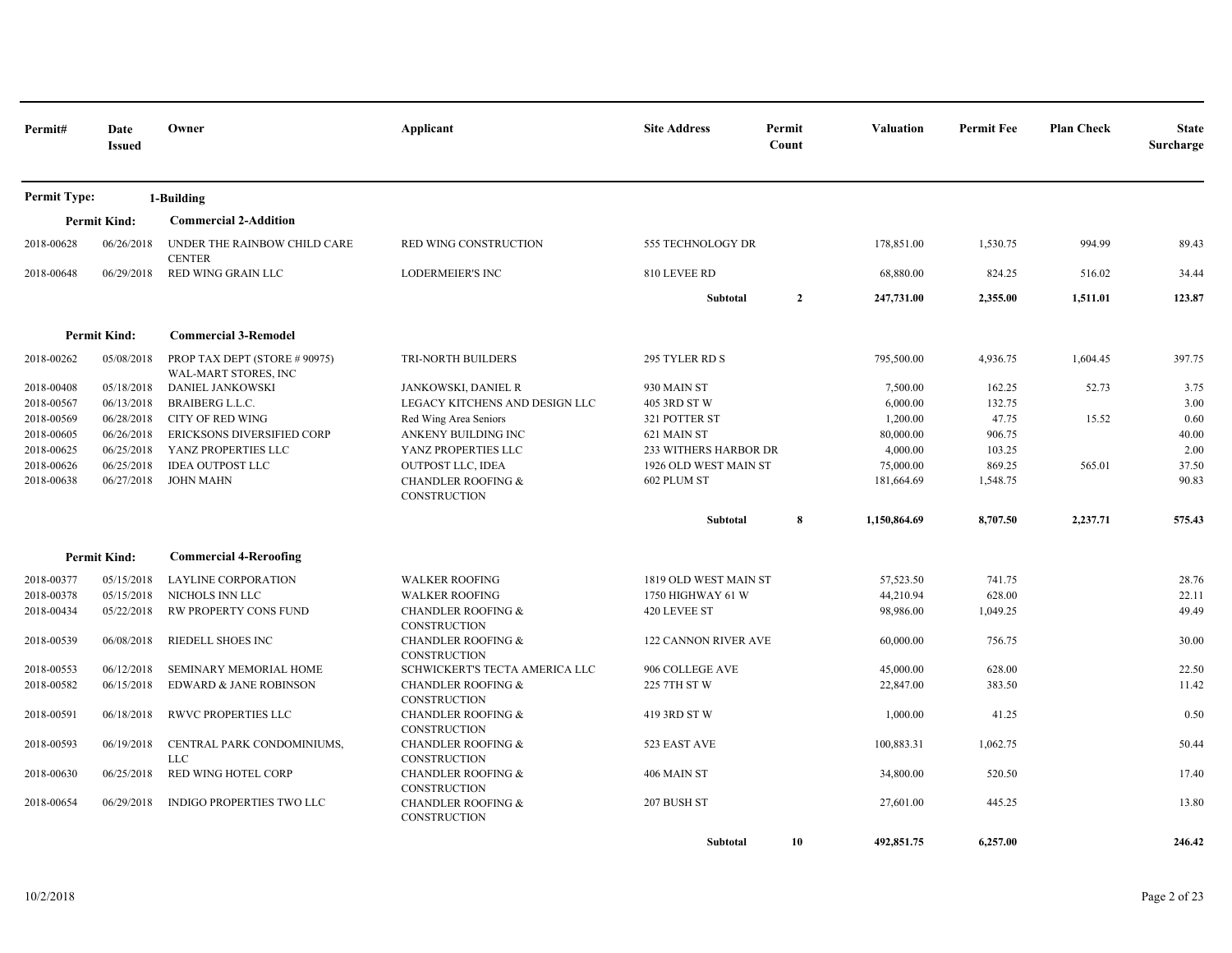| Permit#             | Date<br><b>Issued</b> | Owner                                                 | Applicant                                            | <b>Site Address</b>          | Permit<br>Count | <b>Valuation</b> | <b>Permit Fee</b> | <b>Plan Check</b> | <b>State</b><br>Surcharge |
|---------------------|-----------------------|-------------------------------------------------------|------------------------------------------------------|------------------------------|-----------------|------------------|-------------------|-------------------|---------------------------|
| <b>Permit Type:</b> |                       | 1-Building                                            |                                                      |                              |                 |                  |                   |                   |                           |
|                     | <b>Permit Kind:</b>   | <b>Commercial 2-Addition</b>                          |                                                      |                              |                 |                  |                   |                   |                           |
| 2018-00628          | 06/26/2018            | UNDER THE RAINBOW CHILD CARE<br><b>CENTER</b>         | RED WING CONSTRUCTION                                | 555 TECHNOLOGY DR            |                 | 178,851.00       | 1,530.75          | 994.99            | 89.43                     |
| 2018-00648          | 06/29/2018            | RED WING GRAIN LLC                                    | <b>LODERMEIER'S INC</b>                              | 810 LEVEE RD                 |                 | 68,880.00        | 824.25            | 516.02            | 34.44                     |
|                     |                       |                                                       |                                                      | Subtotal                     | $\overline{2}$  | 247,731.00       | 2,355.00          | 1,511.01          | 123.87                    |
|                     | <b>Permit Kind:</b>   | <b>Commercial 3-Remodel</b>                           |                                                      |                              |                 |                  |                   |                   |                           |
| 2018-00262          | 05/08/2018            | PROP TAX DEPT (STORE # 90975)<br>WAL-MART STORES, INC | TRI-NORTH BUILDERS                                   | 295 TYLER RD S               |                 | 795,500.00       | 4,936.75          | 1,604.45          | 397.75                    |
| 2018-00408          | 05/18/2018            | <b>DANIEL JANKOWSKI</b>                               | JANKOWSKI, DANIEL R                                  | 930 MAIN ST                  |                 | 7,500.00         | 162.25            | 52.73             | 3.75                      |
| 2018-00567          | 06/13/2018            | <b>BRAIBERG L.L.C.</b>                                | LEGACY KITCHENS AND DESIGN LLC                       | 405 3RD ST W                 |                 | 6,000.00         | 132.75            |                   | 3.00                      |
| 2018-00569          | 06/28/2018            | <b>CITY OF RED WING</b>                               | Red Wing Area Seniors                                | 321 POTTER ST                |                 | 1,200.00         | 47.75             | 15.52             | 0.60                      |
| 2018-00605          | 06/26/2018            | ERICKSONS DIVERSIFIED CORP                            | ANKENY BUILDING INC                                  | 621 MAIN ST                  |                 | 80,000.00        | 906.75            |                   | 40.00                     |
| 2018-00625          | 06/25/2018            | YANZ PROPERTIES LLC                                   | YANZ PROPERTIES LLC                                  | <b>233 WITHERS HARBOR DR</b> |                 | 4,000.00         | 103.25            |                   | 2.00                      |
| 2018-00626          | 06/25/2018            | <b>IDEA OUTPOST LLC</b>                               | <b>OUTPOST LLC, IDEA</b>                             | 1926 OLD WEST MAIN ST        |                 | 75,000.00        | 869.25            | 565.01            | 37.50                     |
| 2018-00638          | 06/27/2018            | <b>JOHN MAHN</b>                                      | <b>CHANDLER ROOFING &amp;</b><br>CONSTRUCTION        | 602 PLUM ST                  |                 | 181,664.69       | 1,548.75          |                   | 90.83                     |
|                     |                       |                                                       |                                                      | Subtotal                     | 8               | 1,150,864.69     | 8,707.50          | 2,237.71          | 575.43                    |
|                     | <b>Permit Kind:</b>   | <b>Commercial 4-Reroofing</b>                         |                                                      |                              |                 |                  |                   |                   |                           |
| 2018-00377          | 05/15/2018            | <b>LAYLINE CORPORATION</b>                            | <b>WALKER ROOFING</b>                                | 1819 OLD WEST MAIN ST        |                 | 57,523.50        | 741.75            |                   | 28.76                     |
| 2018-00378          | 05/15/2018            | NICHOLS INN LLC                                       | <b>WALKER ROOFING</b>                                | 1750 HIGHWAY 61 W            |                 | 44,210.94        | 628.00            |                   | 22.11                     |
| 2018-00434          | 05/22/2018            | RW PROPERTY CONS FUND                                 | <b>CHANDLER ROOFING &amp;</b><br><b>CONSTRUCTION</b> | 420 LEVEE ST                 |                 | 98,986.00        | 1,049.25          |                   | 49.49                     |
| 2018-00539          | 06/08/2018            | RIEDELL SHOES INC                                     | <b>CHANDLER ROOFING &amp;</b><br><b>CONSTRUCTION</b> | <b>122 CANNON RIVER AVE</b>  |                 | 60,000.00        | 756.75            |                   | 30.00                     |
| 2018-00553          | 06/12/2018            | <b>SEMINARY MEMORIAL HOME</b>                         | SCHWICKERT'S TECTA AMERICA LLC                       | 906 COLLEGE AVE              |                 | 45,000.00        | 628.00            |                   | 22.50                     |
| 2018-00582          | 06/15/2018            | EDWARD & JANE ROBINSON                                | <b>CHANDLER ROOFING &amp;</b><br><b>CONSTRUCTION</b> | 225 7TH ST W                 |                 | 22,847.00        | 383.50            |                   | 11.42                     |
| 2018-00591          | 06/18/2018            | <b>RWVC PROPERTIES LLC</b>                            | <b>CHANDLER ROOFING &amp;</b><br><b>CONSTRUCTION</b> | 419 3RD ST W                 |                 | 1,000.00         | 41.25             |                   | 0.50                      |
| 2018-00593          | 06/19/2018            | CENTRAL PARK CONDOMINIUMS,<br><b>LLC</b>              | CHANDLER ROOFING &<br><b>CONSTRUCTION</b>            | 523 EAST AVE                 |                 | 100,883.31       | 1,062.75          |                   | 50.44                     |
| 2018-00630          | 06/25/2018            | RED WING HOTEL CORP                                   | <b>CHANDLER ROOFING &amp;</b><br><b>CONSTRUCTION</b> | 406 MAIN ST                  |                 | 34,800.00        | 520.50            |                   | 17.40                     |
| 2018-00654          | 06/29/2018            | <b>INDIGO PROPERTIES TWO LLC</b>                      | <b>CHANDLER ROOFING &amp;</b><br>CONSTRUCTION        | 207 BUSH ST                  |                 | 27,601.00        | 445.25            |                   | 13.80                     |
|                     |                       |                                                       |                                                      | Subtotal                     | 10              | 492,851.75       | 6.257.00          |                   | 246.42                    |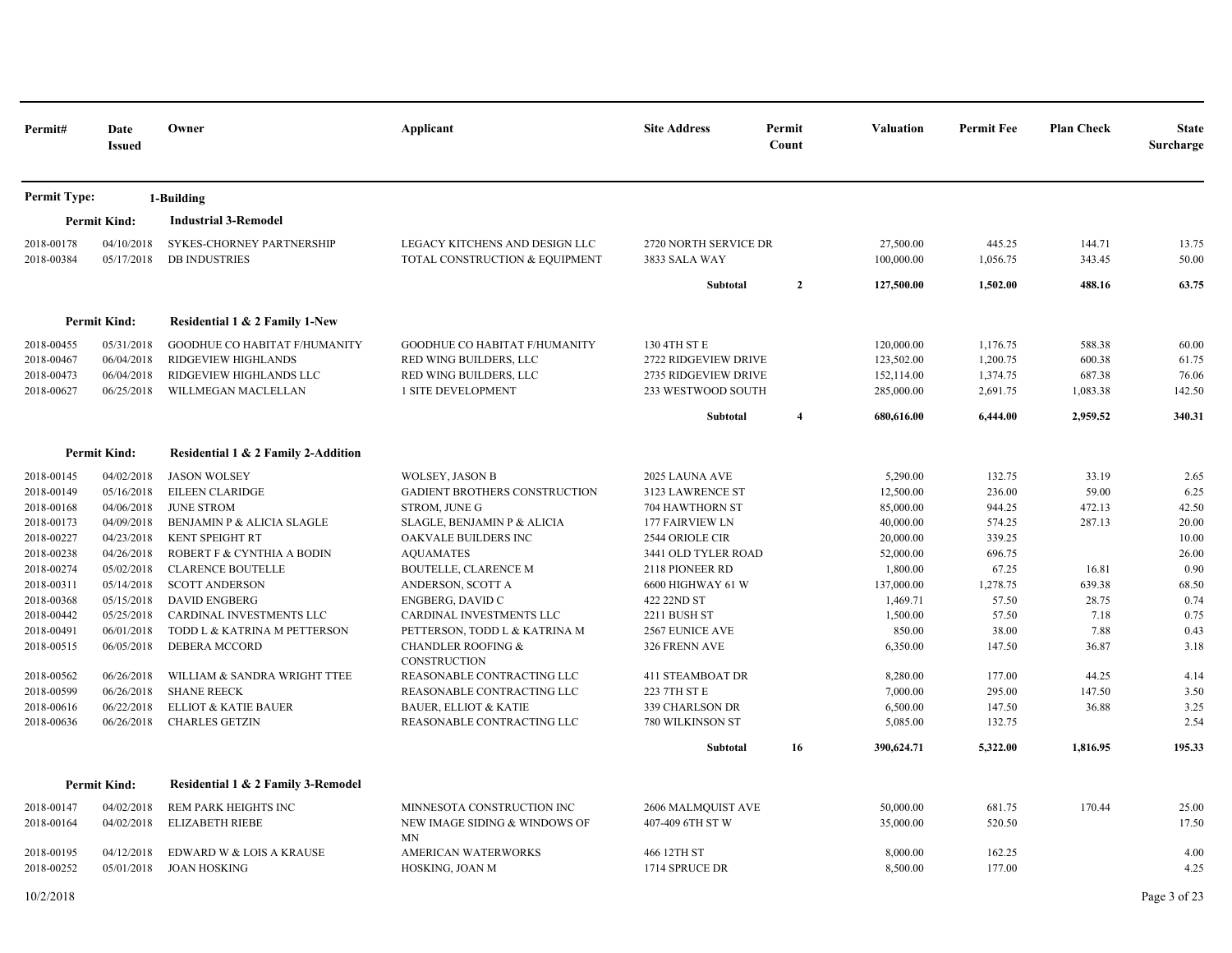| Permit#             | Date<br><b>Issued</b> | Owner                               | Applicant                                            | <b>Site Address</b>     | Permit<br>Count | <b>Valuation</b> | <b>Permit Fee</b> | <b>Plan Check</b> | <b>State</b><br>Surcharge |
|---------------------|-----------------------|-------------------------------------|------------------------------------------------------|-------------------------|-----------------|------------------|-------------------|-------------------|---------------------------|
| <b>Permit Type:</b> |                       | 1-Building                          |                                                      |                         |                 |                  |                   |                   |                           |
|                     | <b>Permit Kind:</b>   | <b>Industrial 3-Remodel</b>         |                                                      |                         |                 |                  |                   |                   |                           |
| 2018-00178          | 04/10/2018            | <b>SYKES-CHORNEY PARTNERSHIP</b>    | LEGACY KITCHENS AND DESIGN LLC                       | 2720 NORTH SERVICE DR   |                 | 27,500.00        | 445.25            | 144.71            | 13.75                     |
| 2018-00384          | 05/17/2018            | <b>DB INDUSTRIES</b>                | TOTAL CONSTRUCTION & EQUIPMENT                       | 3833 SALA WAY           |                 | 100,000.00       | 1,056.75          | 343.45            | 50.00                     |
|                     |                       |                                     |                                                      | Subtotal                | $\overline{2}$  | 127,500.00       | 1,502.00          | 488.16            | 63.75                     |
|                     | <b>Permit Kind:</b>   | Residential 1 & 2 Family 1-New      |                                                      |                         |                 |                  |                   |                   |                           |
| 2018-00455          | 05/31/2018            | GOODHUE CO HABITAT F/HUMANITY       | GOODHUE CO HABITAT F/HUMANITY                        | 130 4TH ST E            |                 | 120,000.00       | 1,176.75          | 588.38            | 60.00                     |
| 2018-00467          | 06/04/2018            | RIDGEVIEW HIGHLANDS                 | RED WING BUILDERS, LLC                               | 2722 RIDGEVIEW DRIVE    |                 | 123,502.00       | 1,200.75          | 600.38            | 61.75                     |
| 2018-00473          | 06/04/2018            | RIDGEVIEW HIGHLANDS LLC             | RED WING BUILDERS, LLC                               | 2735 RIDGEVIEW DRIVE    |                 | 152,114.00       | 1,374.75          | 687.38            | 76.06                     |
| 2018-00627          | 06/25/2018            | WILLMEGAN MACLELLAN                 | 1 SITE DEVELOPMENT                                   | 233 WESTWOOD SOUTH      |                 | 285,000.00       | 2,691.75          | 1,083.38          | 142.50                    |
|                     |                       |                                     |                                                      | Subtotal                | $\overline{4}$  | 680,616.00       | 6,444.00          | 2,959.52          | 340.31                    |
|                     | <b>Permit Kind:</b>   | Residential 1 & 2 Family 2-Addition |                                                      |                         |                 |                  |                   |                   |                           |
| 2018-00145          | 04/02/2018            | <b>JASON WOLSEY</b>                 | <b>WOLSEY, JASON B</b>                               | 2025 LAUNA AVE          |                 | 5,290.00         | 132.75            | 33.19             | 2.65                      |
| 2018-00149          | 05/16/2018            | EILEEN CLARIDGE                     | GADIENT BROTHERS CONSTRUCTION                        | 3123 LAWRENCE ST        |                 | 12,500.00        | 236.00            | 59.00             | 6.25                      |
| 2018-00168          | 04/06/2018            | <b>JUNE STROM</b>                   | STROM, JUNE G                                        | 704 HAWTHORN ST         |                 | 85,000.00        | 944.25            | 472.13            | 42.50                     |
| 2018-00173          | 04/09/2018            | BENJAMIN P & ALICIA SLAGLE          | SLAGLE, BENJAMIN P & ALICIA                          | <b>177 FAIRVIEW LN</b>  |                 | 40,000.00        | 574.25            | 287.13            | 20.00                     |
| 2018-00227          | 04/23/2018            | <b>KENT SPEIGHT RT</b>              | OAKVALE BUILDERS INC                                 | 2544 ORIOLE CIR         |                 | 20,000.00        | 339.25            |                   | 10.00                     |
| 2018-00238          | 04/26/2018            | ROBERT F & CYNTHIA A BODIN          | <b>AQUAMATES</b>                                     | 3441 OLD TYLER ROAD     |                 | 52,000.00        | 696.75            |                   | 26.00                     |
| 2018-00274          | 05/02/2018            | <b>CLARENCE BOUTELLE</b>            | <b>BOUTELLE, CLARENCE M</b>                          | 2118 PIONEER RD         |                 | 1,800.00         | 67.25             | 16.81             | 0.90                      |
| 2018-00311          | 05/14/2018            | <b>SCOTT ANDERSON</b>               | ANDERSON, SCOTT A                                    | 6600 HIGHWAY 61 W       |                 | 137,000.00       | 1,278.75          | 639.38            | 68.50                     |
| 2018-00368          | 05/15/2018            | <b>DAVID ENGBERG</b>                | ENGBERG, DAVID C                                     | 422 22ND ST             |                 | 1,469.71         | 57.50             | 28.75             | 0.74                      |
| 2018-00442          | 05/25/2018            | CARDINAL INVESTMENTS LLC            | CARDINAL INVESTMENTS LLC                             | 2211 BUSH ST            |                 | 1,500.00         | 57.50             | 7.18              | 0.75                      |
| 2018-00491          | 06/01/2018            | TODD L & KATRINA M PETTERSON        | PETTERSON, TODD L & KATRINA M                        | <b>2567 EUNICE AVE</b>  |                 | 850.00           | 38.00             | 7.88              | 0.43                      |
| 2018-00515          | 06/05/2018            | DEBERA MCCORD                       | <b>CHANDLER ROOFING &amp;</b><br><b>CONSTRUCTION</b> | 326 FRENN AVE           |                 | 6,350.00         | 147.50            | 36.87             | 3.18                      |
| 2018-00562          | 06/26/2018            | WILLIAM & SANDRA WRIGHT TTEE        | REASONABLE CONTRACTING LLC                           | <b>411 STEAMBOAT DR</b> |                 | 8,280.00         | 177.00            | 44.25             | 4.14                      |
| 2018-00599          | 06/26/2018            | <b>SHANE REECK</b>                  | REASONABLE CONTRACTING LLC                           | 223 7TH ST E            |                 | 7,000.00         | 295.00            | 147.50            | 3.50                      |
| 2018-00616          | 06/22/2018            | ELLIOT & KATIE BAUER                | <b>BAUER, ELLIOT &amp; KATIE</b>                     | 339 CHARLSON DR         |                 | 6,500.00         | 147.50            | 36.88             | 3.25                      |
| 2018-00636          | 06/26/2018            | <b>CHARLES GETZIN</b>               | REASONABLE CONTRACTING LLC                           | 780 WILKINSON ST        |                 | 5,085.00         | 132.75            |                   | 2.54                      |
|                     |                       |                                     |                                                      | Subtotal                | 16              | 390,624.71       | 5,322.00          | 1,816.95          | 195.33                    |
|                     | <b>Permit Kind:</b>   | Residential 1 & 2 Family 3-Remodel  |                                                      |                         |                 |                  |                   |                   |                           |
| 2018-00147          | 04/02/2018            | REM PARK HEIGHTS INC                | MINNESOTA CONSTRUCTION INC                           | 2606 MALMQUIST AVE      |                 | 50,000.00        | 681.75            | 170.44            | 25.00                     |
| 2018-00164          | 04/02/2018            | <b>ELIZABETH RIEBE</b>              | NEW IMAGE SIDING & WINDOWS OF                        | 407-409 6TH ST W        |                 | 35,000.00        | 520.50            |                   | 17.50                     |
| 2018-00195          | 04/12/2018            | EDWARD W & LOIS A KRAUSE            | MN<br><b>AMERICAN WATERWORKS</b>                     | 466 12TH ST             |                 | 8,000.00         | 162.25            |                   | 4.00                      |
| 2018-00252          | 05/01/2018            | JOAN HOSKING                        | HOSKING, JOAN M                                      | 1714 SPRUCE DR          |                 | 8,500.00         | 177.00            |                   | 4.25                      |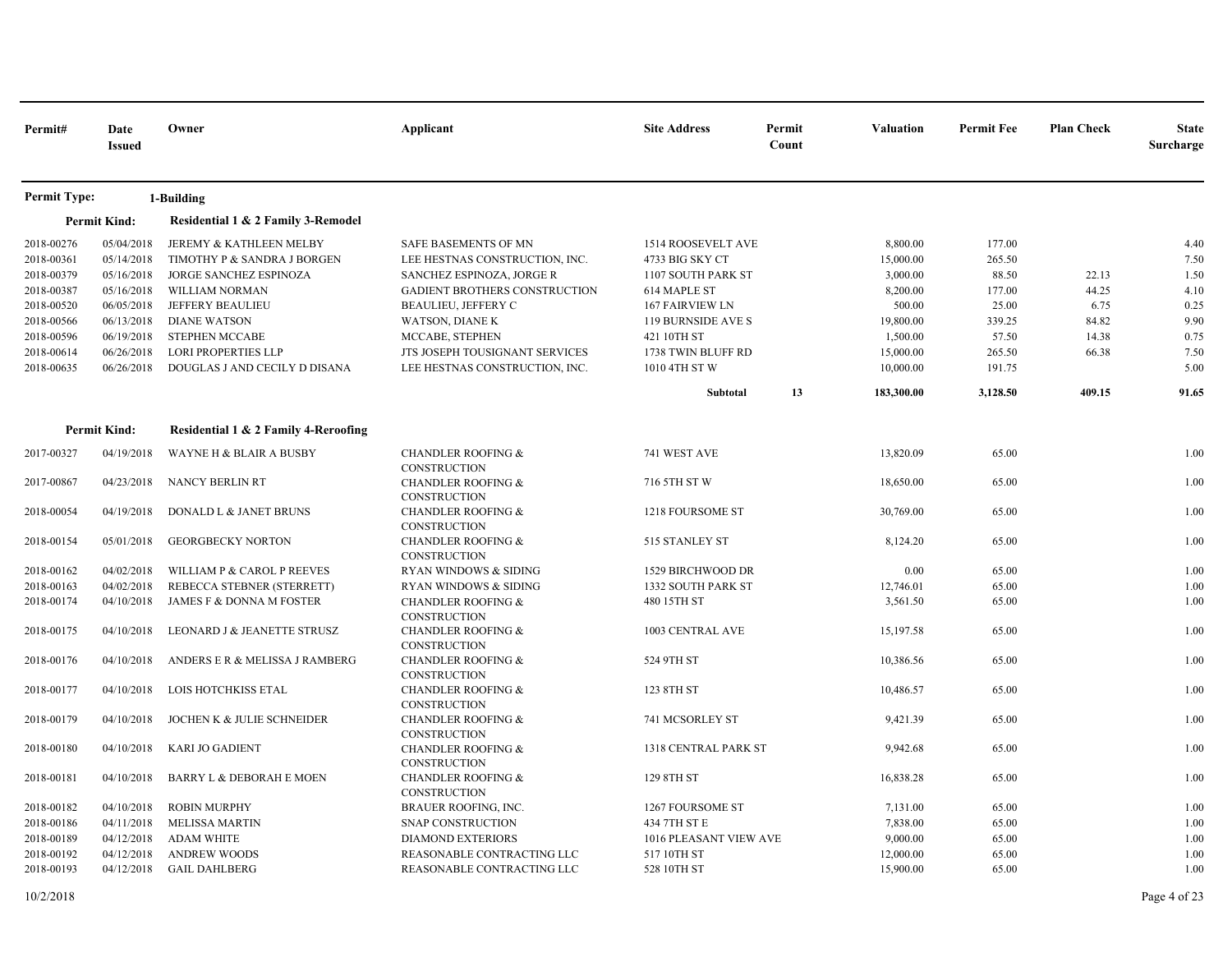| Permit#             | Date<br><b>Issued</b> | Owner                                | Applicant                                            | <b>Site Address</b>    | Permit<br>Count | Valuation  | <b>Permit Fee</b> | <b>Plan Check</b> | <b>State</b><br>Surcharge |
|---------------------|-----------------------|--------------------------------------|------------------------------------------------------|------------------------|-----------------|------------|-------------------|-------------------|---------------------------|
| <b>Permit Type:</b> |                       | 1-Building                           |                                                      |                        |                 |            |                   |                   |                           |
|                     | <b>Permit Kind:</b>   | Residential 1 & 2 Family 3-Remodel   |                                                      |                        |                 |            |                   |                   |                           |
| 2018-00276          | 05/04/2018            | JEREMY & KATHLEEN MELBY              | <b>SAFE BASEMENTS OF MN</b>                          | 1514 ROOSEVELT AVE     |                 | 8,800.00   | 177.00            |                   | 4.40                      |
| 2018-00361          | 05/14/2018            | TIMOTHY P & SANDRA J BORGEN          | LEE HESTNAS CONSTRUCTION, INC.                       | 4733 BIG SKY CT        |                 | 15,000.00  | 265.50            |                   | 7.50                      |
| 2018-00379          | 05/16/2018            | JORGE SANCHEZ ESPINOZA               | SANCHEZ ESPINOZA, JORGE R                            | 1107 SOUTH PARK ST     |                 | 3,000.00   | 88.50             | 22.13             | 1.50                      |
| 2018-00387          | 05/16/2018            | WILLIAM NORMAN                       | <b>GADIENT BROTHERS CONSTRUCTION</b>                 | 614 MAPLE ST           |                 | 8,200.00   | 177.00            | 44.25             | 4.10                      |
| 2018-00520          | 06/05/2018            | <b>JEFFERY BEAULIEU</b>              | <b>BEAULIEU, JEFFERY C</b>                           | <b>167 FAIRVIEW LN</b> |                 | 500.00     | 25.00             | 6.75              | 0.25                      |
| 2018-00566          | 06/13/2018            | <b>DIANE WATSON</b>                  | <b>WATSON, DIANE K</b>                               | 119 BURNSIDE AVE S     |                 | 19,800.00  | 339.25            | 84.82             | 9.90                      |
| 2018-00596          | 06/19/2018            | <b>STEPHEN MCCABE</b>                | MCCABE, STEPHEN                                      | 421 10TH ST            |                 | 1,500.00   | 57.50             | 14.38             | 0.75                      |
| 2018-00614          | 06/26/2018            | <b>LORI PROPERTIES LLP</b>           | JTS JOSEPH TOUSIGNANT SERVICES                       | 1738 TWIN BLUFF RD     |                 | 15,000.00  | 265.50            | 66.38             | 7.50                      |
| 2018-00635          | 06/26/2018            | DOUGLAS J AND CECILY D DISANA        | LEE HESTNAS CONSTRUCTION, INC.                       | 1010 4TH ST W          |                 | 10,000.00  | 191.75            |                   | 5.00                      |
|                     |                       |                                      |                                                      | Subtotal               | 13              | 183,300.00 | 3,128.50          | 409.15            | 91.65                     |
|                     | <b>Permit Kind:</b>   | Residential 1 & 2 Family 4-Reroofing |                                                      |                        |                 |            |                   |                   |                           |
| 2017-00327          | 04/19/2018            | WAYNE H & BLAIR A BUSBY              | <b>CHANDLER ROOFING &amp;</b><br>CONSTRUCTION        | 741 WEST AVE           |                 | 13,820.09  | 65.00             |                   | 1.00                      |
| 2017-00867          | 04/23/2018            | NANCY BERLIN RT                      | <b>CHANDLER ROOFING &amp;</b><br><b>CONSTRUCTION</b> | 716 5TH ST W           |                 | 18,650.00  | 65.00             |                   | 1.00                      |
| 2018-00054          | 04/19/2018            | DONALD L & JANET BRUNS               | <b>CHANDLER ROOFING &amp;</b><br><b>CONSTRUCTION</b> | 1218 FOURSOME ST       |                 | 30,769.00  | 65.00             |                   | 1.00                      |
| 2018-00154          | 05/01/2018            | <b>GEORGBECKY NORTON</b>             | <b>CHANDLER ROOFING &amp;</b><br>CONSTRUCTION        | 515 STANLEY ST         |                 | 8,124.20   | 65.00             |                   | 1.00                      |
| 2018-00162          | 04/02/2018            | WILLIAM P & CAROL P REEVES           | RYAN WINDOWS & SIDING                                | 1529 BIRCHWOOD DR      |                 | 0.00       | 65.00             |                   | 1.00                      |
| 2018-00163          | 04/02/2018            | REBECCA STEBNER (STERRETT)           | <b>RYAN WINDOWS &amp; SIDING</b>                     | 1332 SOUTH PARK ST     |                 | 12,746.01  | 65.00             |                   | 1.00                      |
| 2018-00174          | 04/10/2018            | JAMES F & DONNA M FOSTER             | <b>CHANDLER ROOFING &amp;</b><br>CONSTRUCTION        | 480 15TH ST            |                 | 3,561.50   | 65.00             |                   | 1.00                      |
| 2018-00175          | 04/10/2018            | LEONARD J & JEANETTE STRUSZ          | <b>CHANDLER ROOFING &amp;</b><br>CONSTRUCTION        | 1003 CENTRAL AVE       |                 | 15,197.58  | 65.00             |                   | 1.00                      |
| 2018-00176          | 04/10/2018            | ANDERS E R & MELISSA J RAMBERG       | <b>CHANDLER ROOFING &amp;</b><br><b>CONSTRUCTION</b> | 524 9TH ST             |                 | 10,386.56  | 65.00             |                   | 1.00                      |
| 2018-00177          | 04/10/2018            | LOIS HOTCHKISS ETAL                  | <b>CHANDLER ROOFING &amp;</b><br>CONSTRUCTION        | 123 8TH ST             |                 | 10,486.57  | 65.00             |                   | 1.00                      |
| 2018-00179          | 04/10/2018            | JOCHEN K & JULIE SCHNEIDER           | <b>CHANDLER ROOFING &amp;</b><br>CONSTRUCTION        | 741 MCSORLEY ST        |                 | 9,421.39   | 65.00             |                   | 1.00                      |
| 2018-00180          | 04/10/2018            | <b>KARI JO GADIENT</b>               | <b>CHANDLER ROOFING &amp;</b><br>CONSTRUCTION        | 1318 CENTRAL PARK ST   |                 | 9,942.68   | 65.00             |                   | 1.00                      |
| 2018-00181          | 04/10/2018            | BARRY L & DEBORAH E MOEN             | <b>CHANDLER ROOFING &amp;</b><br>CONSTRUCTION        | 129 8TH ST             |                 | 16,838.28  | 65.00             |                   | 1.00                      |
| 2018-00182          | 04/10/2018            | <b>ROBIN MURPHY</b>                  | <b>BRAUER ROOFING, INC.</b>                          | 1267 FOURSOME ST       |                 | 7,131.00   | 65.00             |                   | 1.00                      |
| 2018-00186          | 04/11/2018            | <b>MELISSA MARTIN</b>                | <b>SNAP CONSTRUCTION</b>                             | 434 7TH ST E           |                 | 7,838.00   | 65.00             |                   | 1.00                      |
| 2018-00189          | 04/12/2018            | <b>ADAM WHITE</b>                    | <b>DIAMOND EXTERIORS</b>                             | 1016 PLEASANT VIEW AVE |                 | 9,000.00   | 65.00             |                   | 1.00                      |
| 2018-00192          | 04/12/2018            | <b>ANDREW WOODS</b>                  | REASONABLE CONTRACTING LLC                           | 517 10TH ST            |                 | 12,000.00  | 65.00             |                   | 1.00                      |
| 2018-00193          | 04/12/2018            | <b>GAIL DAHLBERG</b>                 | REASONABLE CONTRACTING LLC                           | 528 10TH ST            |                 | 15,900.00  | 65.00             |                   | 1.00                      |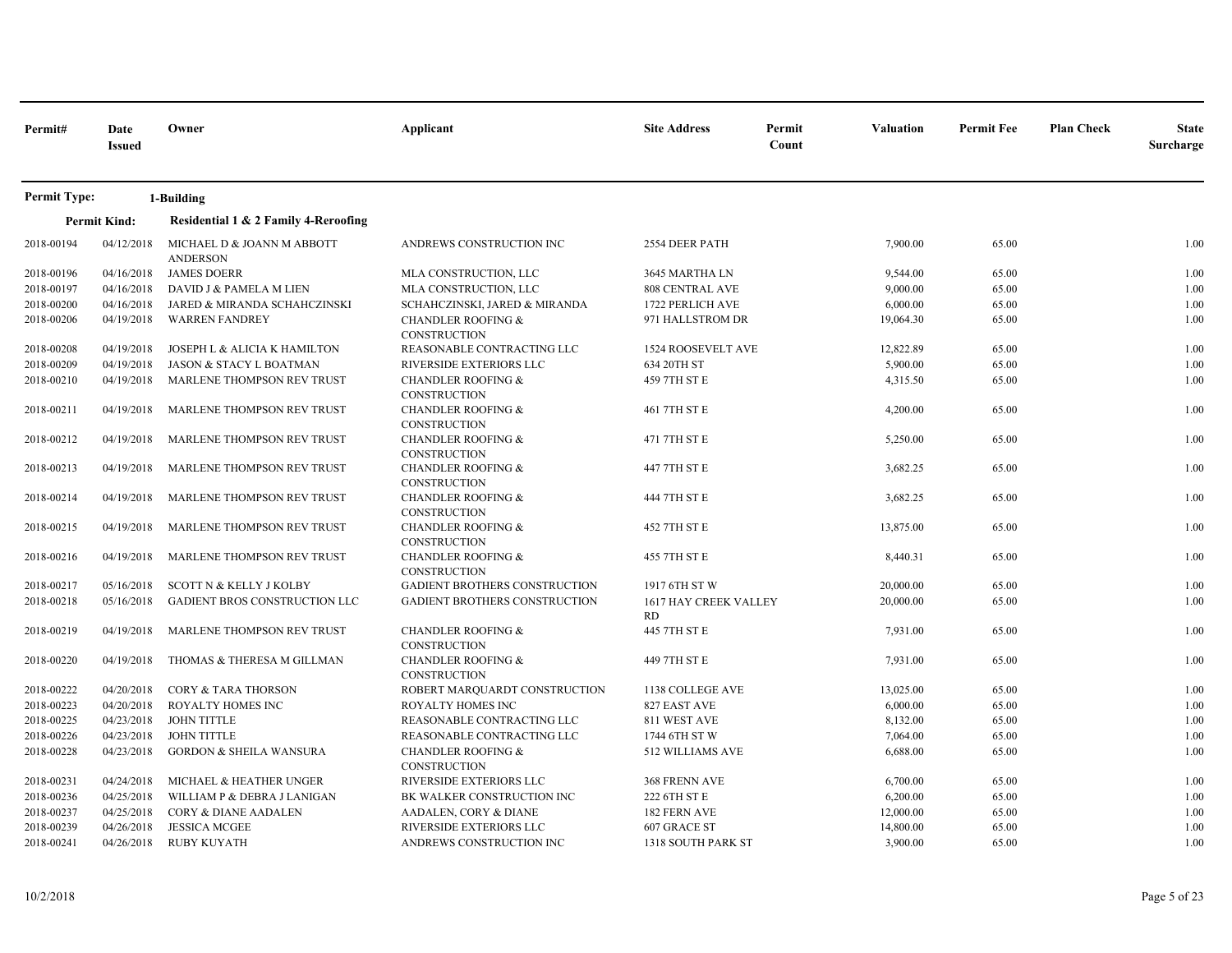| Permit#             | Date<br><b>Issued</b> | Owner                                         | Applicant                                            | <b>Site Address</b>                | Permit<br>Count | Valuation | <b>Permit Fee</b> | <b>Plan Check</b> | <b>State</b><br>Surcharge |
|---------------------|-----------------------|-----------------------------------------------|------------------------------------------------------|------------------------------------|-----------------|-----------|-------------------|-------------------|---------------------------|
| <b>Permit Type:</b> |                       | 1-Building                                    |                                                      |                                    |                 |           |                   |                   |                           |
|                     | <b>Permit Kind:</b>   | Residential 1 & 2 Family 4-Reroofing          |                                                      |                                    |                 |           |                   |                   |                           |
| 2018-00194          | 04/12/2018            | MICHAEL D & JOANN M ABBOTT<br><b>ANDERSON</b> | ANDREWS CONSTRUCTION INC                             | 2554 DEER PATH                     |                 | 7,900.00  | 65.00             |                   | 1.00                      |
| 2018-00196          | 04/16/2018            | <b>JAMES DOERR</b>                            | MLA CONSTRUCTION, LLC                                | 3645 MARTHA LN                     |                 | 9,544.00  | 65.00             |                   | 1.00                      |
| 2018-00197          | 04/16/2018            | DAVID J & PAMELA M LIEN                       | MLA CONSTRUCTION, LLC                                | 808 CENTRAL AVE                    |                 | 9,000.00  | 65.00             |                   | 1.00                      |
| 2018-00200          | 04/16/2018            | JARED & MIRANDA SCHAHCZINSKI                  | SCHAHCZINSKI, JARED & MIRANDA                        | 1722 PERLICH AVE                   |                 | 6,000.00  | 65.00             |                   | 1.00                      |
| 2018-00206          | 04/19/2018            | <b>WARREN FANDREY</b>                         | <b>CHANDLER ROOFING &amp;</b><br>CONSTRUCTION        | 971 HALLSTROM DR                   |                 | 19,064.30 | 65.00             |                   | 1.00                      |
| 2018-00208          | 04/19/2018            | JOSEPH L & ALICIA K HAMILTON                  | REASONABLE CONTRACTING LLC                           | 1524 ROOSEVELT AVE                 |                 | 12,822.89 | 65.00             |                   | 1.00                      |
| 2018-00209          | 04/19/2018            | JASON & STACY L BOATMAN                       | RIVERSIDE EXTERIORS LLC                              | 634 20TH ST                        |                 | 5,900.00  | 65.00             |                   | 1.00                      |
| 2018-00210          | 04/19/2018            | MARLENE THOMPSON REV TRUST                    | <b>CHANDLER ROOFING &amp;</b><br><b>CONSTRUCTION</b> | 459 7TH ST E                       |                 | 4,315.50  | 65.00             |                   | 1.00                      |
| 2018-00211          | 04/19/2018            | MARLENE THOMPSON REV TRUST                    | <b>CHANDLER ROOFING &amp;</b><br><b>CONSTRUCTION</b> | 461 7TH ST E                       |                 | 4,200.00  | 65.00             |                   | 1.00                      |
| 2018-00212          | 04/19/2018            | MARLENE THOMPSON REV TRUST                    | <b>CHANDLER ROOFING &amp;</b><br><b>CONSTRUCTION</b> | 471 7TH ST E                       |                 | 5,250.00  | 65.00             |                   | 1.00                      |
| 2018-00213          | 04/19/2018            | MARLENE THOMPSON REV TRUST                    | <b>CHANDLER ROOFING &amp;</b><br>CONSTRUCTION        | 447 7TH ST E                       |                 | 3,682.25  | 65.00             |                   | 1.00                      |
| 2018-00214          | 04/19/2018            | MARLENE THOMPSON REV TRUST                    | <b>CHANDLER ROOFING &amp;</b><br><b>CONSTRUCTION</b> | 444 7TH ST E                       |                 | 3,682.25  | 65.00             |                   | 1.00                      |
| 2018-00215          | 04/19/2018            | MARLENE THOMPSON REV TRUST                    | <b>CHANDLER ROOFING &amp;</b><br><b>CONSTRUCTION</b> | 452 7TH ST E                       |                 | 13,875.00 | 65.00             |                   | 1.00                      |
| 2018-00216          | 04/19/2018            | MARLENE THOMPSON REV TRUST                    | <b>CHANDLER ROOFING &amp;</b><br><b>CONSTRUCTION</b> | 455 7TH ST E                       |                 | 8,440.31  | 65.00             |                   | 1.00                      |
| 2018-00217          | 05/16/2018            | SCOTT N & KELLY J KOLBY                       | GADIENT BROTHERS CONSTRUCTION                        | 1917 6TH ST W                      |                 | 20,000.00 | 65.00             |                   | 1.00                      |
| 2018-00218          | 05/16/2018            | GADIENT BROS CONSTRUCTION LLC                 | <b>GADIENT BROTHERS CONSTRUCTION</b>                 | 1617 HAY CREEK VALLEY<br><b>RD</b> |                 | 20,000.00 | 65.00             |                   | 1.00                      |
| 2018-00219          | 04/19/2018            | MARLENE THOMPSON REV TRUST                    | <b>CHANDLER ROOFING &amp;</b><br><b>CONSTRUCTION</b> | 445 7TH ST E                       |                 | 7,931.00  | 65.00             |                   | 1.00                      |
| 2018-00220          | 04/19/2018            | THOMAS & THERESA M GILLMAN                    | <b>CHANDLER ROOFING &amp;</b><br><b>CONSTRUCTION</b> | 449 7TH ST E                       |                 | 7,931.00  | 65.00             |                   | 1.00                      |
| 2018-00222          | 04/20/2018            | <b>CORY &amp; TARA THORSON</b>                | ROBERT MARQUARDT CONSTRUCTION                        | 1138 COLLEGE AVE                   |                 | 13,025.00 | 65.00             |                   | 1.00                      |
| 2018-00223          | 04/20/2018            | ROYALTY HOMES INC                             | ROYALTY HOMES INC                                    | 827 EAST AVE                       |                 | 6,000.00  | 65.00             |                   | 1.00                      |
| 2018-00225          | 04/23/2018            | <b>JOHN TITTLE</b>                            | REASONABLE CONTRACTING LLC                           | 811 WEST AVE                       |                 | 8,132.00  | 65.00             |                   | 1.00                      |
| 2018-00226          | 04/23/2018            | <b>JOHN TITTLE</b>                            | REASONABLE CONTRACTING LLC                           | 1744 6TH ST W                      |                 | 7,064.00  | 65.00             |                   | 1.00                      |
| 2018-00228          | 04/23/2018            | <b>GORDON &amp; SHEILA WANSURA</b>            | <b>CHANDLER ROOFING &amp;</b><br><b>CONSTRUCTION</b> | 512 WILLIAMS AVE                   |                 | 6,688.00  | 65.00             |                   | 1.00                      |
| 2018-00231          | 04/24/2018            | MICHAEL & HEATHER UNGER                       | RIVERSIDE EXTERIORS LLC                              | 368 FRENN AVE                      |                 | 6,700.00  | 65.00             |                   | 1.00                      |
| 2018-00236          | 04/25/2018            | WILLIAM P & DEBRA J LANIGAN                   | BK WALKER CONSTRUCTION INC                           | 222 6TH ST E                       |                 | 6,200.00  | 65.00             |                   | 1.00                      |
| 2018-00237          | 04/25/2018            | CORY & DIANE AADALEN                          | AADALEN, CORY & DIANE                                | 182 FERN AVE                       |                 | 12,000.00 | 65.00             |                   | 1.00                      |
| 2018-00239          | 04/26/2018            | <b>JESSICA MCGEE</b>                          | RIVERSIDE EXTERIORS LLC                              | 607 GRACE ST                       |                 | 14,800.00 | 65.00             |                   | 1.00                      |
| 2018-00241          | 04/26/2018            | <b>RUBY KUYATH</b>                            | ANDREWS CONSTRUCTION INC                             | 1318 SOUTH PARK ST                 |                 | 3,900.00  | 65.00             |                   | 1.00                      |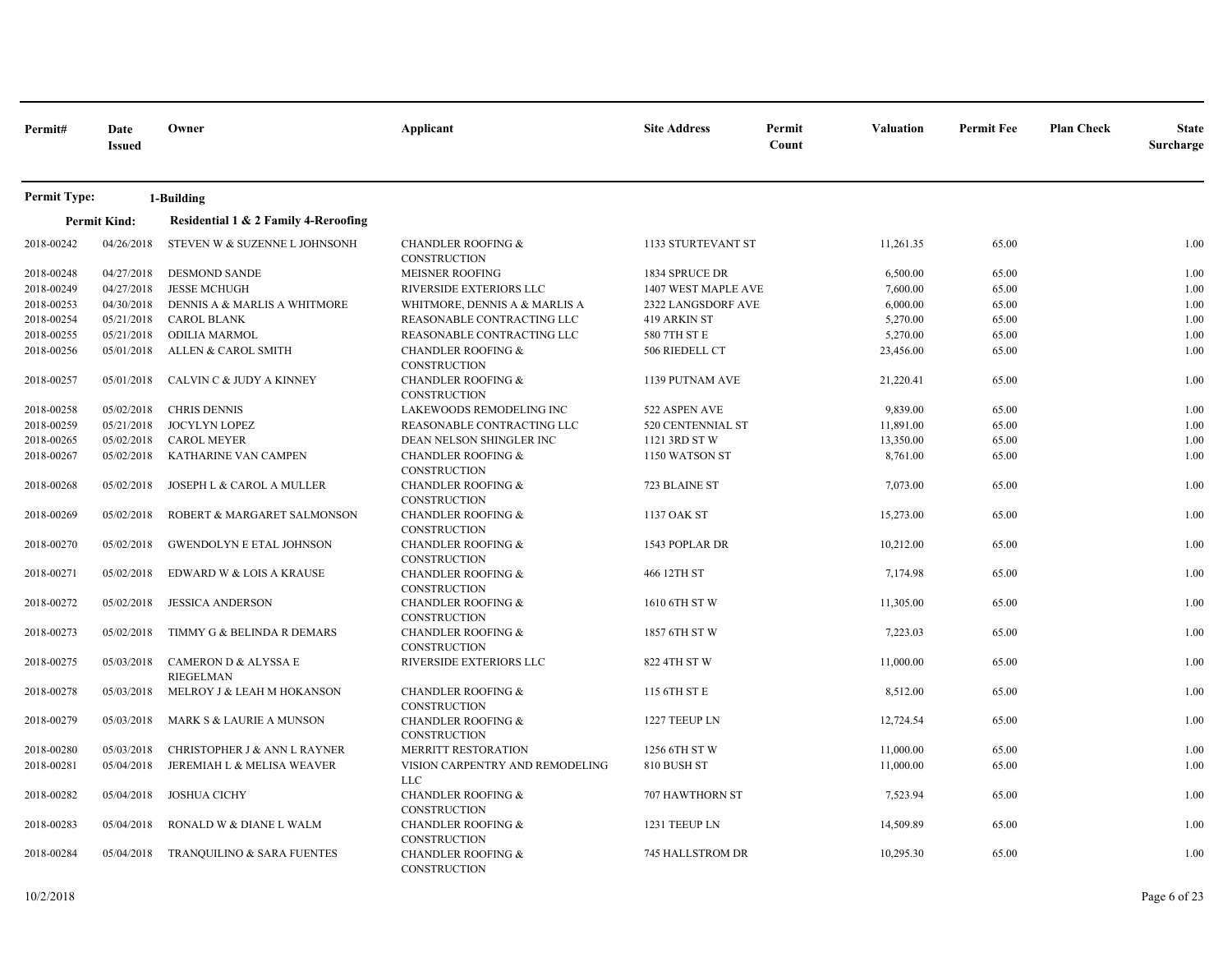| Permit#             | Date<br><b>Issued</b> | Owner                                    | Applicant                                            | <b>Site Address</b>     | Permit<br>Count | <b>Valuation</b> | <b>Permit Fee</b> | <b>Plan Check</b> | <b>State</b><br>Surcharge |
|---------------------|-----------------------|------------------------------------------|------------------------------------------------------|-------------------------|-----------------|------------------|-------------------|-------------------|---------------------------|
| <b>Permit Type:</b> |                       | 1-Building                               |                                                      |                         |                 |                  |                   |                   |                           |
|                     | <b>Permit Kind:</b>   | Residential 1 & 2 Family 4-Reroofing     |                                                      |                         |                 |                  |                   |                   |                           |
| 2018-00242          | 04/26/2018            | STEVEN W & SUZENNE L JOHNSONH            | <b>CHANDLER ROOFING &amp;</b><br><b>CONSTRUCTION</b> | 1133 STURTEVANT ST      |                 | 11,261.35        | 65.00             |                   | 1.00                      |
| 2018-00248          | 04/27/2018            | <b>DESMOND SANDE</b>                     | MEISNER ROOFING                                      | 1834 SPRUCE DR          |                 | 6,500.00         | 65.00             |                   | 1.00                      |
| 2018-00249          | 04/27/2018            | <b>JESSE MCHUGH</b>                      | RIVERSIDE EXTERIORS LLC                              | 1407 WEST MAPLE AVE     |                 | 7,600.00         | 65.00             |                   | 1.00                      |
| 2018-00253          | 04/30/2018            | DENNIS A & MARLIS A WHITMORE             | WHITMORE, DENNIS A & MARLIS A                        | 2322 LANGSDORF AVE      |                 | 6,000.00         | 65.00             |                   | 1.00                      |
| 2018-00254          | 05/21/2018            | <b>CAROL BLANK</b>                       | REASONABLE CONTRACTING LLC                           | 419 ARKIN ST            |                 | 5,270.00         | 65.00             |                   | 1.00                      |
| 2018-00255          | 05/21/2018            | <b>ODILIA MARMOL</b>                     | REASONABLE CONTRACTING LLC                           | 580 7TH ST E            |                 | 5,270.00         | 65.00             |                   | 1.00                      |
| 2018-00256          | 05/01/2018            | ALLEN & CAROL SMITH                      | <b>CHANDLER ROOFING &amp;</b><br>CONSTRUCTION        | 506 RIEDELL CT          |                 | 23,456.00        | 65.00             |                   | 1.00                      |
| 2018-00257          | 05/01/2018            | CALVIN C & JUDY A KINNEY                 | <b>CHANDLER ROOFING &amp;</b><br>CONSTRUCTION        | 1139 PUTNAM AVE         |                 | 21,220.41        | 65.00             |                   | 1.00                      |
| 2018-00258          | 05/02/2018            | <b>CHRIS DENNIS</b>                      | LAKEWOODS REMODELING INC                             | 522 ASPEN AVE           |                 | 9,839.00         | 65.00             |                   | 1.00                      |
| 2018-00259          | 05/21/2018            | JOCYLYN LOPEZ                            | REASONABLE CONTRACTING LLC                           | 520 CENTENNIAL ST       |                 | 11,891.00        | 65.00             |                   | 1.00                      |
| 2018-00265          | 05/02/2018            | <b>CAROL MEYER</b>                       | DEAN NELSON SHINGLER INC                             | 1121 3RD ST W           |                 | 13,350.00        | 65.00             |                   | 1.00                      |
| 2018-00267          | 05/02/2018            | KATHARINE VAN CAMPEN                     | <b>CHANDLER ROOFING &amp;</b><br><b>CONSTRUCTION</b> | 1150 WATSON ST          |                 | 8,761.00         | 65.00             |                   | 1.00                      |
| 2018-00268          | 05/02/2018            | JOSEPH L & CAROL A MULLER                | <b>CHANDLER ROOFING &amp;</b><br>CONSTRUCTION        | 723 BLAINE ST           |                 | 7,073.00         | 65.00             |                   | 1.00                      |
| 2018-00269          | 05/02/2018            | ROBERT & MARGARET SALMONSON              | <b>CHANDLER ROOFING &amp;</b><br>CONSTRUCTION        | 1137 OAK ST             |                 | 15,273.00        | 65.00             |                   | 1.00                      |
| 2018-00270          | 05/02/2018            | <b>GWENDOLYN E ETAL JOHNSON</b>          | <b>CHANDLER ROOFING &amp;</b><br><b>CONSTRUCTION</b> | 1543 POPLAR DR          |                 | 10,212.00        | 65.00             |                   | 1.00                      |
| 2018-00271          | 05/02/2018            | EDWARD W & LOIS A KRAUSE                 | <b>CHANDLER ROOFING &amp;</b><br>CONSTRUCTION        | 466 12TH ST             |                 | 7,174.98         | 65.00             |                   | 1.00                      |
| 2018-00272          | 05/02/2018            | <b>JESSICA ANDERSON</b>                  | <b>CHANDLER ROOFING &amp;</b><br><b>CONSTRUCTION</b> | 1610 6TH ST W           |                 | 11,305.00        | 65.00             |                   | 1.00                      |
| 2018-00273          | 05/02/2018            | TIMMY G & BELINDA R DEMARS               | <b>CHANDLER ROOFING &amp;</b><br><b>CONSTRUCTION</b> | 1857 6TH ST W           |                 | 7,223.03         | 65.00             |                   | 1.00                      |
| 2018-00275          | 05/03/2018            | CAMERON D & ALYSSA E<br><b>RIEGELMAN</b> | RIVERSIDE EXTERIORS LLC                              | 822 4TH ST W            |                 | 11,000.00        | 65.00             |                   | 1.00                      |
| 2018-00278          | 05/03/2018            | MELROY J & LEAH M HOKANSON               | <b>CHANDLER ROOFING &amp;</b><br>CONSTRUCTION        | 115 6TH ST E            |                 | 8,512.00         | 65.00             |                   | 1.00                      |
| 2018-00279          | 05/03/2018            | MARK S & LAURIE A MUNSON                 | <b>CHANDLER ROOFING &amp;</b><br><b>CONSTRUCTION</b> | 1227 TEEUP LN           |                 | 12,724.54        | 65.00             |                   | 1.00                      |
| 2018-00280          | 05/03/2018            | CHRISTOPHER J & ANN L RAYNER             | <b>MERRITT RESTORATION</b>                           | 1256 6TH ST W           |                 | 11,000.00        | 65.00             |                   | 1.00                      |
| 2018-00281          | 05/04/2018            | JEREMIAH L & MELISA WEAVER               | VISION CARPENTRY AND REMODELING<br><b>LLC</b>        | 810 BUSH ST             |                 | 11,000.00        | 65.00             |                   | 1.00                      |
| 2018-00282          | 05/04/2018            | <b>JOSHUA CICHY</b>                      | <b>CHANDLER ROOFING &amp;</b><br>CONSTRUCTION        | 707 HAWTHORN ST         |                 | 7,523.94         | 65.00             |                   | 1.00                      |
| 2018-00283          | 05/04/2018            | RONALD W & DIANE L WALM                  | <b>CHANDLER ROOFING &amp;</b><br>CONSTRUCTION        | 1231 TEEUP LN           |                 | 14,509.89        | 65.00             |                   | 1.00                      |
| 2018-00284          | 05/04/2018            | TRANQUILINO & SARA FUENTES               | <b>CHANDLER ROOFING &amp;</b><br>CONSTRUCTION        | <b>745 HALLSTROM DR</b> |                 | 10,295.30        | 65.00             |                   | 1.00                      |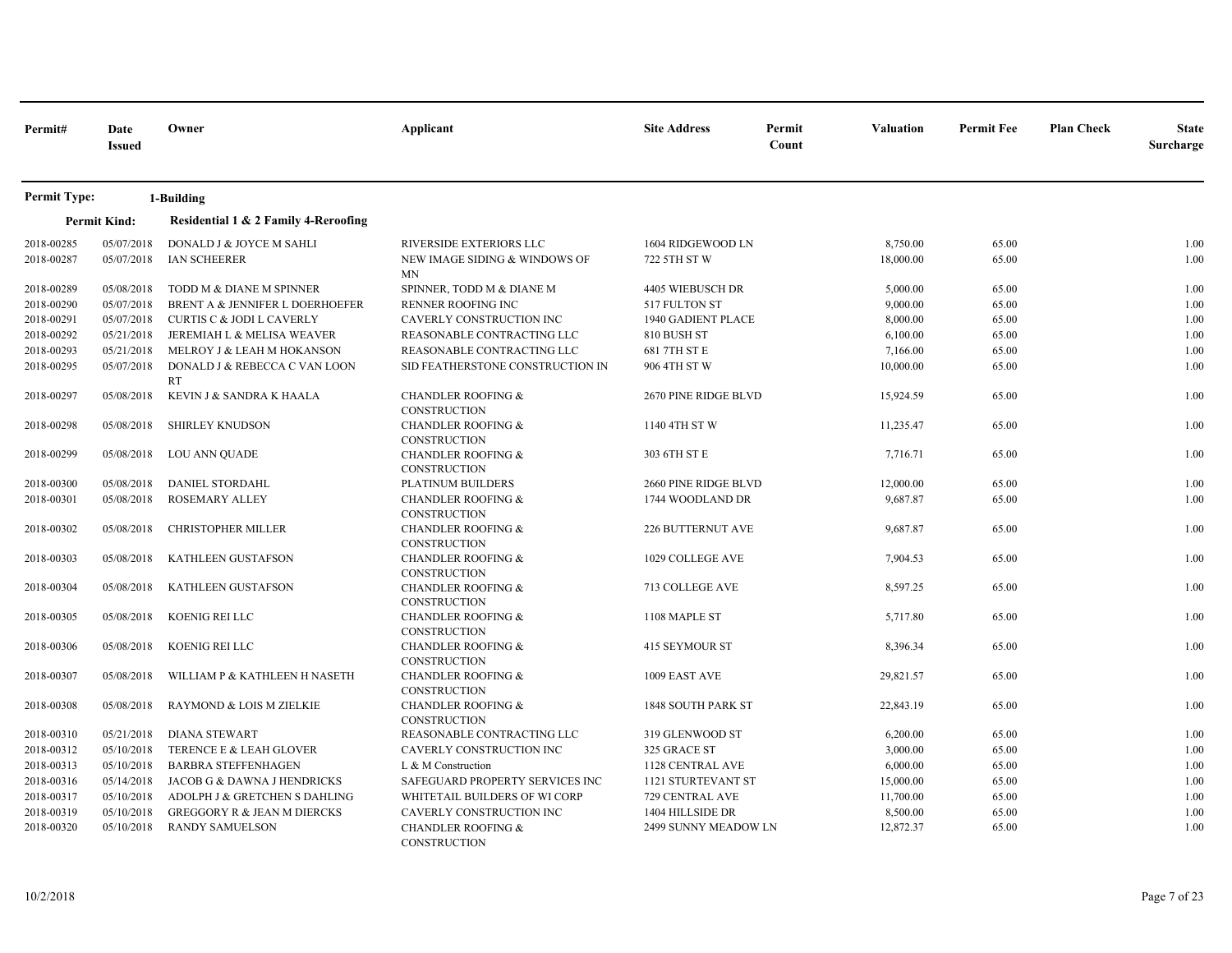| Permit#                  | Date<br><b>Issued</b>    | Owner                                                                   | Applicant                                                                             | <b>Site Address</b>                        | Permit<br>Count | Valuation              | <b>Permit Fee</b> | <b>Plan Check</b> | <b>State</b><br>Surcharge |
|--------------------------|--------------------------|-------------------------------------------------------------------------|---------------------------------------------------------------------------------------|--------------------------------------------|-----------------|------------------------|-------------------|-------------------|---------------------------|
| <b>Permit Type:</b>      |                          | 1-Building                                                              |                                                                                       |                                            |                 |                        |                   |                   |                           |
|                          | <b>Permit Kind:</b>      | Residential 1 & 2 Family 4-Reroofing                                    |                                                                                       |                                            |                 |                        |                   |                   |                           |
| 2018-00285<br>2018-00287 | 05/07/2018<br>05/07/2018 | DONALD J & JOYCE M SAHLI<br>IAN SCHEERER                                | RIVERSIDE EXTERIORS LLC<br>NEW IMAGE SIDING & WINDOWS OF<br><b>MN</b>                 | 1604 RIDGEWOOD LN<br>722 5TH ST W          |                 | 8,750.00<br>18,000.00  | 65.00<br>65.00    |                   | 1.00<br>1.00              |
| 2018-00289<br>2018-00290 | 05/08/2018<br>05/07/2018 | TODD M & DIANE M SPINNER<br>BRENT A & JENNIFER L DOERHOEFER             | SPINNER, TODD M & DIANE M<br><b>RENNER ROOFING INC</b>                                | 4405 WIEBUSCH DR<br>517 FULTON ST          |                 | 5,000.00<br>9,000.00   | 65.00<br>65.00    |                   | 1.00<br>1.00              |
| 2018-00291<br>2018-00292 | 05/07/2018<br>05/21/2018 | <b>CURTIS C &amp; JODI L CAVERLY</b><br>JEREMIAH L & MELISA WEAVER      | CAVERLY CONSTRUCTION INC<br>REASONABLE CONTRACTING LLC                                | 1940 GADIENT PLACE<br>810 BUSH ST          |                 | 8,000.00<br>6,100.00   | 65.00<br>65.00    |                   | 1.00<br>1.00              |
| 2018-00293<br>2018-00295 | 05/21/2018<br>05/07/2018 | MELROY J & LEAH M HOKANSON<br>DONALD J & REBECCA C VAN LOON             | REASONABLE CONTRACTING LLC<br>SID FEATHERSTONE CONSTRUCTION IN                        | 681 7TH ST E<br>906 4TH ST W               |                 | 7,166.00<br>10,000.00  | 65.00<br>65.00    |                   | 1.00<br>1.00              |
| 2018-00297               | 05/08/2018               | <b>RT</b><br>KEVIN J & SANDRA K HAALA                                   | <b>CHANDLER ROOFING &amp;</b><br><b>CONSTRUCTION</b>                                  | 2670 PINE RIDGE BLVD                       |                 | 15,924.59              | 65.00             |                   | 1.00                      |
| 2018-00298               | 05/08/2018               | <b>SHIRLEY KNUDSON</b>                                                  | CHANDLER ROOFING &<br>CONSTRUCTION                                                    | 1140 4TH ST W                              |                 | 11,235.47              | 65.00             |                   | 1.00                      |
| 2018-00299               | 05/08/2018               | LOU ANN QUADE                                                           | <b>CHANDLER ROOFING &amp;</b><br>CONSTRUCTION                                         | 303 6TH ST E                               |                 | 7,716.71               | 65.00             |                   | 1.00                      |
| 2018-00300<br>2018-00301 | 05/08/2018<br>05/08/2018 | DANIEL STORDAHL<br><b>ROSEMARY ALLEY</b>                                | PLATINUM BUILDERS<br><b>CHANDLER ROOFING &amp;</b><br>CONSTRUCTION                    | 2660 PINE RIDGE BLVD<br>1744 WOODLAND DR   |                 | 12,000.00<br>9,687.87  | 65.00<br>65.00    |                   | 1.00<br>1.00              |
| 2018-00302               | 05/08/2018               | <b>CHRISTOPHER MILLER</b>                                               | <b>CHANDLER ROOFING &amp;</b><br>CONSTRUCTION                                         | 226 BUTTERNUT AVE                          |                 | 9,687.87               | 65.00             |                   | 1.00                      |
| 2018-00303               | 05/08/2018               | KATHLEEN GUSTAFSON                                                      | <b>CHANDLER ROOFING &amp;</b><br>CONSTRUCTION                                         | 1029 COLLEGE AVE                           |                 | 7,904.53               | 65.00             |                   | 1.00                      |
| 2018-00304               | 05/08/2018               | <b>KATHLEEN GUSTAFSON</b>                                               | <b>CHANDLER ROOFING &amp;</b><br>CONSTRUCTION                                         | 713 COLLEGE AVE                            |                 | 8,597.25               | 65.00             |                   | 1.00                      |
| 2018-00305               | 05/08/2018               | KOENIG REI LLC                                                          | <b>CHANDLER ROOFING &amp;</b><br>CONSTRUCTION                                         | 1108 MAPLE ST                              |                 | 5,717.80               | 65.00             |                   | 1.00                      |
| 2018-00306               | 05/08/2018               | KOENIG REI LLC                                                          | <b>CHANDLER ROOFING &amp;</b><br>CONSTRUCTION                                         | 415 SEYMOUR ST                             |                 | 8,396.34               | 65.00             |                   | 1.00<br>1.00              |
| 2018-00307<br>2018-00308 | 05/08/2018<br>05/08/2018 | WILLIAM P & KATHLEEN H NASETH<br>RAYMOND & LOIS M ZIELKIE               | <b>CHANDLER ROOFING &amp;</b><br><b>CONSTRUCTION</b><br><b>CHANDLER ROOFING &amp;</b> | 1009 EAST AVE<br><b>1848 SOUTH PARK ST</b> |                 | 29,821.57<br>22,843.19 | 65.00<br>65.00    |                   | 1.00                      |
| 2018-00310               | 05/21/2018               | <b>DIANA STEWART</b>                                                    | <b>CONSTRUCTION</b><br>REASONABLE CONTRACTING LLC                                     | 319 GLENWOOD ST                            |                 | 6,200.00               | 65.00             |                   | 1.00                      |
| 2018-00312               | 05/10/2018               | TERENCE E & LEAH GLOVER                                                 | CAVERLY CONSTRUCTION INC                                                              | 325 GRACE ST                               |                 | 3,000.00               | 65.00             |                   | 1.00                      |
| 2018-00313<br>2018-00316 | 05/10/2018<br>05/14/2018 | <b>BARBRA STEFFENHAGEN</b><br>JACOB G & DAWNA J HENDRICKS               | L & M Construction<br>SAFEGUARD PROPERTY SERVICES INC                                 | 1128 CENTRAL AVE<br>1121 STURTEVANT ST     |                 | 6,000.00<br>15,000.00  | 65.00<br>65.00    |                   | 1.00<br>1.00              |
| 2018-00317<br>2018-00319 | 05/10/2018<br>05/10/2018 | ADOLPH J & GRETCHEN S DAHLING<br><b>GREGGORY R &amp; JEAN M DIERCKS</b> | WHITETAIL BUILDERS OF WI CORP<br>CAVERLY CONSTRUCTION INC                             | 729 CENTRAL AVE<br>1404 HILLSIDE DR        |                 | 11,700.00<br>8,500.00  | 65.00<br>65.00    |                   | 1.00<br>1.00              |
| 2018-00320               | 05/10/2018               | <b>RANDY SAMUELSON</b>                                                  | <b>CHANDLER ROOFING &amp;</b><br><b>CONSTRUCTION</b>                                  | 2499 SUNNY MEADOW LN                       |                 | 12,872.37              | 65.00             |                   | 1.00                      |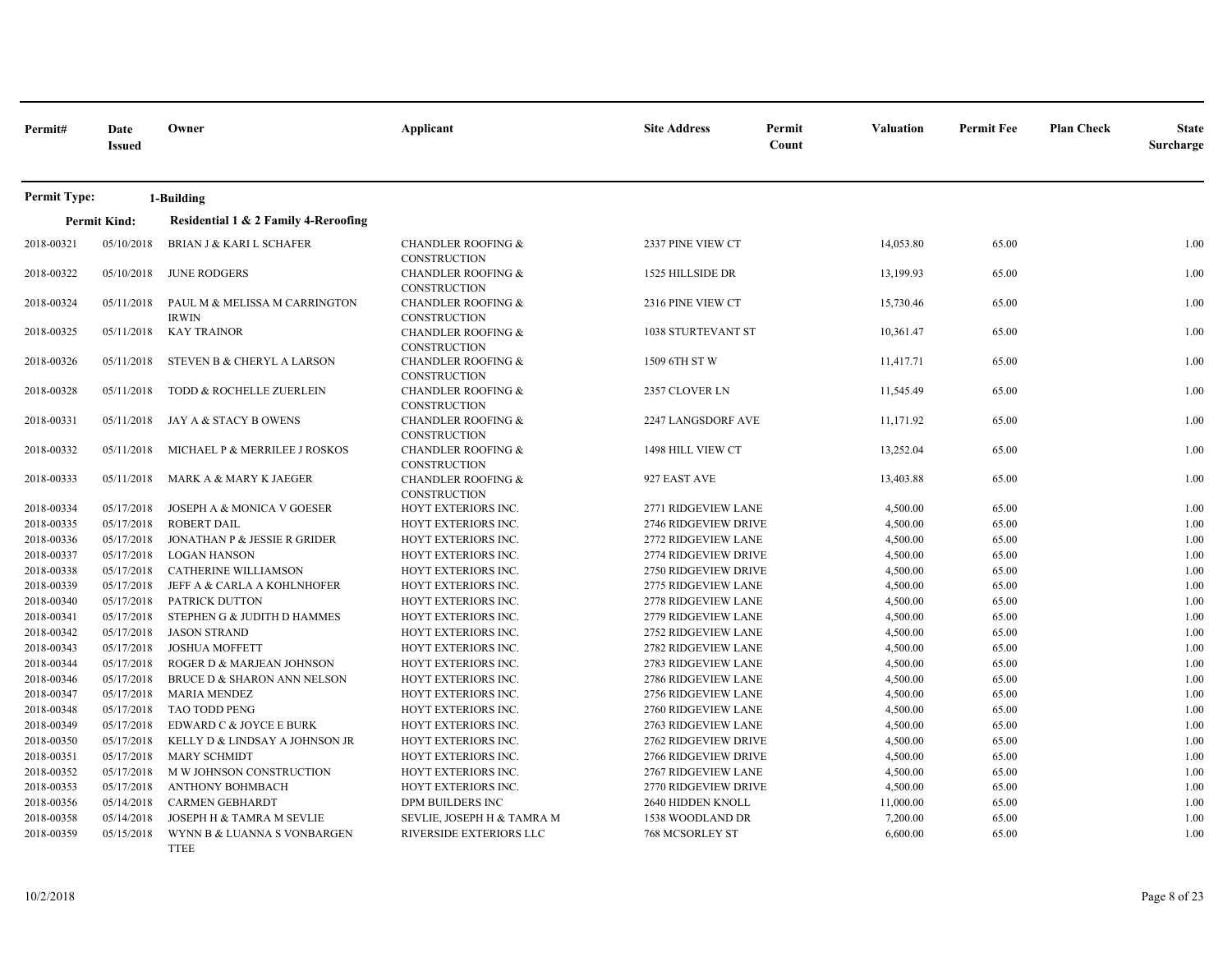| Permit#             | Date<br><b>Issued</b>    | Owner                                         | Applicant                                             | <b>Site Address</b>    | Permit<br>Count | <b>Valuation</b> | <b>Permit Fee</b> | <b>Plan Check</b> | <b>State</b><br>Surcharge |
|---------------------|--------------------------|-----------------------------------------------|-------------------------------------------------------|------------------------|-----------------|------------------|-------------------|-------------------|---------------------------|
| <b>Permit Type:</b> |                          | 1-Building                                    |                                                       |                        |                 |                  |                   |                   |                           |
|                     | <b>Permit Kind:</b>      | Residential 1 & 2 Family 4-Reroofing          |                                                       |                        |                 |                  |                   |                   |                           |
| 2018-00321          | 05/10/2018               | <b>BRIAN J &amp; KARI L SCHAFER</b>           | <b>CHANDLER ROOFING &amp;</b><br><b>CONSTRUCTION</b>  | 2337 PINE VIEW CT      |                 | 14,053.80        | 65.00             |                   | 1.00                      |
| 2018-00322          | 05/10/2018               | <b>JUNE RODGERS</b>                           | <b>CHANDLER ROOFING &amp;</b><br><b>CONSTRUCTION</b>  | 1525 HILLSIDE DR       |                 | 13,199.93        | 65.00             |                   | 1.00                      |
| 2018-00324          | 05/11/2018               | PAUL M & MELISSA M CARRINGTON<br><b>IRWIN</b> | <b>CHANDLER ROOFING &amp;</b><br><b>CONSTRUCTION</b>  | 2316 PINE VIEW CT      |                 | 15,730.46        | 65.00             |                   | 1.00                      |
| 2018-00325          | 05/11/2018               | <b>KAY TRAINOR</b>                            | <b>CHANDLER ROOFING &amp;</b><br>CONSTRUCTION         | 1038 STURTEVANT ST     |                 | 10,361.47        | 65.00             |                   | 1.00                      |
| 2018-00326          | 05/11/2018               | STEVEN B & CHERYL A LARSON                    | <b>CHANDLER ROOFING &amp;</b><br><b>CONSTRUCTION</b>  | 1509 6TH ST W          |                 | 11,417.71        | 65.00             |                   | 1.00                      |
| 2018-00328          | 05/11/2018               | TODD & ROCHELLE ZUERLEIN                      | <b>CHANDLER ROOFING &amp;</b><br><b>CONSTRUCTION</b>  | 2357 CLOVER LN         |                 | 11,545.49        | 65.00             |                   | 1.00                      |
| 2018-00331          | 05/11/2018               | JAY A & STACY B OWENS                         | <b>CHANDLER ROOFING &amp;</b><br>CONSTRUCTION         | 2247 LANGSDORF AVE     |                 | 11,171.92        | 65.00             |                   | 1.00                      |
| 2018-00332          | 05/11/2018               | MICHAEL P & MERRILEE J ROSKOS                 | <b>CHANDLER ROOFING &amp;</b><br><b>CONSTRUCTION</b>  | 1498 HILL VIEW CT      |                 | 13,252.04        | 65.00             |                   | 1.00                      |
| 2018-00333          | 05/11/2018               | MARK A & MARY K JAEGER                        | <b>CHANDLER ROOFING &amp;</b><br>CONSTRUCTION         | 927 EAST AVE           |                 | 13,403.88        | 65.00             |                   | 1.00                      |
| 2018-00334          | 05/17/2018               | JOSEPH A & MONICA V GOESER                    | HOYT EXTERIORS INC.                                   | 2771 RIDGEVIEW LANE    |                 | 4,500.00         | 65.00             |                   | 1.00                      |
| 2018-00335          | 05/17/2018               | <b>ROBERT DAIL</b>                            | HOYT EXTERIORS INC.                                   | 2746 RIDGEVIEW DRIVE   |                 | 4,500.00         | 65.00             |                   | 1.00                      |
| 2018-00336          | 05/17/2018               | JONATHAN P & JESSIE R GRIDER                  | HOYT EXTERIORS INC.                                   | 2772 RIDGEVIEW LANE    |                 | 4,500.00         | 65.00             |                   | 1.00                      |
| 2018-00337          | 05/17/2018               | <b>LOGAN HANSON</b>                           | HOYT EXTERIORS INC.                                   | 2774 RIDGEVIEW DRIVE   |                 | 4,500.00         | 65.00             |                   | 1.00                      |
| 2018-00338          | 05/17/2018               | CATHERINE WILLIAMSON                          | HOYT EXTERIORS INC.                                   | 2750 RIDGEVIEW DRIVE   |                 | 4,500.00         | 65.00             |                   | 1.00                      |
| 2018-00339          | 05/17/2018               | JEFF A & CARLA A KOHLNHOFER                   | HOYT EXTERIORS INC.                                   | 2775 RIDGEVIEW LANE    |                 | 4,500.00         | 65.00             |                   | 1.00                      |
| 2018-00340          | 05/17/2018               | <b>PATRICK DUTTON</b>                         | HOYT EXTERIORS INC.                                   | 2778 RIDGEVIEW LANE    |                 | 4,500.00         | 65.00             |                   | 1.00                      |
| 2018-00341          | 05/17/2018               | STEPHEN G & JUDITH D HAMMES                   | HOYT EXTERIORS INC.                                   | 2779 RIDGEVIEW LANE    |                 | 4,500.00         | 65.00             |                   | 1.00                      |
| 2018-00342          | 05/17/2018               | <b>JASON STRAND</b>                           | HOYT EXTERIORS INC.                                   | 2752 RIDGEVIEW LANE    |                 | 4,500.00         | 65.00             |                   | 1.00                      |
| 2018-00343          | 05/17/2018               | <b>JOSHUA MOFFETT</b>                         | HOYT EXTERIORS INC.                                   | 2782 RIDGEVIEW LANE    |                 | 4,500.00         | 65.00             |                   | 1.00                      |
| 2018-00344          | 05/17/2018               | ROGER D & MARJEAN JOHNSON                     | HOYT EXTERIORS INC.                                   | 2783 RIDGEVIEW LANE    |                 | 4,500.00         | 65.00             |                   | 1.00                      |
| 2018-00346          | 05/17/2018               | BRUCE D & SHARON ANN NELSON                   | HOYT EXTERIORS INC.                                   | 2786 RIDGEVIEW LANE    |                 | 4,500.00         | 65.00             |                   | 1.00                      |
| 2018-00347          | 05/17/2018               | <b>MARIA MENDEZ</b>                           | HOYT EXTERIORS INC.                                   | 2756 RIDGEVIEW LANE    |                 | 4,500.00         | 65.00             |                   | 1.00                      |
| 2018-00348          | 05/17/2018               | <b>TAO TODD PENG</b>                          | HOYT EXTERIORS INC.                                   | 2760 RIDGEVIEW LANE    |                 | 4,500.00         | 65.00             |                   | 1.00                      |
| 2018-00349          | 05/17/2018               | EDWARD C & JOYCE E BURK                       | HOYT EXTERIORS INC.                                   | 2763 RIDGEVIEW LANE    |                 | 4,500.00         | 65.00             |                   | 1.00                      |
| 2018-00350          | 05/17/2018               | KELLY D & LINDSAY A JOHNSON JR                | HOYT EXTERIORS INC.                                   | 2762 RIDGEVIEW DRIVE   |                 | 4,500.00         | 65.00             |                   | 1.00                      |
| 2018-00351          | 05/17/2018               | <b>MARY SCHMIDT</b>                           | HOYT EXTERIORS INC.                                   | 2766 RIDGEVIEW DRIVE   |                 | 4,500.00         | 65.00             |                   | 1.00                      |
| 2018-00352          | 05/17/2018               | M W JOHNSON CONSTRUCTION                      | HOYT EXTERIORS INC.                                   | 2767 RIDGEVIEW LANE    |                 | 4,500.00         | 65.00             |                   | 1.00                      |
| 2018-00353          | 05/17/2018               | <b>ANTHONY BOHMBACH</b>                       | HOYT EXTERIORS INC.                                   | 2770 RIDGEVIEW DRIVE   |                 | 4,500.00         | 65.00             |                   | 1.00                      |
| 2018-00356          | 05/14/2018               | <b>CARMEN GEBHARDT</b>                        | DPM BUILDERS INC                                      | 2640 HIDDEN KNOLL      |                 | 11,000.00        | 65.00             |                   | 1.00                      |
| 2018-00358          | 05/14/2018<br>05/15/2018 | JOSEPH H & TAMRA M SEVLIE                     | SEVLIE, JOSEPH H & TAMRA M<br>RIVERSIDE EXTERIORS LLC | 1538 WOODLAND DR       |                 | 7,200.00         | 65.00             |                   | 1.00                      |
| 2018-00359          |                          | WYNN B & LUANNA S VONBARGEN<br><b>TTEE</b>    |                                                       | <b>768 MCSORLEY ST</b> |                 | 6,600.00         | 65.00             |                   | 1.00                      |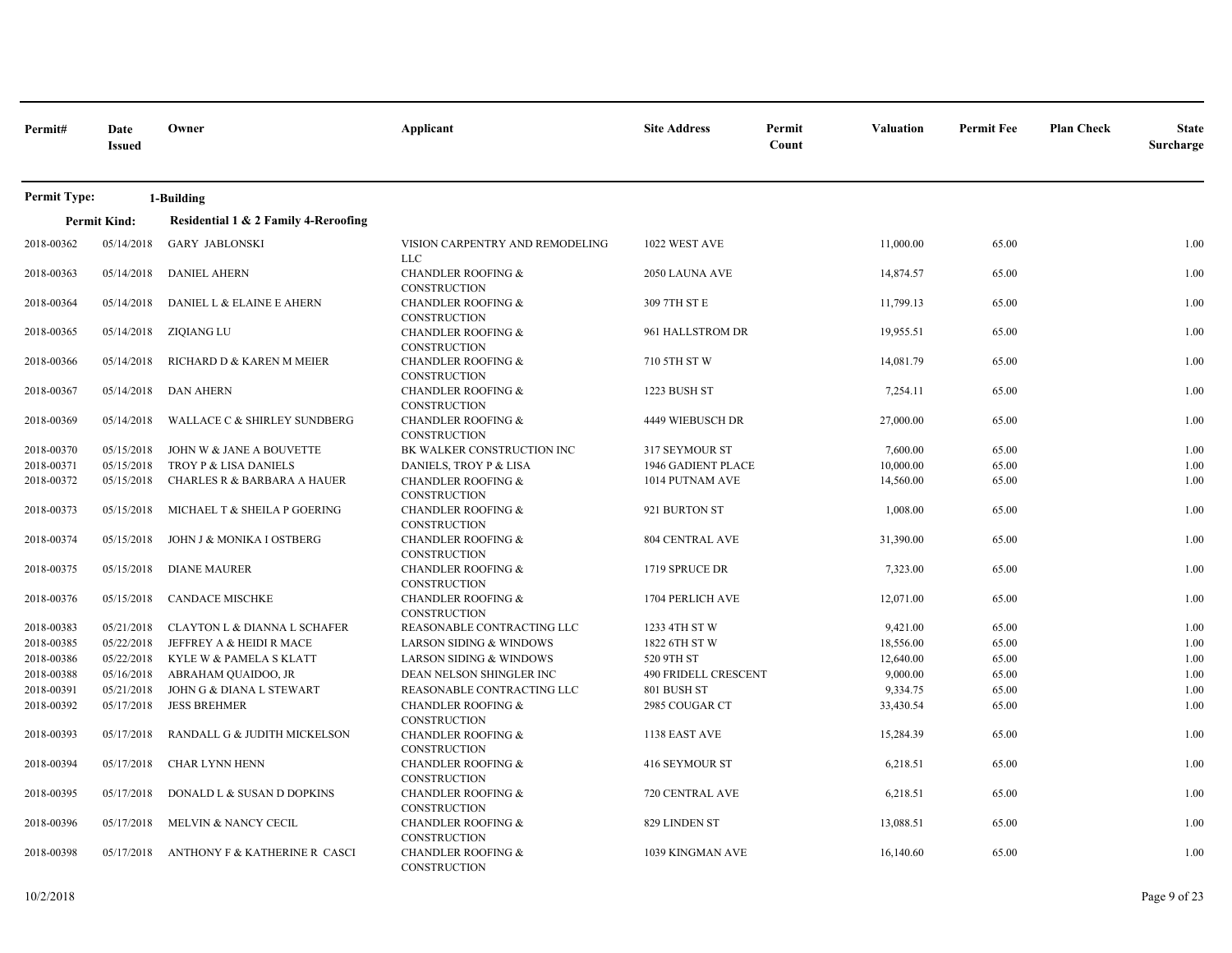| Permit#             | Date<br><b>Issued</b> | Owner                                   | Applicant                                            | <b>Site Address</b>         | Permit<br>Count | <b>Valuation</b> | <b>Permit Fee</b> | <b>Plan Check</b> | <b>State</b><br>Surcharge |
|---------------------|-----------------------|-----------------------------------------|------------------------------------------------------|-----------------------------|-----------------|------------------|-------------------|-------------------|---------------------------|
| <b>Permit Type:</b> |                       | 1-Building                              |                                                      |                             |                 |                  |                   |                   |                           |
|                     | <b>Permit Kind:</b>   | Residential 1 & 2 Family 4-Reroofing    |                                                      |                             |                 |                  |                   |                   |                           |
| 2018-00362          | 05/14/2018            | <b>GARY JABLONSKI</b>                   | VISION CARPENTRY AND REMODELING<br><b>LLC</b>        | 1022 WEST AVE               |                 | 11,000.00        | 65.00             |                   | 1.00                      |
| 2018-00363          | 05/14/2018            | <b>DANIEL AHERN</b>                     | <b>CHANDLER ROOFING &amp;</b><br><b>CONSTRUCTION</b> | 2050 LAUNA AVE              |                 | 14,874.57        | 65.00             |                   | 1.00                      |
| 2018-00364          | 05/14/2018            | DANIEL L & ELAINE E AHERN               | <b>CHANDLER ROOFING &amp;</b><br>CONSTRUCTION        | 309 7TH ST E                |                 | 11,799.13        | 65.00             |                   | 1.00                      |
| 2018-00365          | 05/14/2018            | ZIQIANG LU                              | <b>CHANDLER ROOFING &amp;</b><br>CONSTRUCTION        | 961 HALLSTROM DR            |                 | 19,955.51        | 65.00             |                   | 1.00                      |
| 2018-00366          | 05/14/2018            | RICHARD D & KAREN M MEIER               | <b>CHANDLER ROOFING &amp;</b><br><b>CONSTRUCTION</b> | 710 5TH ST W                |                 | 14,081.79        | 65.00             |                   | 1.00                      |
| 2018-00367          | 05/14/2018            | <b>DAN AHERN</b>                        | <b>CHANDLER ROOFING &amp;</b><br>CONSTRUCTION        | 1223 BUSH ST                |                 | 7,254.11         | 65.00             |                   | 1.00                      |
| 2018-00369          | 05/14/2018            | <b>WALLACE C &amp; SHIRLEY SUNDBERG</b> | <b>CHANDLER ROOFING &amp;</b><br><b>CONSTRUCTION</b> | 4449 WIEBUSCH DR            |                 | 27,000.00        | 65.00             |                   | 1.00                      |
| 2018-00370          | 05/15/2018            | JOHN W & JANE A BOUVETTE                | BK WALKER CONSTRUCTION INC                           | 317 SEYMOUR ST              |                 | 7,600.00         | 65.00             |                   | 1.00                      |
| 2018-00371          | 05/15/2018            | TROY P & LISA DANIELS                   | DANIELS, TROY P & LISA                               | <b>1946 GADIENT PLACE</b>   |                 | 10,000.00        | 65.00             |                   | 1.00                      |
| 2018-00372          | 05/15/2018            | <b>CHARLES R &amp; BARBARA A HAUER</b>  | <b>CHANDLER ROOFING &amp;</b><br>CONSTRUCTION        | 1014 PUTNAM AVE             |                 | 14,560.00        | 65.00             |                   | 1.00                      |
| 2018-00373          | 05/15/2018            | MICHAEL T & SHEILA P GOERING            | <b>CHANDLER ROOFING &amp;</b><br>CONSTRUCTION        | 921 BURTON ST               |                 | 1,008.00         | 65.00             |                   | 1.00                      |
| 2018-00374          | 05/15/2018            | JOHN J & MONIKA I OSTBERG               | <b>CHANDLER ROOFING &amp;</b><br>CONSTRUCTION        | <b>804 CENTRAL AVE</b>      |                 | 31,390.00        | 65.00             |                   | 1.00                      |
| 2018-00375          | 05/15/2018            | <b>DIANE MAURER</b>                     | <b>CHANDLER ROOFING &amp;</b><br>CONSTRUCTION        | 1719 SPRUCE DR              |                 | 7,323.00         | 65.00             |                   | 1.00                      |
| 2018-00376          | 05/15/2018            | <b>CANDACE MISCHKE</b>                  | <b>CHANDLER ROOFING &amp;</b><br>CONSTRUCTION        | 1704 PERLICH AVE            |                 | 12,071.00        | 65.00             |                   | 1.00                      |
| 2018-00383          | 05/21/2018            | <b>CLAYTON L &amp; DIANNA L SCHAFER</b> | REASONABLE CONTRACTING LLC                           | 1233 4TH ST W               |                 | 9,421.00         | 65.00             |                   | 1.00                      |
| 2018-00385          | 05/22/2018            | JEFFREY A & HEIDI R MACE                | <b>LARSON SIDING &amp; WINDOWS</b>                   | 1822 6TH ST W               |                 | 18,556.00        | 65.00             |                   | 1.00                      |
| 2018-00386          | 05/22/2018            | KYLE W & PAMELA S KLATT                 | <b>LARSON SIDING &amp; WINDOWS</b>                   | 520 9TH ST                  |                 | 12,640.00        | 65.00             |                   | 1.00                      |
| 2018-00388          | 05/16/2018            | ABRAHAM QUAIDOO, JR                     | DEAN NELSON SHINGLER INC                             | <b>490 FRIDELL CRESCENT</b> |                 | 9,000.00         | 65.00             |                   | 1.00                      |
| 2018-00391          | 05/21/2018            | JOHN G & DIANA L STEWART                | REASONABLE CONTRACTING LLC                           | 801 BUSH ST                 |                 | 9,334.75         | 65.00             |                   | 1.00                      |
| 2018-00392          | 05/17/2018            | <b>JESS BREHMER</b>                     | <b>CHANDLER ROOFING &amp;</b><br>CONSTRUCTION        | 2985 COUGAR CT              |                 | 33,430.54        | 65.00             |                   | 1.00                      |
| 2018-00393          | 05/17/2018            | RANDALL G & JUDITH MICKELSON            | <b>CHANDLER ROOFING &amp;</b><br><b>CONSTRUCTION</b> | 1138 EAST AVE               |                 | 15,284.39        | 65.00             |                   | 1.00                      |
| 2018-00394          | 05/17/2018            | <b>CHAR LYNN HENN</b>                   | <b>CHANDLER ROOFING &amp;</b><br>CONSTRUCTION        | 416 SEYMOUR ST              |                 | 6,218.51         | 65.00             |                   | 1.00                      |
| 2018-00395          | 05/17/2018            | DONALD L & SUSAN D DOPKINS              | <b>CHANDLER ROOFING &amp;</b><br>CONSTRUCTION        | 720 CENTRAL AVE             |                 | 6,218.51         | 65.00             |                   | 1.00                      |
| 2018-00396          | 05/17/2018            | MELVIN & NANCY CECIL                    | <b>CHANDLER ROOFING &amp;</b><br>CONSTRUCTION        | 829 LINDEN ST               |                 | 13,088.51        | 65.00             |                   | 1.00                      |
| 2018-00398          | 05/17/2018            | ANTHONY F & KATHERINE R CASCI           | <b>CHANDLER ROOFING &amp;</b><br>CONSTRUCTION        | 1039 KINGMAN AVE            |                 | 16,140.60        | 65.00             |                   | 1.00                      |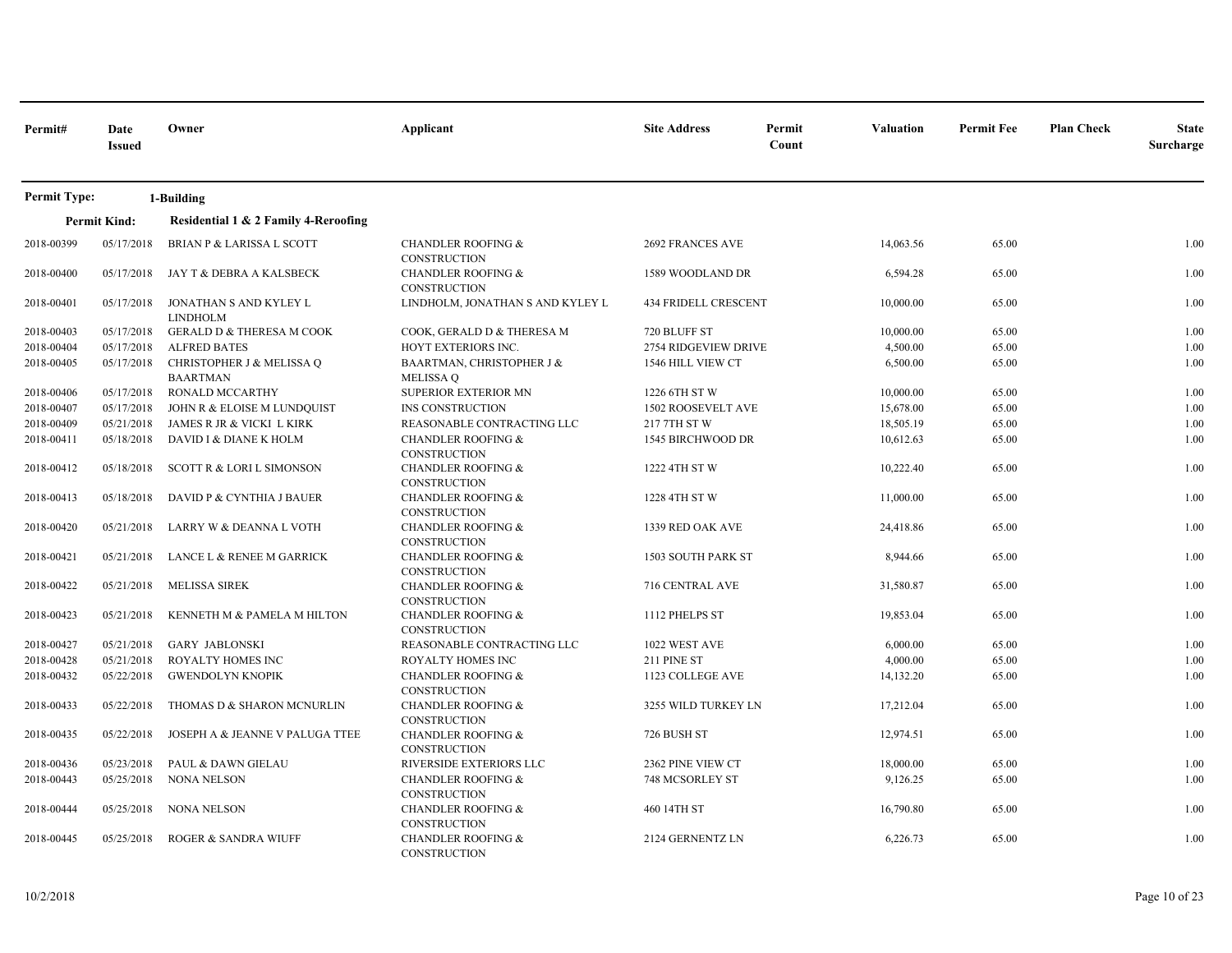| Permit#             | Date<br><b>Issued</b> | Owner                                        | Applicant                                            | <b>Site Address</b>  | Permit<br>Count | <b>Valuation</b> | <b>Permit Fee</b> | <b>Plan Check</b> | <b>State</b><br>Surcharge |
|---------------------|-----------------------|----------------------------------------------|------------------------------------------------------|----------------------|-----------------|------------------|-------------------|-------------------|---------------------------|
| <b>Permit Type:</b> |                       | 1-Building                                   |                                                      |                      |                 |                  |                   |                   |                           |
|                     | <b>Permit Kind:</b>   | Residential 1 & 2 Family 4-Reroofing         |                                                      |                      |                 |                  |                   |                   |                           |
| 2018-00399          | 05/17/2018            | <b>BRIAN P &amp; LARISSA L SCOTT</b>         | <b>CHANDLER ROOFING &amp;</b><br>CONSTRUCTION        | 2692 FRANCES AVE     |                 | 14,063.56        | 65.00             |                   | 1.00                      |
| 2018-00400          | 05/17/2018            | JAY T & DEBRA A KALSBECK                     | <b>CHANDLER ROOFING &amp;</b><br><b>CONSTRUCTION</b> | 1589 WOODLAND DR     |                 | 6,594.28         | 65.00             |                   | 1.00                      |
| 2018-00401          | 05/17/2018            | JONATHAN S AND KYLEY L<br><b>LINDHOLM</b>    | LINDHOLM, JONATHAN S AND KYLEY L                     | 434 FRIDELL CRESCENT |                 | 10,000.00        | 65.00             |                   | 1.00                      |
| 2018-00403          | 05/17/2018            | <b>GERALD D &amp; THERESA M COOK</b>         | COOK, GERALD D & THERESA M                           | 720 BLUFF ST         |                 | 10,000.00        | 65.00             |                   | 1.00                      |
| 2018-00404          | 05/17/2018            | <b>ALFRED BATES</b>                          | HOYT EXTERIORS INC.                                  | 2754 RIDGEVIEW DRIVE |                 | 4,500.00         | 65.00             |                   | 1.00                      |
| 2018-00405          | 05/17/2018            | CHRISTOPHER J & MELISSA Q<br><b>BAARTMAN</b> | BAARTMAN, CHRISTOPHER J &<br><b>MELISSA Q</b>        | 1546 HILL VIEW CT    |                 | 6,500.00         | 65.00             |                   | 1.00                      |
| 2018-00406          | 05/17/2018            | <b>RONALD MCCARTHY</b>                       | <b>SUPERIOR EXTERIOR MN</b>                          | 1226 6TH ST W        |                 | 10,000.00        | 65.00             |                   | 1.00                      |
| 2018-00407          | 05/17/2018            | JOHN R & ELOISE M LUNDQUIST                  | INS CONSTRUCTION                                     | 1502 ROOSEVELT AVE   |                 | 15,678.00        | 65.00             |                   | 1.00                      |
| 2018-00409          | 05/21/2018            | JAMES R JR & VICKI L KIRK                    | REASONABLE CONTRACTING LLC                           | 217 7TH ST W         |                 | 18,505.19        | 65.00             |                   | 1.00                      |
| 2018-00411          | 05/18/2018            | DAVID I & DIANE K HOLM                       | <b>CHANDLER ROOFING &amp;</b><br>CONSTRUCTION        | 1545 BIRCHWOOD DR    |                 | 10,612.63        | 65.00             |                   | 1.00                      |
| 2018-00412          | 05/18/2018            | SCOTT R & LORI L SIMONSON                    | <b>CHANDLER ROOFING &amp;</b><br><b>CONSTRUCTION</b> | 1222 4TH ST W        |                 | 10,222.40        | 65.00             |                   | 1.00                      |
| 2018-00413          | 05/18/2018            | DAVID P & CYNTHIA J BAUER                    | <b>CHANDLER ROOFING &amp;</b><br>CONSTRUCTION        | 1228 4TH ST W        |                 | 11,000.00        | 65.00             |                   | 1.00                      |
| 2018-00420          | 05/21/2018            | LARRY W & DEANNA L VOTH                      | <b>CHANDLER ROOFING &amp;</b><br>CONSTRUCTION        | 1339 RED OAK AVE     |                 | 24,418.86        | 65.00             |                   | 1.00                      |
| 2018-00421          | 05/21/2018            | LANCE L & RENEE M GARRICK                    | <b>CHANDLER ROOFING &amp;</b><br><b>CONSTRUCTION</b> | 1503 SOUTH PARK ST   |                 | 8,944.66         | 65.00             |                   | 1.00                      |
| 2018-00422          | 05/21/2018            | <b>MELISSA SIREK</b>                         | <b>CHANDLER ROOFING &amp;</b><br><b>CONSTRUCTION</b> | 716 CENTRAL AVE      |                 | 31,580.87        | 65.00             |                   | 1.00                      |
| 2018-00423          | 05/21/2018            | KENNETH M & PAMELA M HILTON                  | <b>CHANDLER ROOFING &amp;</b><br><b>CONSTRUCTION</b> | 1112 PHELPS ST       |                 | 19,853.04        | 65.00             |                   | 1.00                      |
| 2018-00427          | 05/21/2018            | <b>GARY JABLONSKI</b>                        | REASONABLE CONTRACTING LLC                           | 1022 WEST AVE        |                 | 6,000.00         | 65.00             |                   | 1.00                      |
| 2018-00428          | 05/21/2018            | ROYALTY HOMES INC                            | ROYALTY HOMES INC                                    | 211 PINE ST          |                 | 4,000.00         | 65.00             |                   | 1.00                      |
| 2018-00432          | 05/22/2018            | <b>GWENDOLYN KNOPIK</b>                      | <b>CHANDLER ROOFING &amp;</b><br>CONSTRUCTION        | 1123 COLLEGE AVE     |                 | 14,132.20        | 65.00             |                   | 1.00                      |
| 2018-00433          | 05/22/2018            | THOMAS D & SHARON MCNURLIN                   | <b>CHANDLER ROOFING &amp;</b><br><b>CONSTRUCTION</b> | 3255 WILD TURKEY LN  |                 | 17,212.04        | 65.00             |                   | 1.00                      |
| 2018-00435          | 05/22/2018            | JOSEPH A & JEANNE V PALUGA TTEE              | <b>CHANDLER ROOFING &amp;</b><br><b>CONSTRUCTION</b> | 726 BUSH ST          |                 | 12,974.51        | 65.00             |                   | 1.00                      |
| 2018-00436          | 05/23/2018            | PAUL & DAWN GIELAU                           | RIVERSIDE EXTERIORS LLC                              | 2362 PINE VIEW CT    |                 | 18,000.00        | 65.00             |                   | 1.00                      |
| 2018-00443          | 05/25/2018            | <b>NONA NELSON</b>                           | <b>CHANDLER ROOFING &amp;</b><br><b>CONSTRUCTION</b> | 748 MCSORLEY ST      |                 | 9,126.25         | 65.00             |                   | 1.00                      |
| 2018-00444          | 05/25/2018            | NONA NELSON                                  | <b>CHANDLER ROOFING &amp;</b><br>CONSTRUCTION        | 460 14TH ST          |                 | 16,790.80        | 65.00             |                   | 1.00                      |
| 2018-00445          | 05/25/2018            | ROGER & SANDRA WIUFF                         | <b>CHANDLER ROOFING &amp;</b><br><b>CONSTRUCTION</b> | 2124 GERNENTZ LN     |                 | 6,226.73         | 65.00             |                   | 1.00                      |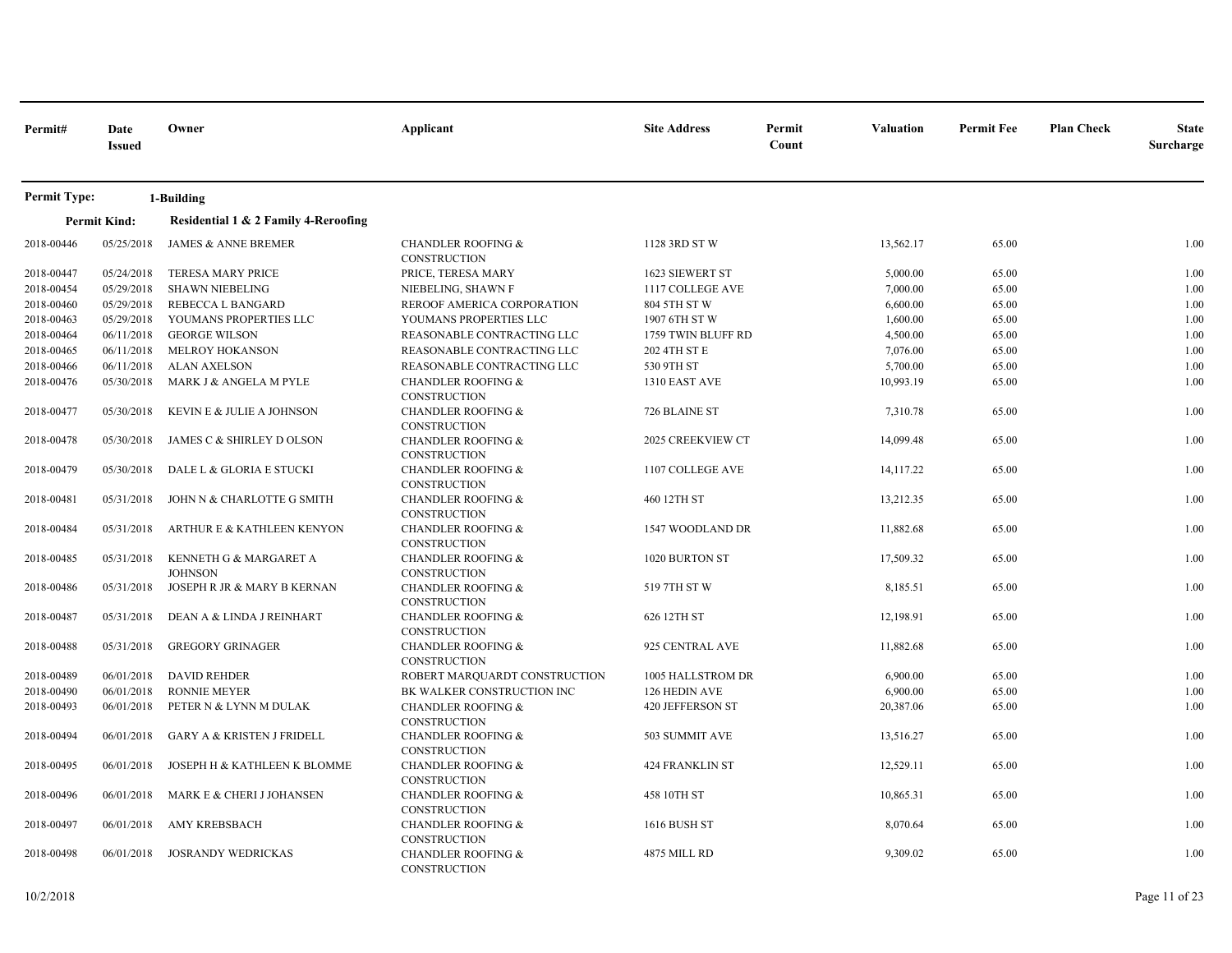| Permit#             | Date<br><b>Issued</b> | Owner                                    | Applicant                                            | <b>Site Address</b>    | Permit<br>Count | <b>Valuation</b> | <b>Permit Fee</b> | <b>Plan Check</b> | <b>State</b><br>Surcharge |
|---------------------|-----------------------|------------------------------------------|------------------------------------------------------|------------------------|-----------------|------------------|-------------------|-------------------|---------------------------|
| <b>Permit Type:</b> |                       | 1-Building                               |                                                      |                        |                 |                  |                   |                   |                           |
|                     | <b>Permit Kind:</b>   | Residential 1 & 2 Family 4-Reroofing     |                                                      |                        |                 |                  |                   |                   |                           |
| 2018-00446          | 05/25/2018            | <b>JAMES &amp; ANNE BREMER</b>           | <b>CHANDLER ROOFING &amp;</b><br><b>CONSTRUCTION</b> | 1128 3RD ST W          |                 | 13,562.17        | 65.00             |                   | 1.00                      |
| 2018-00447          | 05/24/2018            | TERESA MARY PRICE                        | PRICE, TERESA MARY                                   | 1623 SIEWERT ST        |                 | 5,000.00         | 65.00             |                   | 1.00                      |
| 2018-00454          | 05/29/2018            | <b>SHAWN NIEBELING</b>                   | NIEBELING, SHAWN F                                   | 1117 COLLEGE AVE       |                 | 7,000.00         | 65.00             |                   | 1.00                      |
| 2018-00460          | 05/29/2018            | REBECCA L BANGARD                        | REROOF AMERICA CORPORATION                           | 804 5TH ST W           |                 | 6,600.00         | 65.00             |                   | 1.00                      |
| 2018-00463          | 05/29/2018            | YOUMANS PROPERTIES LLC                   | YOUMANS PROPERTIES LLC                               | 1907 6TH ST W          |                 | 1,600.00         | 65.00             |                   | 1.00                      |
| 2018-00464          | 06/11/2018            | <b>GEORGE WILSON</b>                     | REASONABLE CONTRACTING LLC                           | 1759 TWIN BLUFF RD     |                 | 4,500.00         | 65.00             |                   | 1.00                      |
| 2018-00465          | 06/11/2018            | <b>MELROY HOKANSON</b>                   | REASONABLE CONTRACTING LLC                           | 202 4TH ST E           |                 | 7,076.00         | 65.00             |                   | 1.00                      |
| 2018-00466          | 06/11/2018            | <b>ALAN AXELSON</b>                      | REASONABLE CONTRACTING LLC                           | 530 9TH ST             |                 | 5,700.00         | 65.00             |                   | 1.00                      |
| 2018-00476          | 05/30/2018            | MARK J & ANGELA M PYLE                   | <b>CHANDLER ROOFING &amp;</b><br>CONSTRUCTION        | 1310 EAST AVE          |                 | 10,993.19        | 65.00             |                   | 1.00                      |
| 2018-00477          | 05/30/2018            | KEVIN E & JULIE A JOHNSON                | <b>CHANDLER ROOFING &amp;</b><br><b>CONSTRUCTION</b> | 726 BLAINE ST          |                 | 7,310.78         | 65.00             |                   | 1.00                      |
| 2018-00478          | 05/30/2018            | JAMES C & SHIRLEY D OLSON                | <b>CHANDLER ROOFING &amp;</b><br>CONSTRUCTION        | 2025 CREEKVIEW CT      |                 | 14,099.48        | 65.00             |                   | 1.00                      |
| 2018-00479          | 05/30/2018            | DALE L & GLORIA E STUCKI                 | <b>CHANDLER ROOFING &amp;</b><br><b>CONSTRUCTION</b> | 1107 COLLEGE AVE       |                 | 14,117.22        | 65.00             |                   | 1.00                      |
| 2018-00481          | 05/31/2018            | JOHN N & CHARLOTTE G SMITH               | <b>CHANDLER ROOFING &amp;</b><br>CONSTRUCTION        | 460 12TH ST            |                 | 13,212.35        | 65.00             |                   | 1.00                      |
| 2018-00484          | 05/31/2018            | ARTHUR E & KATHLEEN KENYON               | <b>CHANDLER ROOFING &amp;</b><br>CONSTRUCTION        | 1547 WOODLAND DR       |                 | 11,882.68        | 65.00             |                   | 1.00                      |
| 2018-00485          | 05/31/2018            | KENNETH G & MARGARET A<br><b>JOHNSON</b> | <b>CHANDLER ROOFING &amp;</b><br>CONSTRUCTION        | 1020 BURTON ST         |                 | 17,509.32        | 65.00             |                   | 1.00                      |
| 2018-00486          | 05/31/2018            | JOSEPH R JR & MARY B KERNAN              | <b>CHANDLER ROOFING &amp;</b><br>CONSTRUCTION        | 519 7TH ST W           |                 | 8,185.51         | 65.00             |                   | 1.00                      |
| 2018-00487          | 05/31/2018            | DEAN A & LINDA J REINHART                | <b>CHANDLER ROOFING &amp;</b><br>CONSTRUCTION        | 626 12TH ST            |                 | 12,198.91        | 65.00             |                   | 1.00                      |
| 2018-00488          | 05/31/2018            | <b>GREGORY GRINAGER</b>                  | <b>CHANDLER ROOFING &amp;</b><br>CONSTRUCTION        | 925 CENTRAL AVE        |                 | 11,882.68        | 65.00             |                   | 1.00                      |
| 2018-00489          | 06/01/2018            | <b>DAVID REHDER</b>                      | ROBERT MARQUARDT CONSTRUCTION                        | 1005 HALLSTROM DR      |                 | 6,900.00         | 65.00             |                   | 1.00                      |
| 2018-00490          | 06/01/2018            | <b>RONNIE MEYER</b>                      | BK WALKER CONSTRUCTION INC                           | 126 HEDIN AVE          |                 | 6,900.00         | 65.00             |                   | 1.00                      |
| 2018-00493          | 06/01/2018            | PETER N & LYNN M DULAK                   | <b>CHANDLER ROOFING &amp;</b><br><b>CONSTRUCTION</b> | 420 JEFFERSON ST       |                 | 20,387.06        | 65.00             |                   | 1.00                      |
| 2018-00494          | 06/01/2018            | <b>GARY A &amp; KRISTEN J FRIDELL</b>    | <b>CHANDLER ROOFING &amp;</b><br>CONSTRUCTION        | 503 SUMMIT AVE         |                 | 13,516.27        | 65.00             |                   | 1.00                      |
| 2018-00495          | 06/01/2018            | JOSEPH H & KATHLEEN K BLOMME             | <b>CHANDLER ROOFING &amp;</b><br><b>CONSTRUCTION</b> | <b>424 FRANKLIN ST</b> |                 | 12,529.11        | 65.00             |                   | 1.00                      |
| 2018-00496          | 06/01/2018            | MARK E & CHERI J JOHANSEN                | <b>CHANDLER ROOFING &amp;</b><br>CONSTRUCTION        | 458 10TH ST            |                 | 10,865.31        | 65.00             |                   | 1.00                      |
| 2018-00497          | 06/01/2018            | AMY KREBSBACH                            | <b>CHANDLER ROOFING &amp;</b><br>CONSTRUCTION        | <b>1616 BUSH ST</b>    |                 | 8,070.64         | 65.00             |                   | 1.00                      |
| 2018-00498          | 06/01/2018            | <b>JOSRANDY WEDRICKAS</b>                | <b>CHANDLER ROOFING &amp;</b><br>CONSTRUCTION        | 4875 MILL RD           |                 | 9,309.02         | 65.00             |                   | 1.00                      |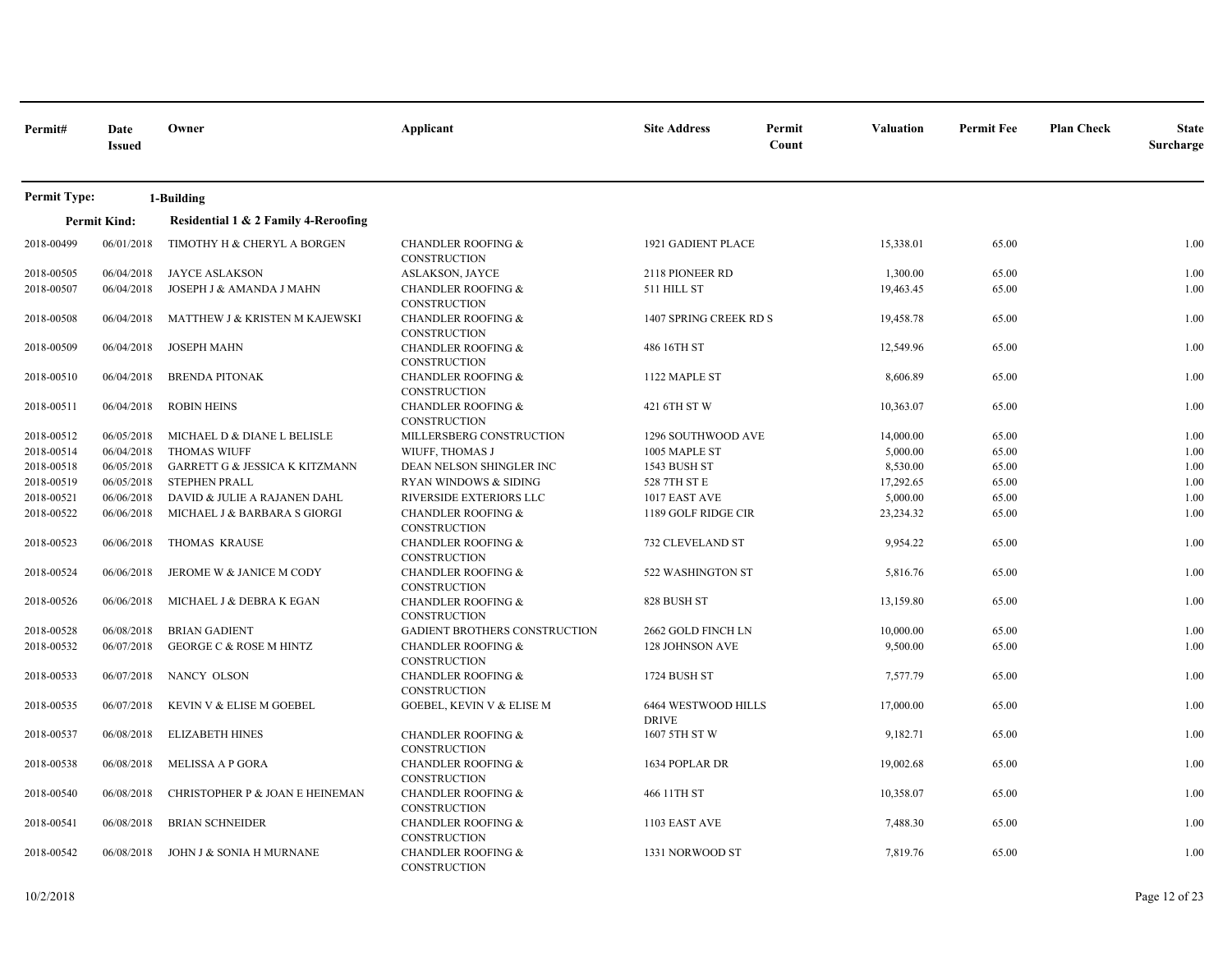| Permit#             | Date<br><b>Issued</b> | Owner                                | Applicant                                            | <b>Site Address</b>                 | Permit<br>Count | <b>Valuation</b> | <b>Permit Fee</b> | <b>Plan Check</b> | <b>State</b><br>Surcharge |
|---------------------|-----------------------|--------------------------------------|------------------------------------------------------|-------------------------------------|-----------------|------------------|-------------------|-------------------|---------------------------|
| <b>Permit Type:</b> |                       | 1-Building                           |                                                      |                                     |                 |                  |                   |                   |                           |
|                     | <b>Permit Kind:</b>   | Residential 1 & 2 Family 4-Reroofing |                                                      |                                     |                 |                  |                   |                   |                           |
| 2018-00499          | 06/01/2018            | TIMOTHY H & CHERYL A BORGEN          | <b>CHANDLER ROOFING &amp;</b><br><b>CONSTRUCTION</b> | 1921 GADIENT PLACE                  |                 | 15,338.01        | 65.00             |                   | 1.00                      |
| 2018-00505          | 06/04/2018            | <b>JAYCE ASLAKSON</b>                | <b>ASLAKSON, JAYCE</b>                               | 2118 PIONEER RD                     |                 | 1,300.00         | 65.00             |                   | 1.00                      |
| 2018-00507          | 06/04/2018            | JOSEPH J & AMANDA J MAHN             | <b>CHANDLER ROOFING &amp;</b><br>CONSTRUCTION        | 511 HILL ST                         |                 | 19,463.45        | 65.00             |                   | 1.00                      |
| 2018-00508          | 06/04/2018            | MATTHEW J & KRISTEN M KAJEWSKI       | <b>CHANDLER ROOFING &amp;</b><br>CONSTRUCTION        | 1407 SPRING CREEK RD S              |                 | 19,458.78        | 65.00             |                   | 1.00                      |
| 2018-00509          | 06/04/2018            | <b>JOSEPH MAHN</b>                   | <b>CHANDLER ROOFING &amp;</b><br><b>CONSTRUCTION</b> | 486 16TH ST                         |                 | 12,549.96        | 65.00             |                   | 1.00                      |
| 2018-00510          | 06/04/2018            | <b>BRENDA PITONAK</b>                | <b>CHANDLER ROOFING &amp;</b><br>CONSTRUCTION        | 1122 MAPLE ST                       |                 | 8,606.89         | 65.00             |                   | 1.00                      |
| 2018-00511          | 06/04/2018            | <b>ROBIN HEINS</b>                   | <b>CHANDLER ROOFING &amp;</b><br><b>CONSTRUCTION</b> | 421 6TH ST W                        |                 | 10,363.07        | 65.00             |                   | 1.00                      |
| 2018-00512          | 06/05/2018            | MICHAEL D & DIANE L BELISLE          | MILLERSBERG CONSTRUCTION                             | 1296 SOUTHWOOD AVE                  |                 | 14,000.00        | 65.00             |                   | 1.00                      |
| 2018-00514          | 06/04/2018            | <b>THOMAS WIUFF</b>                  | WIUFF, THOMAS J                                      | 1005 MAPLE ST                       |                 | 5,000.00         | 65.00             |                   | 1.00                      |
| 2018-00518          | 06/05/2018            | GARRETT G & JESSICA K KITZMANN       | DEAN NELSON SHINGLER INC                             | 1543 BUSH ST                        |                 | 8,530.00         | 65.00             |                   | 1.00                      |
| 2018-00519          | 06/05/2018            | <b>STEPHEN PRALL</b>                 | <b>RYAN WINDOWS &amp; SIDING</b>                     | 528 7TH ST E                        |                 | 17,292.65        | 65.00             |                   | 1.00                      |
| 2018-00521          | 06/06/2018            | DAVID & JULIE A RAJANEN DAHL         | RIVERSIDE EXTERIORS LLC                              | 1017 EAST AVE                       |                 | 5,000.00         | 65.00             |                   | 1.00                      |
| 2018-00522          | 06/06/2018            | MICHAEL J & BARBARA S GIORGI         | <b>CHANDLER ROOFING &amp;</b><br>CONSTRUCTION        | 1189 GOLF RIDGE CIR                 |                 | 23,234.32        | 65.00             |                   | 1.00                      |
| 2018-00523          | 06/06/2018            | <b>THOMAS KRAUSE</b>                 | <b>CHANDLER ROOFING &amp;</b><br>CONSTRUCTION        | 732 CLEVELAND ST                    |                 | 9,954.22         | 65.00             |                   | 1.00                      |
| 2018-00524          | 06/06/2018            | JEROME W & JANICE M CODY             | <b>CHANDLER ROOFING &amp;</b><br>CONSTRUCTION        | 522 WASHINGTON ST                   |                 | 5,816.76         | 65.00             |                   | 1.00                      |
| 2018-00526          | 06/06/2018            | MICHAEL J & DEBRA K EGAN             | <b>CHANDLER ROOFING &amp;</b><br>CONSTRUCTION        | 828 BUSH ST                         |                 | 13,159.80        | 65.00             |                   | 1.00                      |
| 2018-00528          | 06/08/2018            | <b>BRIAN GADIENT</b>                 | <b>GADIENT BROTHERS CONSTRUCTION</b>                 | 2662 GOLD FINCH LN                  |                 | 10,000.00        | 65.00             |                   | 1.00                      |
| 2018-00532          | 06/07/2018            | <b>GEORGE C &amp; ROSE M HINTZ</b>   | <b>CHANDLER ROOFING &amp;</b><br><b>CONSTRUCTION</b> | 128 JOHNSON AVE                     |                 | 9,500.00         | 65.00             |                   | 1.00                      |
| 2018-00533          | 06/07/2018            | NANCY OLSON                          | <b>CHANDLER ROOFING &amp;</b><br><b>CONSTRUCTION</b> | 1724 BUSH ST                        |                 | 7,577.79         | 65.00             |                   | 1.00                      |
| 2018-00535          | 06/07/2018            | KEVIN V & ELISE M GOEBEL             | GOEBEL, KEVIN V & ELISE M                            | 6464 WESTWOOD HILLS<br><b>DRIVE</b> |                 | 17,000.00        | 65.00             |                   | 1.00                      |
| 2018-00537          | 06/08/2018            | <b>ELIZABETH HINES</b>               | <b>CHANDLER ROOFING &amp;</b><br>CONSTRUCTION        | 1607 5TH ST W                       |                 | 9,182.71         | 65.00             |                   | 1.00                      |
| 2018-00538          | 06/08/2018            | <b>MELISSA A P GORA</b>              | <b>CHANDLER ROOFING &amp;</b><br>CONSTRUCTION        | 1634 POPLAR DR                      |                 | 19,002.68        | 65.00             |                   | 1.00                      |
| 2018-00540          | 06/08/2018            | CHRISTOPHER P & JOAN E HEINEMAN      | <b>CHANDLER ROOFING &amp;</b><br>CONSTRUCTION        | 466 11TH ST                         |                 | 10,358.07        | 65.00             |                   | 1.00                      |
| 2018-00541          | 06/08/2018            | <b>BRIAN SCHNEIDER</b>               | <b>CHANDLER ROOFING &amp;</b><br>CONSTRUCTION        | 1103 EAST AVE                       |                 | 7,488.30         | 65.00             |                   | 1.00                      |
| 2018-00542          | 06/08/2018            | JOHN J & SONIA H MURNANE             | <b>CHANDLER ROOFING &amp;</b><br>CONSTRUCTION        | 1331 NORWOOD ST                     |                 | 7,819.76         | 65.00             |                   | 1.00                      |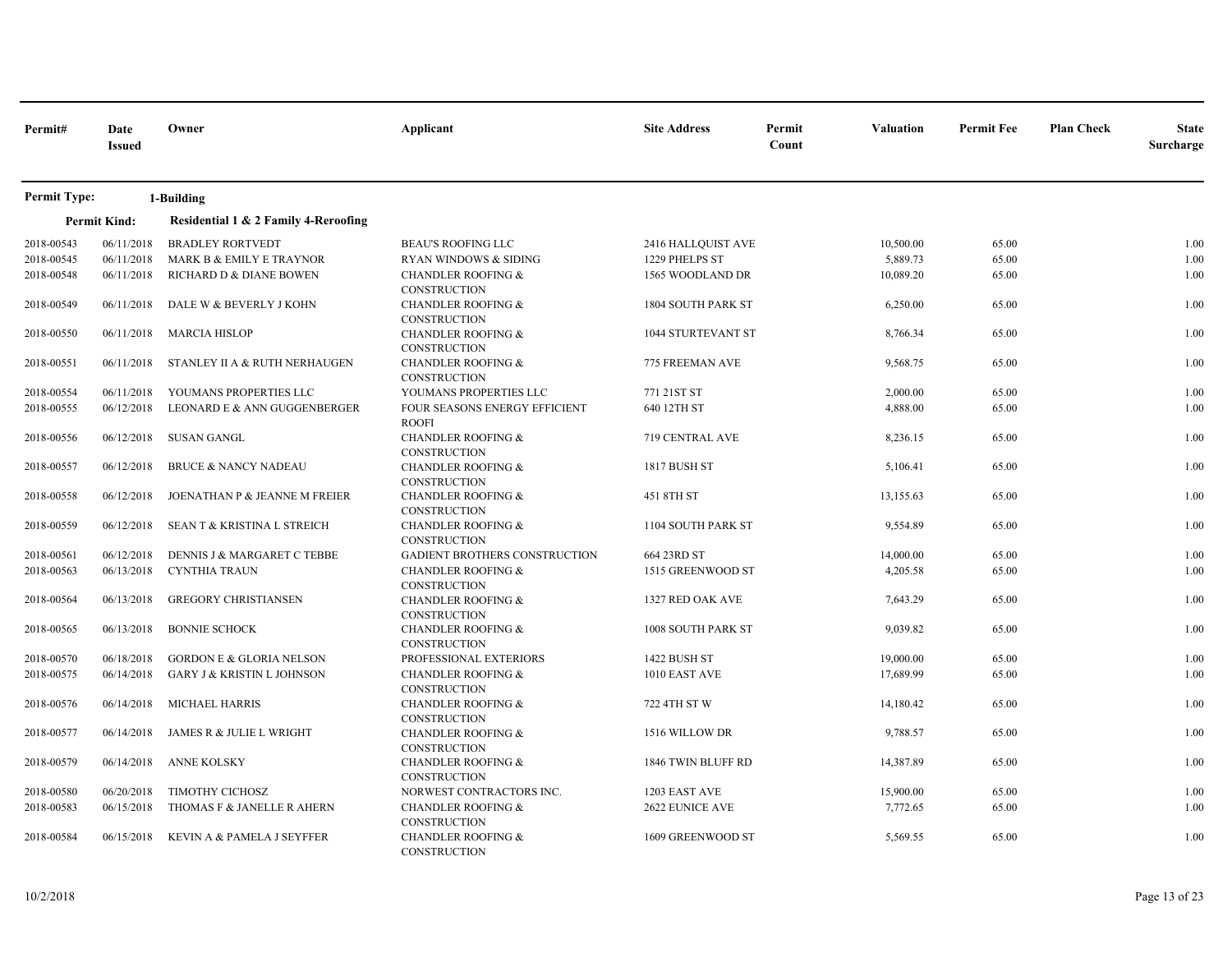| Permit#             | Date<br><b>Issued</b> | Owner                                  | Applicant                                            | <b>Site Address</b>       | Permit<br>Count | <b>Valuation</b> | <b>Permit Fee</b> | <b>Plan Check</b> | <b>State</b><br>Surcharge |
|---------------------|-----------------------|----------------------------------------|------------------------------------------------------|---------------------------|-----------------|------------------|-------------------|-------------------|---------------------------|
| <b>Permit Type:</b> |                       | 1-Building                             |                                                      |                           |                 |                  |                   |                   |                           |
|                     | <b>Permit Kind:</b>   | Residential 1 & 2 Family 4-Reroofing   |                                                      |                           |                 |                  |                   |                   |                           |
| 2018-00543          | 06/11/2018            | <b>BRADLEY RORTVEDT</b>                | <b>BEAU'S ROOFING LLC</b>                            | 2416 HALLQUIST AVE        |                 | 10,500.00        | 65.00             |                   | 1.00                      |
| 2018-00545          | 06/11/2018            | MARK B & EMILY E TRAYNOR               | RYAN WINDOWS & SIDING                                | 1229 PHELPS ST            |                 | 5,889.73         | 65.00             |                   | 1.00                      |
| 2018-00548          | 06/11/2018            | RICHARD D & DIANE BOWEN                | <b>CHANDLER ROOFING &amp;</b><br>CONSTRUCTION        | 1565 WOODLAND DR          |                 | 10,089.20        | 65.00             |                   | 1.00                      |
| 2018-00549          | 06/11/2018            | DALE W & BEVERLY J KOHN                | <b>CHANDLER ROOFING &amp;</b><br><b>CONSTRUCTION</b> | <b>1804 SOUTH PARK ST</b> |                 | 6,250.00         | 65.00             |                   | 1.00                      |
| 2018-00550          | 06/11/2018            | <b>MARCIA HISLOP</b>                   | <b>CHANDLER ROOFING &amp;</b><br><b>CONSTRUCTION</b> | <b>1044 STURTEVANT ST</b> |                 | 8,766.34         | 65.00             |                   | 1.00                      |
| 2018-00551          | 06/11/2018            | STANLEY II A & RUTH NERHAUGEN          | <b>CHANDLER ROOFING &amp;</b><br><b>CONSTRUCTION</b> | 775 FREEMAN AVE           |                 | 9,568.75         | 65.00             |                   | 1.00                      |
| 2018-00554          | 06/11/2018            | YOUMANS PROPERTIES LLC                 | YOUMANS PROPERTIES LLC                               | 771 21ST ST               |                 | 2,000.00         | 65.00             |                   | 1.00                      |
| 2018-00555          | 06/12/2018            | LEONARD E & ANN GUGGENBERGER           | FOUR SEASONS ENERGY EFFICIENT<br><b>ROOFI</b>        | 640 12TH ST               |                 | 4,888.00         | 65.00             |                   | 1.00                      |
| 2018-00556          | 06/12/2018            | <b>SUSAN GANGL</b>                     | <b>CHANDLER ROOFING &amp;</b><br><b>CONSTRUCTION</b> | 719 CENTRAL AVE           |                 | 8,236.15         | 65.00             |                   | 1.00                      |
| 2018-00557          | 06/12/2018            | <b>BRUCE &amp; NANCY NADEAU</b>        | <b>CHANDLER ROOFING &amp;</b><br><b>CONSTRUCTION</b> | 1817 BUSH ST              |                 | 5,106.41         | 65.00             |                   | 1.00                      |
| 2018-00558          | 06/12/2018            | JOENATHAN P & JEANNE M FREIER          | <b>CHANDLER ROOFING &amp;</b><br><b>CONSTRUCTION</b> | 451 8TH ST                |                 | 13,155.63        | 65.00             |                   | 1.00                      |
| 2018-00559          | 06/12/2018            | <b>SEAN T &amp; KRISTINA L STREICH</b> | <b>CHANDLER ROOFING &amp;</b><br><b>CONSTRUCTION</b> | 1104 SOUTH PARK ST        |                 | 9,554.89         | 65.00             |                   | 1.00                      |
| 2018-00561          | 06/12/2018            | DENNIS J & MARGARET C TEBBE            | GADIENT BROTHERS CONSTRUCTION                        | 664 23RD ST               |                 | 14,000.00        | 65.00             |                   | 1.00                      |
| 2018-00563          | 06/13/2018            | <b>CYNTHIA TRAUN</b>                   | <b>CHANDLER ROOFING &amp;</b><br><b>CONSTRUCTION</b> | 1515 GREENWOOD ST         |                 | 4,205.58         | 65.00             |                   | 1.00                      |
| 2018-00564          | 06/13/2018            | <b>GREGORY CHRISTIANSEN</b>            | <b>CHANDLER ROOFING &amp;</b><br>CONSTRUCTION        | 1327 RED OAK AVE          |                 | 7,643.29         | 65.00             |                   | 1.00                      |
| 2018-00565          | 06/13/2018            | <b>BONNIE SCHOCK</b>                   | <b>CHANDLER ROOFING &amp;</b><br><b>CONSTRUCTION</b> | 1008 SOUTH PARK ST        |                 | 9,039.82         | 65.00             |                   | 1.00                      |
| 2018-00570          | 06/18/2018            | <b>GORDON E &amp; GLORIA NELSON</b>    | PROFESSIONAL EXTERIORS                               | 1422 BUSH ST              |                 | 19,000.00        | 65.00             |                   | 1.00                      |
| 2018-00575          | 06/14/2018            | <b>GARY J &amp; KRISTIN L JOHNSON</b>  | <b>CHANDLER ROOFING &amp;</b><br><b>CONSTRUCTION</b> | 1010 EAST AVE             |                 | 17,689.99        | 65.00             |                   | 1.00                      |
| 2018-00576          | 06/14/2018            | MICHAEL HARRIS                         | <b>CHANDLER ROOFING &amp;</b><br><b>CONSTRUCTION</b> | 722 4TH ST W              |                 | 14,180.42        | 65.00             |                   | 1.00                      |
| 2018-00577          | 06/14/2018            | JAMES R & JULIE L WRIGHT               | <b>CHANDLER ROOFING &amp;</b><br>CONSTRUCTION        | 1516 WILLOW DR            |                 | 9,788.57         | 65.00             |                   | 1.00                      |
| 2018-00579          | 06/14/2018            | <b>ANNE KOLSKY</b>                     | <b>CHANDLER ROOFING &amp;</b><br><b>CONSTRUCTION</b> | 1846 TWIN BLUFF RD        |                 | 14,387.89        | 65.00             |                   | 1.00                      |
| 2018-00580          | 06/20/2018            | TIMOTHY CICHOSZ                        | NORWEST CONTRACTORS INC.                             | 1203 EAST AVE             |                 | 15,900.00        | 65.00             |                   | 1.00                      |
| 2018-00583          | 06/15/2018            | THOMAS F & JANELLE R AHERN             | <b>CHANDLER ROOFING &amp;</b><br><b>CONSTRUCTION</b> | <b>2622 EUNICE AVE</b>    |                 | 7,772.65         | 65.00             |                   | 1.00                      |
| 2018-00584          | 06/15/2018            | KEVIN A & PAMELA J SEYFFER             | <b>CHANDLER ROOFING &amp;</b><br>CONSTRUCTION        | 1609 GREENWOOD ST         |                 | 5,569.55         | 65.00             |                   | 1.00                      |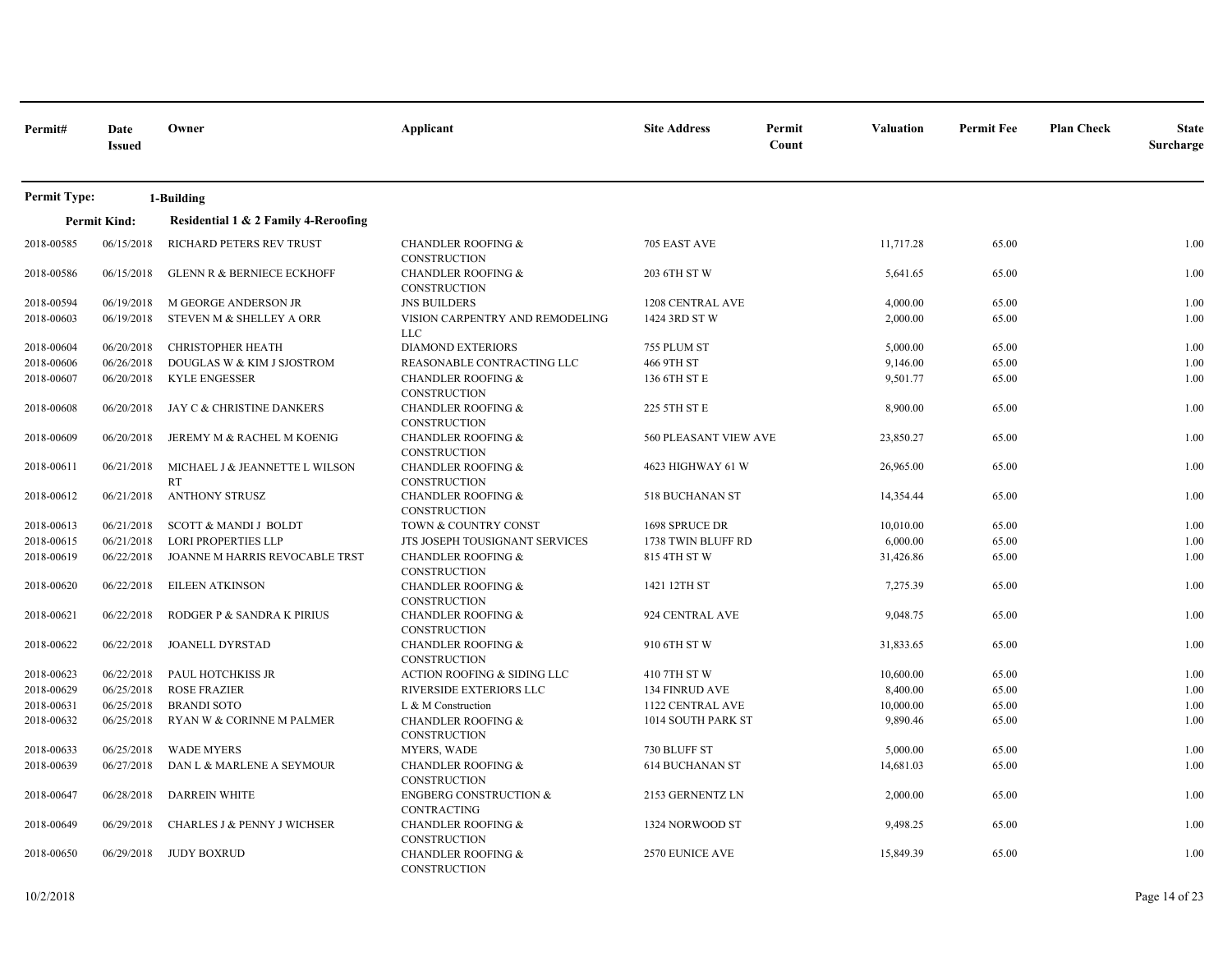| Permit#             | Date<br><b>Issued</b> | Owner                                       | Applicant                                            | <b>Site Address</b>    | Permit<br>Count | <b>Valuation</b> | <b>Permit Fee</b> | <b>Plan Check</b> | <b>State</b><br>Surcharge |
|---------------------|-----------------------|---------------------------------------------|------------------------------------------------------|------------------------|-----------------|------------------|-------------------|-------------------|---------------------------|
| <b>Permit Type:</b> |                       | 1-Building                                  |                                                      |                        |                 |                  |                   |                   |                           |
|                     | <b>Permit Kind:</b>   | Residential 1 & 2 Family 4-Reroofing        |                                                      |                        |                 |                  |                   |                   |                           |
| 2018-00585          | 06/15/2018            | RICHARD PETERS REV TRUST                    | <b>CHANDLER ROOFING &amp;</b><br><b>CONSTRUCTION</b> | 705 EAST AVE           |                 | 11,717.28        | 65.00             |                   | 1.00                      |
| 2018-00586          | 06/15/2018            | <b>GLENN R &amp; BERNIECE ECKHOFF</b>       | <b>CHANDLER ROOFING &amp;</b><br>CONSTRUCTION        | 203 6TH ST W           |                 | 5,641.65         | 65.00             |                   | 1.00                      |
| 2018-00594          | 06/19/2018            | M GEORGE ANDERSON JR                        | <b>JNS BUILDERS</b>                                  | 1208 CENTRAL AVE       |                 | 4,000.00         | 65.00             |                   | 1.00                      |
| 2018-00603          | 06/19/2018            | STEVEN M & SHELLEY A ORR                    | VISION CARPENTRY AND REMODELING<br>LLC               | 1424 3RD ST W          |                 | 2,000.00         | 65.00             |                   | 1.00                      |
| 2018-00604          | 06/20/2018            | <b>CHRISTOPHER HEATH</b>                    | <b>DIAMOND EXTERIORS</b>                             | 755 PLUM ST            |                 | 5,000.00         | 65.00             |                   | 1.00                      |
| 2018-00606          | 06/26/2018            | DOUGLAS W & KIM J SJOSTROM                  | REASONABLE CONTRACTING LLC                           | 466 9TH ST             |                 | 9,146.00         | 65.00             |                   | 1.00                      |
| 2018-00607          | 06/20/2018            | <b>KYLE ENGESSER</b>                        | <b>CHANDLER ROOFING &amp;</b><br><b>CONSTRUCTION</b> | 136 6TH ST E           |                 | 9,501.77         | 65.00             |                   | 1.00                      |
| 2018-00608          | 06/20/2018            | JAY C & CHRISTINE DANKERS                   | CHANDLER ROOFING &<br>CONSTRUCTION                   | 225 5TH ST E           |                 | 8,900.00         | 65.00             |                   | 1.00                      |
| 2018-00609          | 06/20/2018            | JEREMY M & RACHEL M KOENIG                  | <b>CHANDLER ROOFING &amp;</b><br><b>CONSTRUCTION</b> | 560 PLEASANT VIEW AVE  |                 | 23,850.27        | 65.00             |                   | 1.00                      |
| 2018-00611          | 06/21/2018            | MICHAEL J & JEANNETTE L WILSON<br><b>RT</b> | <b>CHANDLER ROOFING &amp;</b><br>CONSTRUCTION        | 4623 HIGHWAY 61 W      |                 | 26,965.00        | 65.00             |                   | 1.00                      |
| 2018-00612          | 06/21/2018            | <b>ANTHONY STRUSZ</b>                       | <b>CHANDLER ROOFING &amp;</b><br>CONSTRUCTION        | 518 BUCHANAN ST        |                 | 14,354.44        | 65.00             |                   | 1.00                      |
| 2018-00613          | 06/21/2018            | <b>SCOTT &amp; MANDI J BOLDT</b>            | TOWN & COUNTRY CONST                                 | 1698 SPRUCE DR         |                 | 10,010.00        | 65.00             |                   | 1.00                      |
| 2018-00615          | 06/21/2018            | <b>LORI PROPERTIES LLP</b>                  | JTS JOSEPH TOUSIGNANT SERVICES                       | 1738 TWIN BLUFF RD     |                 | 6,000.00         | 65.00             |                   | 1.00                      |
| 2018-00619          | 06/22/2018            | JOANNE M HARRIS REVOCABLE TRST              | <b>CHANDLER ROOFING &amp;</b><br>CONSTRUCTION        | 815 4TH ST W           |                 | 31,426.86        | 65.00             |                   | 1.00                      |
| 2018-00620          | 06/22/2018            | <b>EILEEN ATKINSON</b>                      | <b>CHANDLER ROOFING &amp;</b><br><b>CONSTRUCTION</b> | 1421 12TH ST           |                 | 7,275.39         | 65.00             |                   | 1.00                      |
| 2018-00621          | 06/22/2018            | RODGER P & SANDRA K PIRIUS                  | <b>CHANDLER ROOFING &amp;</b><br><b>CONSTRUCTION</b> | 924 CENTRAL AVE        |                 | 9,048.75         | 65.00             |                   | 1.00                      |
| 2018-00622          | 06/22/2018            | <b>JOANELL DYRSTAD</b>                      | <b>CHANDLER ROOFING &amp;</b><br><b>CONSTRUCTION</b> | 910 6TH ST W           |                 | 31,833.65        | 65.00             |                   | 1.00                      |
| 2018-00623          | 06/22/2018            | PAUL HOTCHKISS JR                           | ACTION ROOFING & SIDING LLC                          | 410 7TH ST W           |                 | 10,600.00        | 65.00             |                   | 1.00                      |
| 2018-00629          | 06/25/2018            | <b>ROSE FRAZIER</b>                         | RIVERSIDE EXTERIORS LLC                              | 134 FINRUD AVE         |                 | 8,400.00         | 65.00             |                   | 1.00                      |
| 2018-00631          | 06/25/2018            | <b>BRANDI SOTO</b>                          | L & M Construction                                   | 1122 CENTRAL AVE       |                 | 10,000.00        | 65.00             |                   | 1.00                      |
| 2018-00632          | 06/25/2018            | RYAN W & CORINNE M PALMER                   | <b>CHANDLER ROOFING &amp;</b><br><b>CONSTRUCTION</b> | 1014 SOUTH PARK ST     |                 | 9,890.46         | 65.00             |                   | 1.00                      |
| 2018-00633          | 06/25/2018            | <b>WADE MYERS</b>                           | MYERS, WADE                                          | 730 BLUFF ST           |                 | 5,000.00         | 65.00             |                   | 1.00                      |
| 2018-00639          | 06/27/2018            | DAN L & MARLENE A SEYMOUR                   | <b>CHANDLER ROOFING &amp;</b><br>CONSTRUCTION        | <b>614 BUCHANAN ST</b> |                 | 14,681.03        | 65.00             |                   | 1.00                      |
| 2018-00647          | 06/28/2018            | <b>DARREIN WHITE</b>                        | <b>ENGBERG CONSTRUCTION &amp;</b><br>CONTRACTING     | 2153 GERNENTZ LN       |                 | 2,000.00         | 65.00             |                   | 1.00                      |
| 2018-00649          | 06/29/2018            | CHARLES J & PENNY J WICHSER                 | <b>CHANDLER ROOFING &amp;</b><br><b>CONSTRUCTION</b> | 1324 NORWOOD ST        |                 | 9,498.25         | 65.00             |                   | 1.00                      |
| 2018-00650          | 06/29/2018            | <b>JUDY BOXRUD</b>                          | <b>CHANDLER ROOFING &amp;</b><br>CONSTRUCTION        | <b>2570 EUNICE AVE</b> |                 | 15,849.39        | 65.00             |                   | 1.00                      |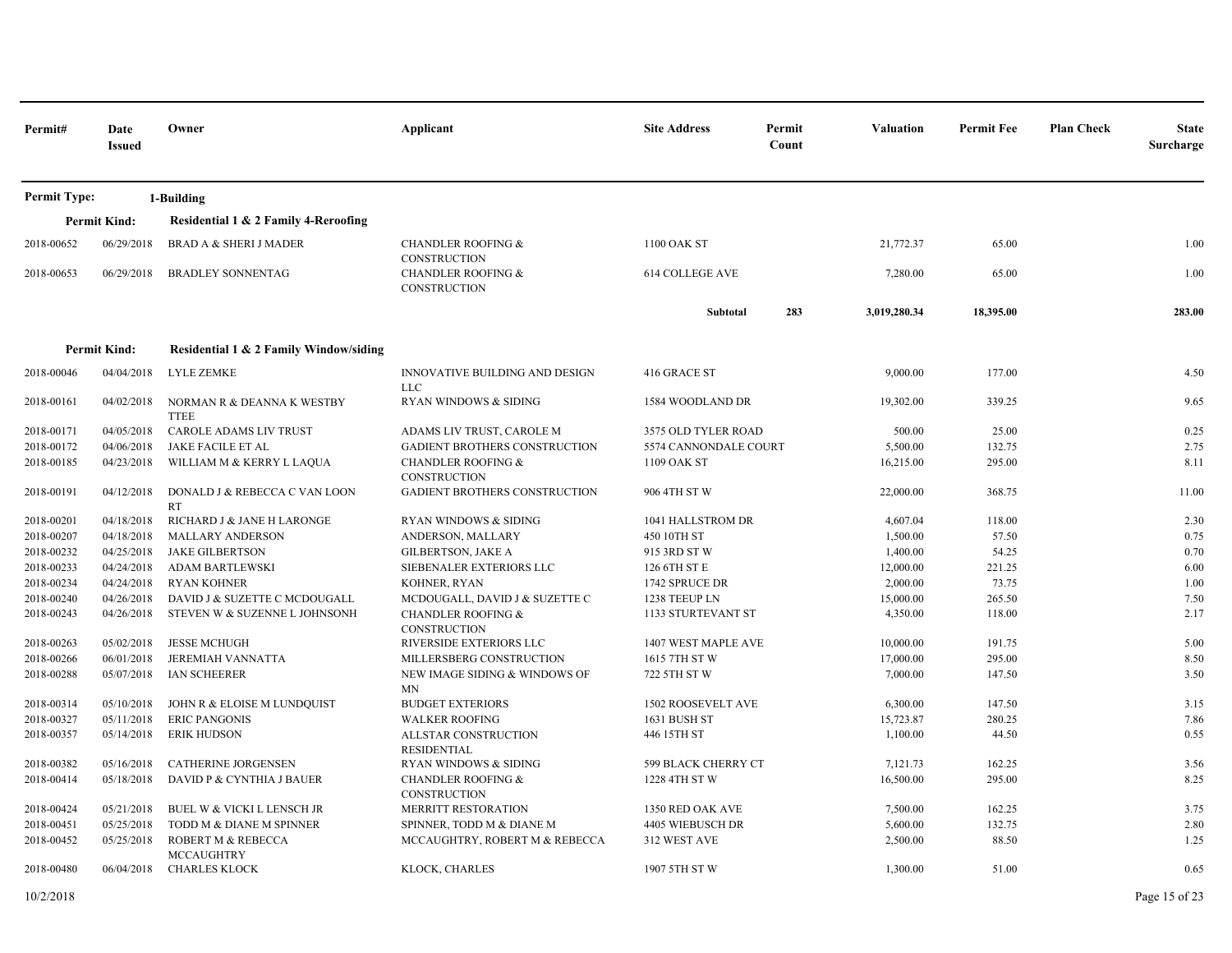| Permit#             | Date<br><b>Issued</b> | Owner                                      | Applicant                                            | <b>Site Address</b>       | Permit<br>Count | <b>Valuation</b> | <b>Permit Fee</b> | <b>Plan Check</b><br><b>State</b><br>Surcharge |
|---------------------|-----------------------|--------------------------------------------|------------------------------------------------------|---------------------------|-----------------|------------------|-------------------|------------------------------------------------|
| <b>Permit Type:</b> |                       | 1-Building                                 |                                                      |                           |                 |                  |                   |                                                |
|                     | <b>Permit Kind:</b>   | Residential 1 & 2 Family 4-Reroofing       |                                                      |                           |                 |                  |                   |                                                |
| 2018-00652          | 06/29/2018            | <b>BRAD A &amp; SHERI J MADER</b>          | <b>CHANDLER ROOFING &amp;</b><br><b>CONSTRUCTION</b> | 1100 OAK ST               |                 | 21,772.37        | 65.00             | 1.00                                           |
| 2018-00653          | 06/29/2018            | <b>BRADLEY SONNENTAG</b>                   | <b>CHANDLER ROOFING &amp;</b><br><b>CONSTRUCTION</b> | 614 COLLEGE AVE           |                 | 7,280.00         | 65.00             | 1.00                                           |
|                     |                       |                                            |                                                      | Subtotal                  | 283             | 3,019,280.34     | 18,395.00         | 283.00                                         |
|                     | <b>Permit Kind:</b>   | Residential 1 & 2 Family Window/siding     |                                                      |                           |                 |                  |                   |                                                |
| 2018-00046          | 04/04/2018            | LYLE ZEMKE                                 | INNOVATIVE BUILDING AND DESIGN<br><b>LLC</b>         | 416 GRACE ST              |                 | 9,000.00         | 177.00            | 4.50                                           |
| 2018-00161          | 04/02/2018            | NORMAN R & DEANNA K WESTBY<br><b>TTEE</b>  | RYAN WINDOWS & SIDING                                | 1584 WOODLAND DR          |                 | 19,302.00        | 339.25            | 9.65                                           |
| 2018-00171          | 04/05/2018            | CAROLE ADAMS LIV TRUST                     | ADAMS LIV TRUST, CAROLE M                            | 3575 OLD TYLER ROAD       |                 | 500.00           | 25.00             | 0.25                                           |
| 2018-00172          | 04/06/2018            | JAKE FACILE ET AL                          | GADIENT BROTHERS CONSTRUCTION                        | 5574 CANNONDALE COURT     |                 | 5,500.00         | 132.75            | 2.75                                           |
| 2018-00185          | 04/23/2018            | WILLIAM M & KERRY L LAQUA                  | <b>CHANDLER ROOFING &amp;</b><br><b>CONSTRUCTION</b> | 1109 OAK ST               |                 | 16,215.00        | 295.00            | 8.11                                           |
| 2018-00191          | 04/12/2018            | DONALD J & REBECCA C VAN LOON<br><b>RT</b> | GADIENT BROTHERS CONSTRUCTION                        | 906 4TH ST W              |                 | 22,000.00        | 368.75            | 11.00                                          |
| 2018-00201          | 04/18/2018            | RICHARD J & JANE H LARONGE                 | <b>RYAN WINDOWS &amp; SIDING</b>                     | 1041 HALLSTROM DR         |                 | 4,607.04         | 118.00            | 2.30                                           |
| 2018-00207          | 04/18/2018            | <b>MALLARY ANDERSON</b>                    | ANDERSON, MALLARY                                    | 450 10TH ST               |                 | 1,500.00         | 57.50             | 0.75                                           |
| 2018-00232          | 04/25/2018            | <b>JAKE GILBERTSON</b>                     | <b>GILBERTSON, JAKE A</b>                            | 915 3RD ST W              |                 | 1,400.00         | 54.25             | 0.70                                           |
| 2018-00233          | 04/24/2018            | <b>ADAM BARTLEWSKI</b>                     | SIEBENALER EXTERIORS LLC                             | 126 6TH ST E              |                 | 12,000.00        | 221.25            | 6.00                                           |
| 2018-00234          | 04/24/2018            | <b>RYAN KOHNER</b>                         | KOHNER, RYAN                                         | 1742 SPRUCE DR            |                 | 2,000.00         | 73.75             | 1.00                                           |
| 2018-00240          | 04/26/2018            | DAVID J & SUZETTE C MCDOUGALL              | MCDOUGALL, DAVID J & SUZETTE C                       | 1238 TEEUP LN             |                 | 15,000.00        | 265.50            | 7.50                                           |
| 2018-00243          | 04/26/2018            | STEVEN W & SUZENNE L JOHNSONH              | <b>CHANDLER ROOFING &amp;</b><br>CONSTRUCTION        | <b>1133 STURTEVANT ST</b> |                 | 4,350.00         | 118.00            | 2.17                                           |
| 2018-00263          | 05/02/2018            | <b>JESSE MCHUGH</b>                        | RIVERSIDE EXTERIORS LLC                              | 1407 WEST MAPLE AVE       |                 | 10,000.00        | 191.75            | 5.00                                           |
| 2018-00266          | 06/01/2018            | JEREMIAH VANNATTA                          | MILLERSBERG CONSTRUCTION                             | 1615 7TH ST W             |                 | 17,000.00        | 295.00            | 8.50                                           |
| 2018-00288          | 05/07/2018            | <b>IAN SCHEERER</b>                        | NEW IMAGE SIDING & WINDOWS OF<br>MN                  | 722 5TH ST W              |                 | 7,000.00         | 147.50            | 3.50                                           |
| 2018-00314          | 05/10/2018            | JOHN R & ELOISE M LUNDQUIST                | <b>BUDGET EXTERIORS</b>                              | 1502 ROOSEVELT AVE        |                 | 6,300.00         | 147.50            | 3.15                                           |
| 2018-00327          | 05/11/2018            | <b>ERIC PANGONIS</b>                       | <b>WALKER ROOFING</b>                                | 1631 BUSH ST              |                 | 15,723.87        | 280.25            | 7.86                                           |
| 2018-00357          | 05/14/2018            | <b>ERIK HUDSON</b>                         | ALLSTAR CONSTRUCTION<br><b>RESIDENTIAL</b>           | 446 15TH ST               |                 | 1,100.00         | 44.50             | 0.55                                           |
| 2018-00382          | 05/16/2018            | <b>CATHERINE JORGENSEN</b>                 | <b>RYAN WINDOWS &amp; SIDING</b>                     | 599 BLACK CHERRY CT       |                 | 7,121.73         | 162.25            | 3.56                                           |
| 2018-00414          | 05/18/2018            | DAVID P & CYNTHIA J BAUER                  | <b>CHANDLER ROOFING &amp;</b><br>CONSTRUCTION        | 1228 4TH ST W             |                 | 16,500.00        | 295.00            | 8.25                                           |
| 2018-00424          | 05/21/2018            | BUEL W & VICKI L LENSCH JR                 | MERRITT RESTORATION                                  | 1350 RED OAK AVE          |                 | 7,500.00         | 162.25            | 3.75                                           |
| 2018-00451          | 05/25/2018            | TODD M & DIANE M SPINNER                   | SPINNER, TODD M & DIANE M                            | 4405 WIEBUSCH DR          |                 | 5,600.00         | 132.75            | 2.80                                           |
| 2018-00452          | 05/25/2018            | ROBERT M & REBECCA<br><b>MCCAUGHTRY</b>    | MCCAUGHTRY, ROBERT M & REBECCA                       | 312 WEST AVE              |                 | 2,500.00         | 88.50             | 1.25                                           |
| 2018-00480          | 06/04/2018            | <b>CHARLES KLOCK</b>                       | KLOCK, CHARLES                                       | 1907 5TH ST W             |                 | 1,300.00         | 51.00             | 0.65                                           |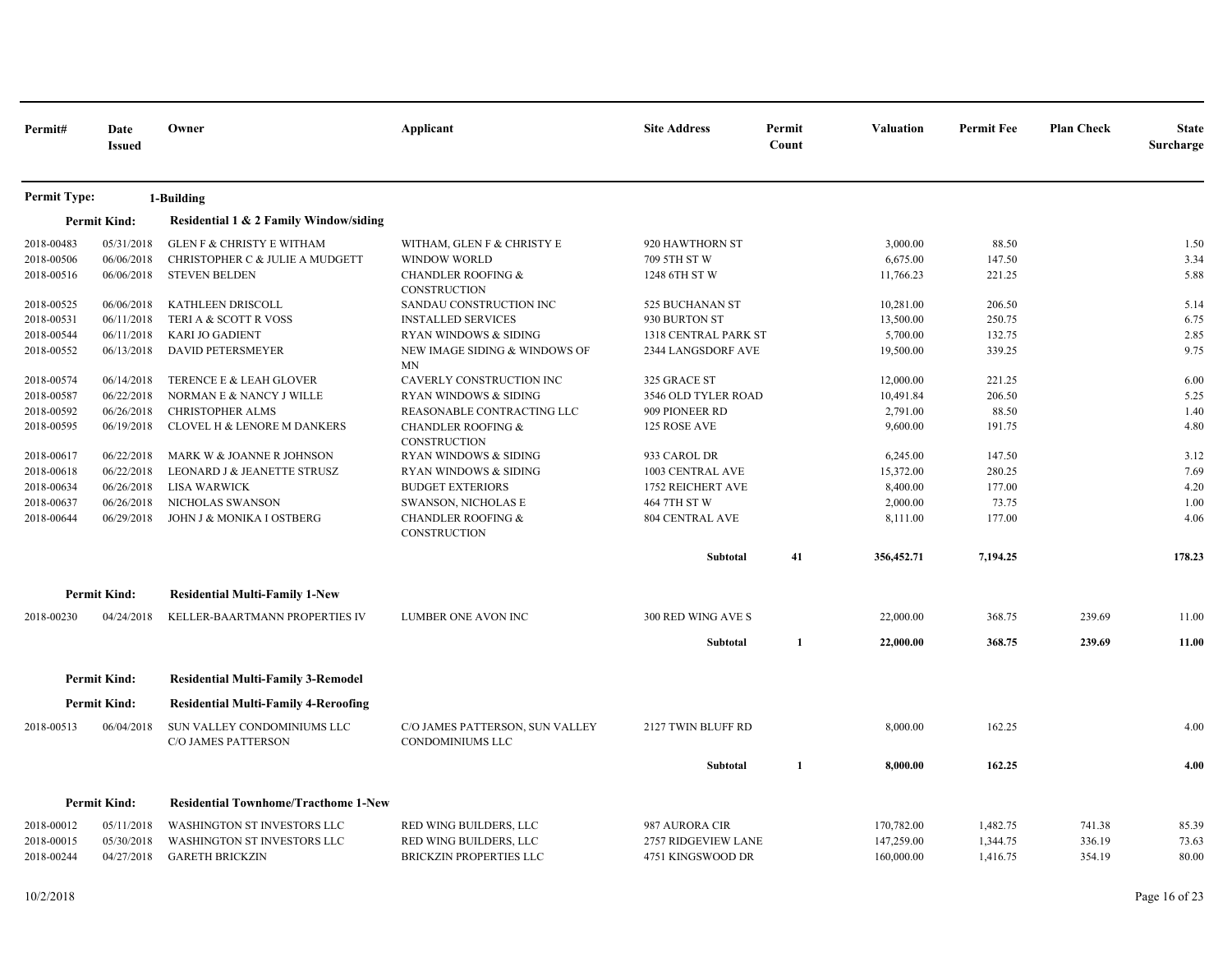| Permit#             | Date<br><b>Issued</b> | Owner                                                     | Applicant                                                  | <b>Site Address</b>                   | Permit<br>Count  | Valuation  | <b>Permit Fee</b> | <b>Plan Check</b> | <b>State</b><br>Surcharge |
|---------------------|-----------------------|-----------------------------------------------------------|------------------------------------------------------------|---------------------------------------|------------------|------------|-------------------|-------------------|---------------------------|
| <b>Permit Type:</b> |                       | 1-Building                                                |                                                            |                                       |                  |            |                   |                   |                           |
|                     | <b>Permit Kind:</b>   | Residential 1 & 2 Family Window/siding                    |                                                            |                                       |                  |            |                   |                   |                           |
| 2018-00483          | 05/31/2018            | <b>GLEN F &amp; CHRISTY E WITHAM</b>                      | WITHAM, GLEN F & CHRISTY E                                 | 920 HAWTHORN ST                       |                  | 3,000.00   | 88.50             |                   | 1.50                      |
| 2018-00506          | 06/06/2018            | CHRISTOPHER C & JULIE A MUDGETT                           | <b>WINDOW WORLD</b>                                        | 709 5TH ST W                          |                  | 6,675.00   | 147.50            |                   | 3.34                      |
| 2018-00516          | 06/06/2018            | <b>STEVEN BELDEN</b>                                      | <b>CHANDLER ROOFING &amp;</b><br>CONSTRUCTION              | 1248 6TH ST W                         |                  |            | 221.25            |                   | 5.88                      |
| 2018-00525          | 06/06/2018            | KATHLEEN DRISCOLL                                         | SANDAU CONSTRUCTION INC                                    | 525 BUCHANAN ST                       |                  | 10,281.00  | 206.50            |                   | 5.14                      |
| 2018-00531          | 06/11/2018            | TERI A & SCOTT R VOSS                                     | <b>INSTALLED SERVICES</b>                                  | 930 BURTON ST                         |                  | 13,500.00  | 250.75            |                   | 6.75                      |
| 2018-00544          | 06/11/2018            | <b>KARI JO GADIENT</b>                                    | <b>RYAN WINDOWS &amp; SIDING</b>                           | 1318 CENTRAL PARK ST                  |                  | 5,700.00   | 132.75            |                   | 2.85                      |
| 2018-00552          | 06/13/2018            | <b>DAVID PETERSMEYER</b>                                  | NEW IMAGE SIDING & WINDOWS OF<br><b>MN</b>                 | 19,500.00<br>2344 LANGSDORF AVE       |                  | 339.25     |                   | 9.75              |                           |
| 2018-00574          | 06/14/2018            | TERENCE E & LEAH GLOVER                                   | CAVERLY CONSTRUCTION INC                                   | 325 GRACE ST                          |                  | 12,000.00  | 221.25            |                   | 6.00                      |
| 2018-00587          | 06/22/2018            | NORMAN E & NANCY J WILLE                                  | <b>RYAN WINDOWS &amp; SIDING</b>                           | 3546 OLD TYLER ROAD<br>909 PIONEER RD |                  | 10,491.84  | 206.50            |                   | 5.25                      |
| 2018-00592          | 06/26/2018            | <b>CHRISTOPHER ALMS</b>                                   | REASONABLE CONTRACTING LLC                                 |                                       |                  | 2,791.00   | 88.50             |                   | 1.40                      |
| 2018-00595          | 06/19/2018            | CLOVEL H & LENORE M DANKERS                               | <b>CHANDLER ROOFING &amp;</b><br>CONSTRUCTION              | 125 ROSE AVE<br>9,600.00<br>6,245.00  |                  | 191.75     |                   | 4.80              |                           |
| 2018-00617          | 06/22/2018            | MARK W & JOANNE R JOHNSON                                 | RYAN WINDOWS & SIDING                                      |                                       | 933 CAROL DR     |            | 147.50            |                   | 3.12                      |
| 2018-00618          | 06/22/2018            | LEONARD J & JEANETTE STRUSZ                               | RYAN WINDOWS & SIDING                                      |                                       | 1003 CENTRAL AVE |            | 280.25            |                   | 7.69                      |
| 2018-00634          | 06/26/2018            | LISA WARWICK                                              | <b>BUDGET EXTERIORS</b>                                    | 1752 REICHERT AVE                     |                  | 8,400.00   | 177.00            |                   | 4.20                      |
| 2018-00637          | 06/26/2018            | NICHOLAS SWANSON                                          | SWANSON, NICHOLAS E                                        | 464 7TH ST W                          |                  | 2,000.00   | 73.75             |                   | 1.00                      |
| 2018-00644          | 06/29/2018            | JOHN J & MONIKA I OSTBERG                                 | <b>CHANDLER ROOFING &amp;</b><br>CONSTRUCTION              | <b>804 CENTRAL AVE</b>                |                  | 8,111.00   | 177.00            |                   | 4.06                      |
|                     |                       |                                                           |                                                            | Subtotal                              | 41               | 356,452.71 | 7,194.25          |                   | 178.23                    |
|                     | <b>Permit Kind:</b>   | <b>Residential Multi-Family 1-New</b>                     |                                                            |                                       |                  |            |                   |                   |                           |
| 2018-00230          | 04/24/2018            | KELLER-BAARTMANN PROPERTIES IV                            | LUMBER ONE AVON INC                                        | 300 RED WING AVE S                    |                  | 22,000.00  | 368.75            | 239.69            | 11.00                     |
|                     |                       |                                                           |                                                            | Subtotal                              | 1                | 22,000.00  | 368.75            | 239.69            | 11.00                     |
|                     | <b>Permit Kind:</b>   | <b>Residential Multi-Family 3-Remodel</b>                 |                                                            |                                       |                  |            |                   |                   |                           |
|                     | <b>Permit Kind:</b>   | <b>Residential Multi-Family 4-Reroofing</b>               |                                                            |                                       |                  |            |                   |                   |                           |
| 2018-00513          | 06/04/2018            | SUN VALLEY CONDOMINIUMS LLC<br><b>C/O JAMES PATTERSON</b> | C/O JAMES PATTERSON, SUN VALLEY<br><b>CONDOMINIUMS LLC</b> | 2127 TWIN BLUFF RD                    |                  | 8,000.00   | 162.25            |                   | 4.00                      |
|                     |                       |                                                           |                                                            | Subtotal                              | $\mathbf{1}$     | 8,000.00   | 162.25            |                   | 4.00                      |
|                     | <b>Permit Kind:</b>   | <b>Residential Townhome/Tracthome 1-New</b>               |                                                            |                                       |                  |            |                   |                   |                           |
| 2018-00012          | 05/11/2018            | <b>WASHINGTON ST INVESTORS LLC</b>                        | RED WING BUILDERS, LLC                                     | 987 AURORA CIR                        |                  | 170,782.00 | 1,482.75          | 741.38            | 85.39                     |
| 2018-00015          | 05/30/2018            | <b>WASHINGTON ST INVESTORS LLC</b>                        | RED WING BUILDERS, LLC                                     | 2757 RIDGEVIEW LANE                   |                  | 147,259.00 | 1,344.75          | 336.19            | 73.63                     |
| 2018-00244          | 04/27/2018            | <b>GARETH BRICKZIN</b>                                    | <b>BRICKZIN PROPERTIES LLC</b>                             | 4751 KINGSWOOD DR                     |                  | 160,000.00 | 1,416.75          | 354.19            | 80.00                     |
|                     |                       |                                                           |                                                            |                                       |                  |            |                   |                   |                           |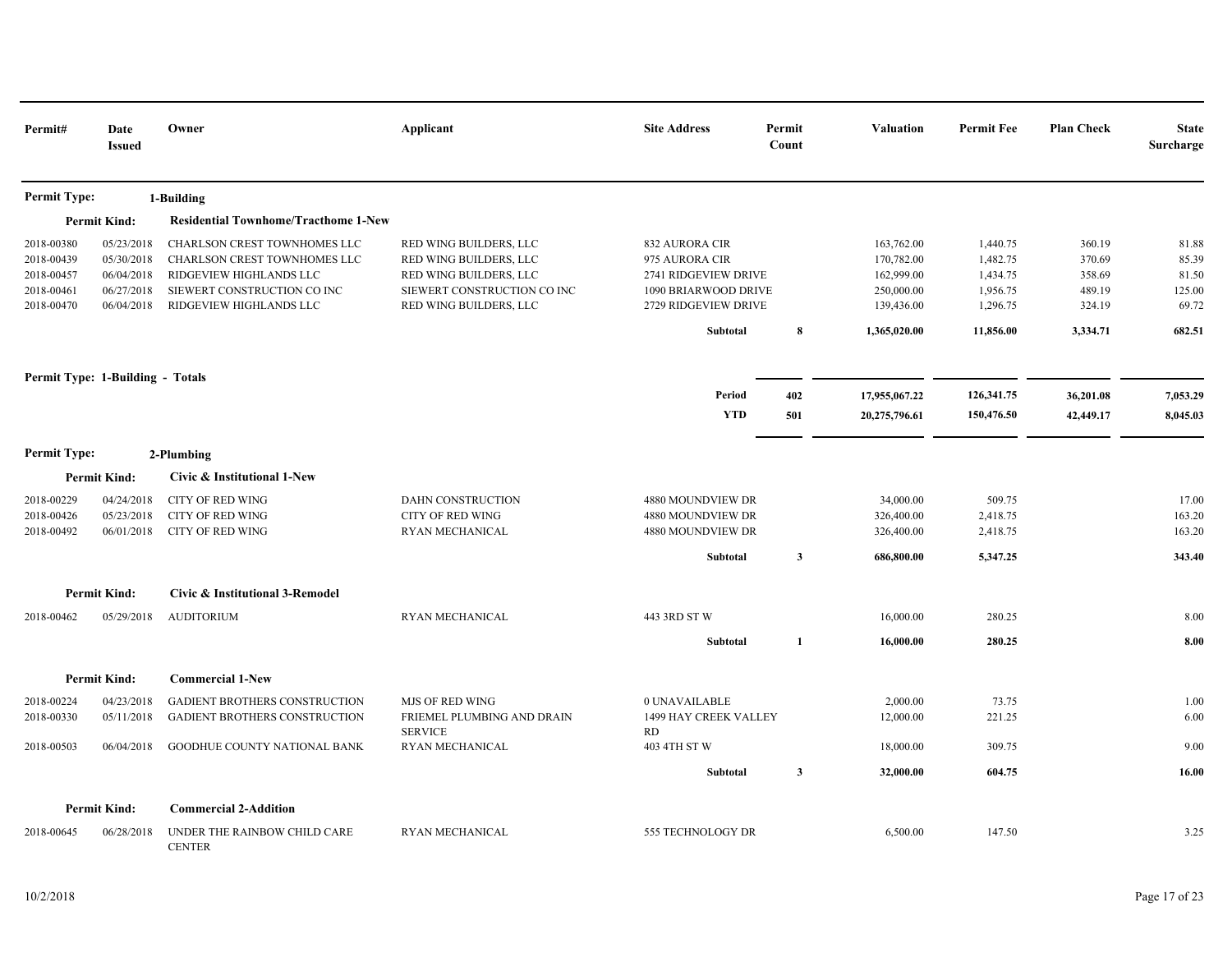| Permit#                                                            | Date<br><b>Issued</b>                                              | Owner                                                                                                                                             | Applicant                                                                                                                           | <b>Site Address</b>                                                                                                  | Permit<br>Count | <b>Valuation</b>                                                                   | <b>Permit Fee</b>                                                     | <b>Plan Check</b>                                          | <b>State</b><br>Surcharge                            |
|--------------------------------------------------------------------|--------------------------------------------------------------------|---------------------------------------------------------------------------------------------------------------------------------------------------|-------------------------------------------------------------------------------------------------------------------------------------|----------------------------------------------------------------------------------------------------------------------|-----------------|------------------------------------------------------------------------------------|-----------------------------------------------------------------------|------------------------------------------------------------|------------------------------------------------------|
| <b>Permit Type:</b>                                                |                                                                    | 1-Building                                                                                                                                        |                                                                                                                                     |                                                                                                                      |                 |                                                                                    |                                                                       |                                                            |                                                      |
|                                                                    | <b>Permit Kind:</b>                                                | <b>Residential Townhome/Tracthome 1-New</b>                                                                                                       |                                                                                                                                     |                                                                                                                      |                 |                                                                                    |                                                                       |                                                            |                                                      |
| 2018-00380<br>2018-00439<br>2018-00457<br>2018-00461<br>2018-00470 | 05/23/2018<br>05/30/2018<br>06/04/2018<br>06/27/2018<br>06/04/2018 | CHARLSON CREST TOWNHOMES LLC<br>CHARLSON CREST TOWNHOMES LLC<br>RIDGEVIEW HIGHLANDS LLC<br>SIEWERT CONSTRUCTION CO INC<br>RIDGEVIEW HIGHLANDS LLC | RED WING BUILDERS, LLC<br>RED WING BUILDERS, LLC<br>RED WING BUILDERS, LLC<br>SIEWERT CONSTRUCTION CO INC<br>RED WING BUILDERS, LLC | 832 AURORA CIR<br>975 AURORA CIR<br>2741 RIDGEVIEW DRIVE<br>1090 BRIARWOOD DRIVE<br>2729 RIDGEVIEW DRIVE<br>Subtotal | $\pmb{8}$       | 163,762.00<br>170,782.00<br>162,999.00<br>250,000.00<br>139,436.00<br>1,365,020.00 | 1,440.75<br>1,482.75<br>1,434.75<br>1,956.75<br>1,296.75<br>11,856.00 | 360.19<br>370.69<br>358.69<br>489.19<br>324.19<br>3,334.71 | 81.88<br>85.39<br>81.50<br>125.00<br>69.72<br>682.51 |
|                                                                    | Permit Type: 1-Building - Totals                                   |                                                                                                                                                   |                                                                                                                                     | Period<br><b>YTD</b>                                                                                                 | 402<br>501      | 17,955,067.22<br>20,275,796.61                                                     | 126,341.75<br>150,476.50                                              | 36,201.08<br>42,449.17                                     | 7,053.29<br>8,045.03                                 |
| <b>Permit Type:</b>                                                |                                                                    | 2-Plumbing                                                                                                                                        |                                                                                                                                     |                                                                                                                      |                 |                                                                                    |                                                                       |                                                            |                                                      |
|                                                                    | <b>Permit Kind:</b>                                                | Civic & Institutional 1-New                                                                                                                       |                                                                                                                                     |                                                                                                                      |                 |                                                                                    |                                                                       |                                                            |                                                      |
| 2018-00229<br>2018-00426<br>2018-00492                             | 04/24/2018<br>05/23/2018<br>06/01/2018                             | <b>CITY OF RED WING</b><br>CITY OF RED WING<br><b>CITY OF RED WING</b>                                                                            | DAHN CONSTRUCTION<br><b>CITY OF RED WING</b><br>RYAN MECHANICAL                                                                     | 4880 MOUNDVIEW DR<br>4880 MOUNDVIEW DR<br>4880 MOUNDVIEW DR<br>Subtotal                                              | $\mathbf{3}$    | 34,000.00<br>326,400.00<br>326,400.00<br>686,800.00                                | 509.75<br>2,418.75<br>2,418.75<br>5,347.25                            |                                                            | 17.00<br>163.20<br>163.20<br>343.40                  |
|                                                                    | <b>Permit Kind:</b>                                                | Civic & Institutional 3-Remodel                                                                                                                   |                                                                                                                                     |                                                                                                                      |                 |                                                                                    |                                                                       |                                                            |                                                      |
| 2018-00462                                                         | 05/29/2018                                                         | <b>AUDITORIUM</b>                                                                                                                                 | RYAN MECHANICAL                                                                                                                     | 443 3RD ST W<br>Subtotal                                                                                             | 1               | 16,000.00<br>16,000.00                                                             | 280.25<br>280.25                                                      |                                                            | 8.00<br>8.00                                         |
|                                                                    |                                                                    |                                                                                                                                                   |                                                                                                                                     |                                                                                                                      |                 |                                                                                    |                                                                       |                                                            |                                                      |
|                                                                    | <b>Permit Kind:</b>                                                | <b>Commercial 1-New</b>                                                                                                                           |                                                                                                                                     |                                                                                                                      |                 |                                                                                    |                                                                       |                                                            |                                                      |
| 2018-00224<br>2018-00330                                           | 04/23/2018<br>05/11/2018                                           | GADIENT BROTHERS CONSTRUCTION<br>GADIENT BROTHERS CONSTRUCTION                                                                                    | <b>MJS OF RED WING</b><br>FRIEMEL PLUMBING AND DRAIN<br><b>SERVICE</b>                                                              | 0 UNAVAILABLE<br>1499 HAY CREEK VALLEY<br>RD                                                                         |                 | 2,000.00<br>12,000.00                                                              | 73.75<br>221.25                                                       |                                                            | 1.00<br>6.00                                         |
| 2018-00503                                                         | 06/04/2018                                                         | GOODHUE COUNTY NATIONAL BANK                                                                                                                      | RYAN MECHANICAL                                                                                                                     | 403 4TH ST W                                                                                                         |                 | 18,000.00                                                                          | 309.75                                                                |                                                            | 9.00                                                 |
|                                                                    |                                                                    |                                                                                                                                                   |                                                                                                                                     | Subtotal                                                                                                             | $\mathbf{3}$    | 32,000.00                                                                          | 604.75                                                                |                                                            | 16.00                                                |
|                                                                    | <b>Permit Kind:</b>                                                | <b>Commercial 2-Addition</b>                                                                                                                      |                                                                                                                                     |                                                                                                                      |                 |                                                                                    |                                                                       |                                                            |                                                      |
| 2018-00645                                                         | 06/28/2018                                                         | UNDER THE RAINBOW CHILD CARE<br><b>CENTER</b>                                                                                                     | RYAN MECHANICAL                                                                                                                     | 555 TECHNOLOGY DR                                                                                                    |                 | 6,500.00                                                                           | 147.50                                                                |                                                            | 3.25                                                 |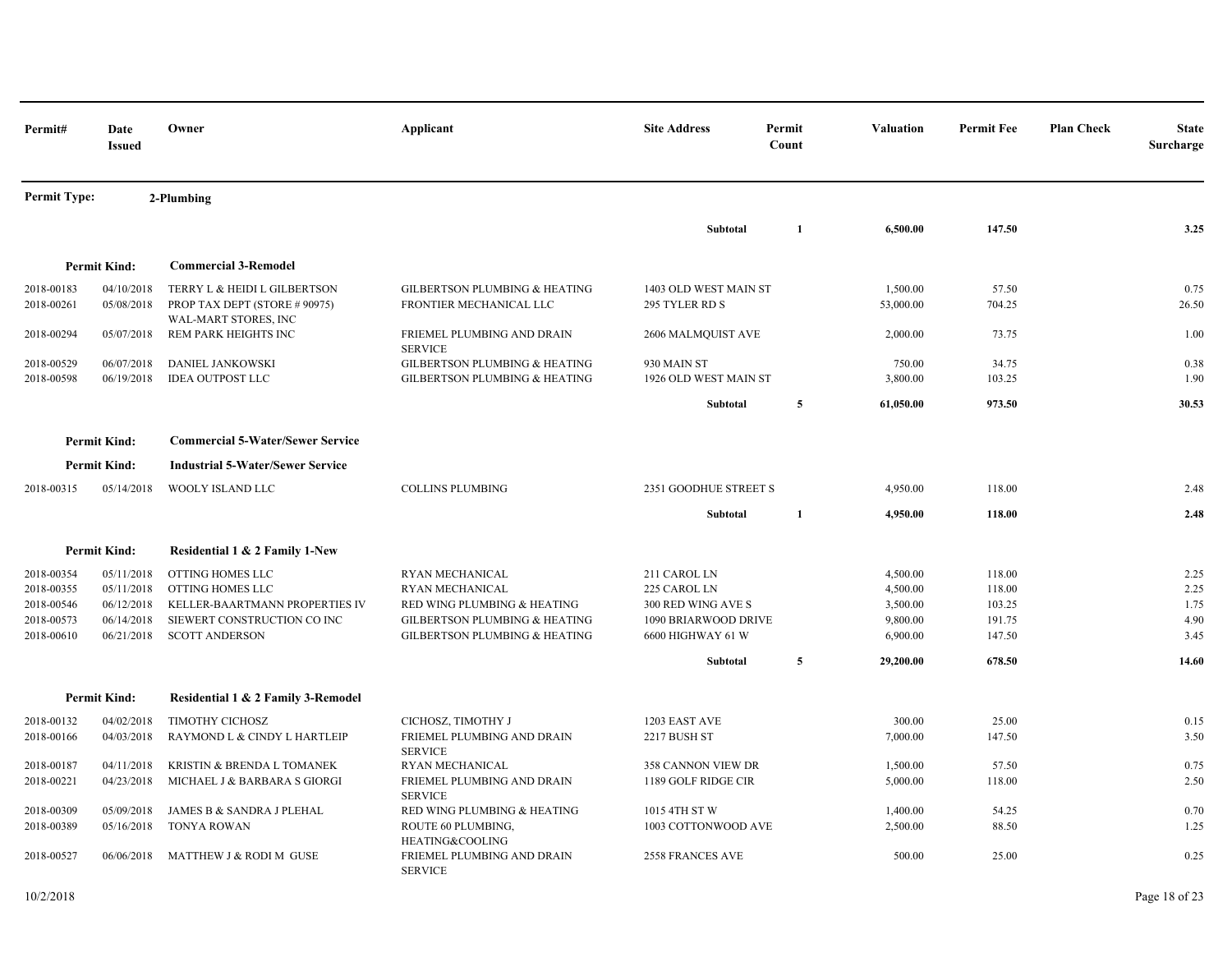| Permit#                  | Date<br><b>Issued</b>    | Owner                                                 | Applicant                                                                            | <b>Site Address</b>                       | Permit<br>Count | <b>Valuation</b>     | <b>Permit Fee</b> | <b>Plan Check</b><br><b>State</b><br>Surcharge |
|--------------------------|--------------------------|-------------------------------------------------------|--------------------------------------------------------------------------------------|-------------------------------------------|-----------------|----------------------|-------------------|------------------------------------------------|
| <b>Permit Type:</b>      |                          | 2-Plumbing                                            |                                                                                      |                                           |                 |                      |                   |                                                |
|                          |                          |                                                       |                                                                                      | Subtotal                                  | 1               | 6,500.00             | 147.50            | 3.25                                           |
|                          | <b>Permit Kind:</b>      | <b>Commercial 3-Remodel</b>                           |                                                                                      |                                           |                 |                      |                   |                                                |
| 2018-00183               | 04/10/2018               | TERRY L & HEIDI L GILBERTSON                          | <b>GILBERTSON PLUMBING &amp; HEATING</b>                                             | 1403 OLD WEST MAIN ST                     |                 | 1,500.00             | 57.50             | 0.75                                           |
| 2018-00261               | 05/08/2018               | PROP TAX DEPT (STORE # 90975)<br>WAL-MART STORES, INC | FRONTIER MECHANICAL LLC                                                              | 295 TYLER RD S                            |                 | 53,000.00            | 704.25            | 26.50                                          |
| 2018-00294               | 05/07/2018               | REM PARK HEIGHTS INC                                  | FRIEMEL PLUMBING AND DRAIN<br><b>SERVICE</b>                                         | 2606 MALMQUIST AVE                        |                 | 2,000.00             | 73.75             | 1.00                                           |
| 2018-00529<br>2018-00598 | 06/07/2018<br>06/19/2018 | <b>DANIEL JANKOWSKI</b><br><b>IDEA OUTPOST LLC</b>    | <b>GILBERTSON PLUMBING &amp; HEATING</b><br><b>GILBERTSON PLUMBING &amp; HEATING</b> | 930 MAIN ST<br>1926 OLD WEST MAIN ST      |                 | 750.00<br>3,800.00   | 34.75<br>103.25   | 0.38<br>1.90                                   |
|                          |                          |                                                       |                                                                                      | Subtotal                                  | $\overline{5}$  | 61,050.00            | 973.50            | 30.53                                          |
|                          | <b>Permit Kind:</b>      | <b>Commercial 5-Water/Sewer Service</b>               |                                                                                      |                                           |                 |                      |                   |                                                |
|                          | <b>Permit Kind:</b>      | <b>Industrial 5-Water/Sewer Service</b>               |                                                                                      |                                           |                 |                      |                   |                                                |
| 2018-00315               | 05/14/2018               | WOOLY ISLAND LLC                                      | <b>COLLINS PLUMBING</b>                                                              | 2351 GOODHUE STREET S                     |                 | 4,950.00             | 118.00            | 2.48                                           |
|                          |                          |                                                       |                                                                                      | <b>Subtotal</b>                           | 1               | 4,950.00             | 118.00            | 2.48                                           |
|                          | <b>Permit Kind:</b>      | Residential 1 & 2 Family 1-New                        |                                                                                      |                                           |                 |                      |                   |                                                |
| 2018-00354               | 05/11/2018               | OTTING HOMES LLC                                      | RYAN MECHANICAL                                                                      | 211 CAROL LN                              |                 | 4,500.00             | 118.00            | 2.25                                           |
| 2018-00355               | 05/11/2018               | OTTING HOMES LLC                                      | RYAN MECHANICAL                                                                      | 225 CAROL LN                              |                 | 4,500.00             | 118.00            | 2.25                                           |
| 2018-00546               | 06/12/2018               | KELLER-BAARTMANN PROPERTIES IV                        | RED WING PLUMBING & HEATING                                                          | 300 RED WING AVE S                        |                 | 3,500.00             | 103.25            | 1.75                                           |
| 2018-00573<br>2018-00610 | 06/14/2018<br>06/21/2018 | SIEWERT CONSTRUCTION CO INC<br><b>SCOTT ANDERSON</b>  | <b>GILBERTSON PLUMBING &amp; HEATING</b><br><b>GILBERTSON PLUMBING &amp; HEATING</b> | 1090 BRIARWOOD DRIVE<br>6600 HIGHWAY 61 W |                 | 9,800.00<br>6,900.00 | 191.75<br>147.50  | 4.90<br>3.45                                   |
|                          |                          |                                                       |                                                                                      | Subtotal                                  | $\overline{5}$  | 29,200.00            | 678.50            | 14.60                                          |
|                          | <b>Permit Kind:</b>      | Residential 1 & 2 Family 3-Remodel                    |                                                                                      |                                           |                 |                      |                   |                                                |
| 2018-00132               | 04/02/2018               | <b>TIMOTHY CICHOSZ</b>                                | CICHOSZ, TIMOTHY J                                                                   | 1203 EAST AVE                             |                 | 300.00               | 25.00             | 0.15                                           |
| 2018-00166               | 04/03/2018               | RAYMOND L & CINDY L HARTLEIP                          | FRIEMEL PLUMBING AND DRAIN<br><b>SERVICE</b>                                         | 2217 BUSH ST                              |                 | 7,000.00             | 147.50            | 3.50                                           |
| 2018-00187               | 04/11/2018               | KRISTIN & BRENDA L TOMANEK                            | RYAN MECHANICAL                                                                      | 358 CANNON VIEW DR                        |                 | 1,500.00             | 57.50             | 0.75                                           |
| 2018-00221               | 04/23/2018               | MICHAEL J & BARBARA S GIORGI                          | FRIEMEL PLUMBING AND DRAIN<br><b>SERVICE</b>                                         | 1189 GOLF RIDGE CIR                       |                 | 5,000.00             | 118.00            | 2.50                                           |
| 2018-00309               | 05/09/2018               | JAMES B & SANDRA J PLEHAL                             | RED WING PLUMBING & HEATING                                                          | 1015 4TH ST W                             |                 | 1,400.00             | 54.25             | 0.70                                           |
| 2018-00389               | 05/16/2018               | <b>TONYA ROWAN</b>                                    | ROUTE 60 PLUMBING,<br>HEATING&COOLING                                                | 1003 COTTONWOOD AVE                       |                 | 2,500.00             | 88.50             | 1.25                                           |
| 2018-00527               | 06/06/2018               | MATTHEW J & RODI M GUSE                               | FRIEMEL PLUMBING AND DRAIN<br><b>SERVICE</b>                                         | 2558 FRANCES AVE                          |                 | 500.00               | 25.00             | 0.25                                           |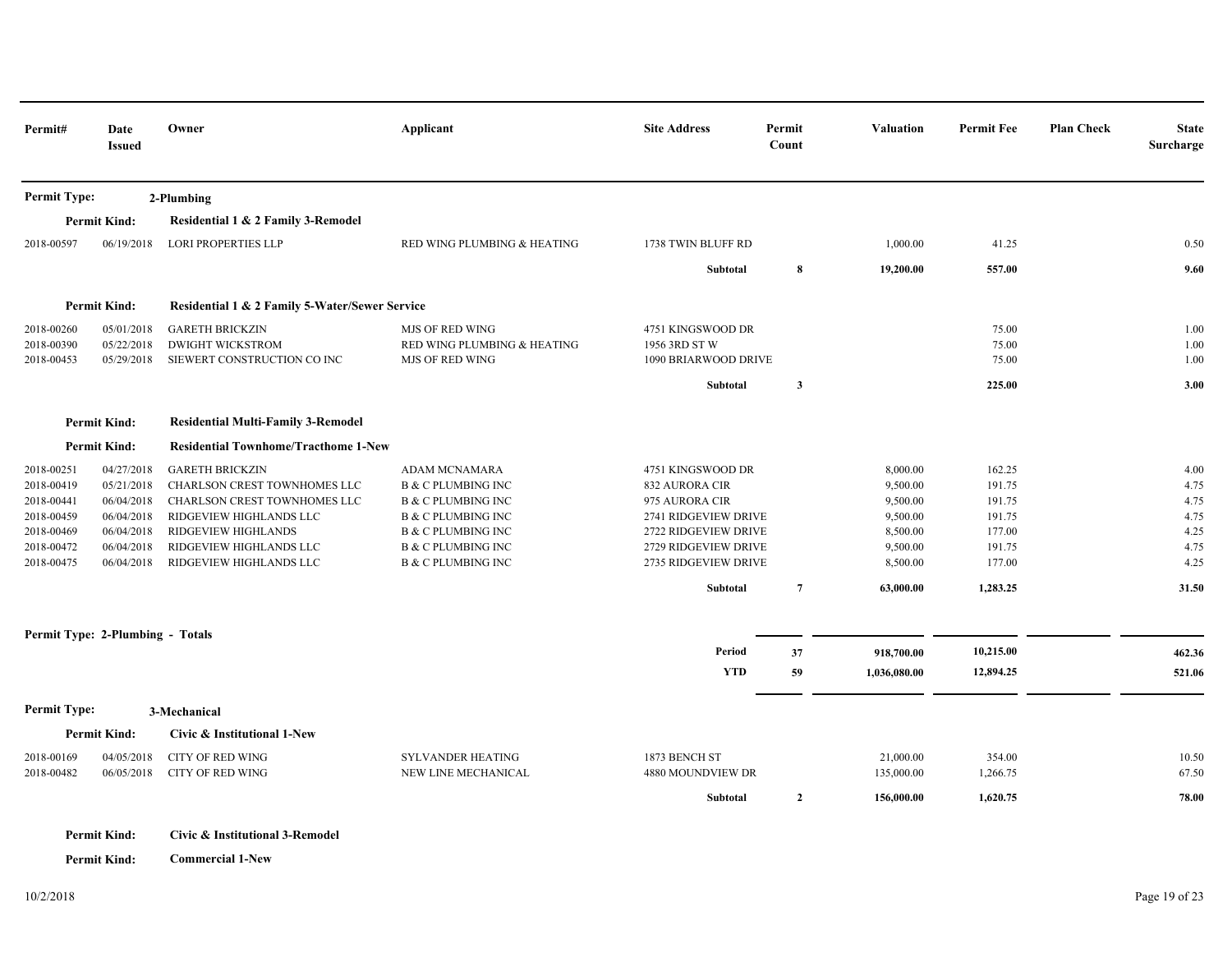| Permit#             | Date<br><b>Issued</b>                                      | Owner                                                                                                                    | Applicant                     | <b>Site Address</b>  | Permit<br>Count | <b>Valuation</b> | <b>Permit Fee</b> | <b>Plan Check</b> | <b>State</b><br>Surcharge |
|---------------------|------------------------------------------------------------|--------------------------------------------------------------------------------------------------------------------------|-------------------------------|----------------------|-----------------|------------------|-------------------|-------------------|---------------------------|
| <b>Permit Type:</b> |                                                            | 2-Plumbing                                                                                                               |                               |                      |                 |                  |                   |                   |                           |
|                     | <b>Permit Kind:</b>                                        | Residential 1 & 2 Family 3-Remodel                                                                                       |                               |                      |                 |                  |                   |                   |                           |
| 2018-00597          | 06/19/2018                                                 | <b>LORI PROPERTIES LLP</b>                                                                                               | RED WING PLUMBING & HEATING   | 1738 TWIN BLUFF RD   |                 | 1,000.00         | 41.25             |                   | 0.50                      |
|                     |                                                            |                                                                                                                          |                               | Subtotal             | 8               | 19,200.00        | 557.00            |                   | 9.60                      |
|                     | <b>Permit Kind:</b>                                        | Residential 1 & 2 Family 5-Water/Sewer Service                                                                           |                               |                      |                 |                  |                   |                   |                           |
| 2018-00260          | 05/01/2018                                                 | <b>GARETH BRICKZIN</b>                                                                                                   | <b>MJS OF RED WING</b>        | 4751 KINGSWOOD DR    |                 |                  | 75.00             |                   | 1.00                      |
| 2018-00390          | 05/22/2018                                                 | <b>DWIGHT WICKSTROM</b>                                                                                                  | RED WING PLUMBING & HEATING   | 1956 3RD ST W        |                 |                  | 75.00             |                   | 1.00                      |
| 2018-00453          | 05/29/2018                                                 | SIEWERT CONSTRUCTION CO INC                                                                                              | <b>MJS OF RED WING</b>        | 1090 BRIARWOOD DRIVE |                 |                  | 75.00             |                   | 1.00                      |
|                     |                                                            |                                                                                                                          |                               | Subtotal             | $\mathbf{3}$    |                  | 225.00            |                   | 3.00                      |
|                     | <b>Permit Kind:</b>                                        | <b>Residential Multi-Family 3-Remodel</b>                                                                                |                               |                      |                 |                  |                   |                   |                           |
| <b>Permit Kind:</b> |                                                            | <b>Residential Townhome/Tracthome 1-New</b>                                                                              |                               |                      |                 |                  |                   |                   |                           |
| 2018-00251          | 04/27/2018                                                 | <b>GARETH BRICKZIN</b>                                                                                                   | ADAM MCNAMARA                 | 4751 KINGSWOOD DR    |                 | 8,000.00         | 162.25            |                   | 4.00                      |
| 2018-00419          | 05/21/2018                                                 | CHARLSON CREST TOWNHOMES LLC                                                                                             | <b>B &amp; C PLUMBING INC</b> | 832 AURORA CIR       |                 | 9,500.00         | 191.75            |                   | 4.75                      |
| 2018-00441          | 06/04/2018                                                 | CHARLSON CREST TOWNHOMES LLC                                                                                             | <b>B &amp; C PLUMBING INC</b> | 975 AURORA CIR       |                 | 9,500.00         | 191.75            |                   | 4.75                      |
| 2018-00459          | 06/04/2018                                                 | RIDGEVIEW HIGHLANDS LLC                                                                                                  | <b>B &amp; C PLUMBING INC</b> | 2741 RIDGEVIEW DRIVE |                 | 9,500.00         | 191.75            |                   | 4.75                      |
| 2018-00469          | 06/04/2018                                                 | RIDGEVIEW HIGHLANDS                                                                                                      | <b>B &amp; C PLUMBING INC</b> | 2722 RIDGEVIEW DRIVE |                 | 8,500.00         | 177.00            |                   | 4.25                      |
| 2018-00472          | 06/04/2018                                                 | RIDGEVIEW HIGHLANDS LLC                                                                                                  | <b>B &amp; C PLUMBING INC</b> | 2729 RIDGEVIEW DRIVE |                 | 9,500.00         | 191.75            |                   | 4.75                      |
| 2018-00475          | 06/04/2018                                                 | RIDGEVIEW HIGHLANDS LLC                                                                                                  | <b>B &amp; C PLUMBING INC</b> | 2735 RIDGEVIEW DRIVE |                 | 8,500.00         | 177.00            |                   | 4.25                      |
|                     |                                                            |                                                                                                                          |                               | Subtotal             | $\overline{7}$  | 63,000.00        | 1,283.25          |                   | 31.50                     |
|                     | Permit Type: 2-Plumbing - Totals                           |                                                                                                                          |                               |                      |                 |                  |                   |                   |                           |
|                     |                                                            |                                                                                                                          |                               | Period               | 37              | 918,700.00       | 10,215.00         |                   | 462.36                    |
|                     |                                                            |                                                                                                                          |                               | <b>YTD</b>           | 59              | 1,036,080.00     | 12,894.25         |                   | 521.06                    |
| <b>Permit Type:</b> |                                                            | 3-Mechanical                                                                                                             |                               |                      |                 |                  |                   |                   |                           |
|                     | <b>Permit Kind:</b>                                        | Civic & Institutional 1-New                                                                                              |                               |                      |                 |                  |                   |                   |                           |
| 2018-00169          | 04/05/2018                                                 | <b>CITY OF RED WING</b>                                                                                                  | SYLVANDER HEATING             | 1873 BENCH ST        |                 | 21,000.00        | 354.00            |                   | 10.50                     |
| 2018-00482          | 06/05/2018                                                 | <b>CITY OF RED WING</b>                                                                                                  | NEW LINE MECHANICAL           | 4880 MOUNDVIEW DR    |                 | 135,000.00       | 1,266.75          |                   | 67.50                     |
|                     |                                                            |                                                                                                                          |                               | Subtotal             | $\mathbf{2}$    | 156,000.00       | 1,620.75          |                   | 78.00                     |
|                     | $D_{\text{current}}$ $M_{\text{total}}$ $M_{\text{total}}$ | $C_{n+1}$ , $0$ , $\mathbf{I}_{n+1}$ , $\mathbf{I}_{n+1}$ , $\mathbf{I}_{n+1}$ , $\mathbf{I}_{n+1}$ , $\mathbf{I}_{n+1}$ |                               |                      |                 |                  |                   |                   |                           |

**Permit Kind: Civic & Institutional 3-Remodel**

**Permit Kind: Commercial 1-New**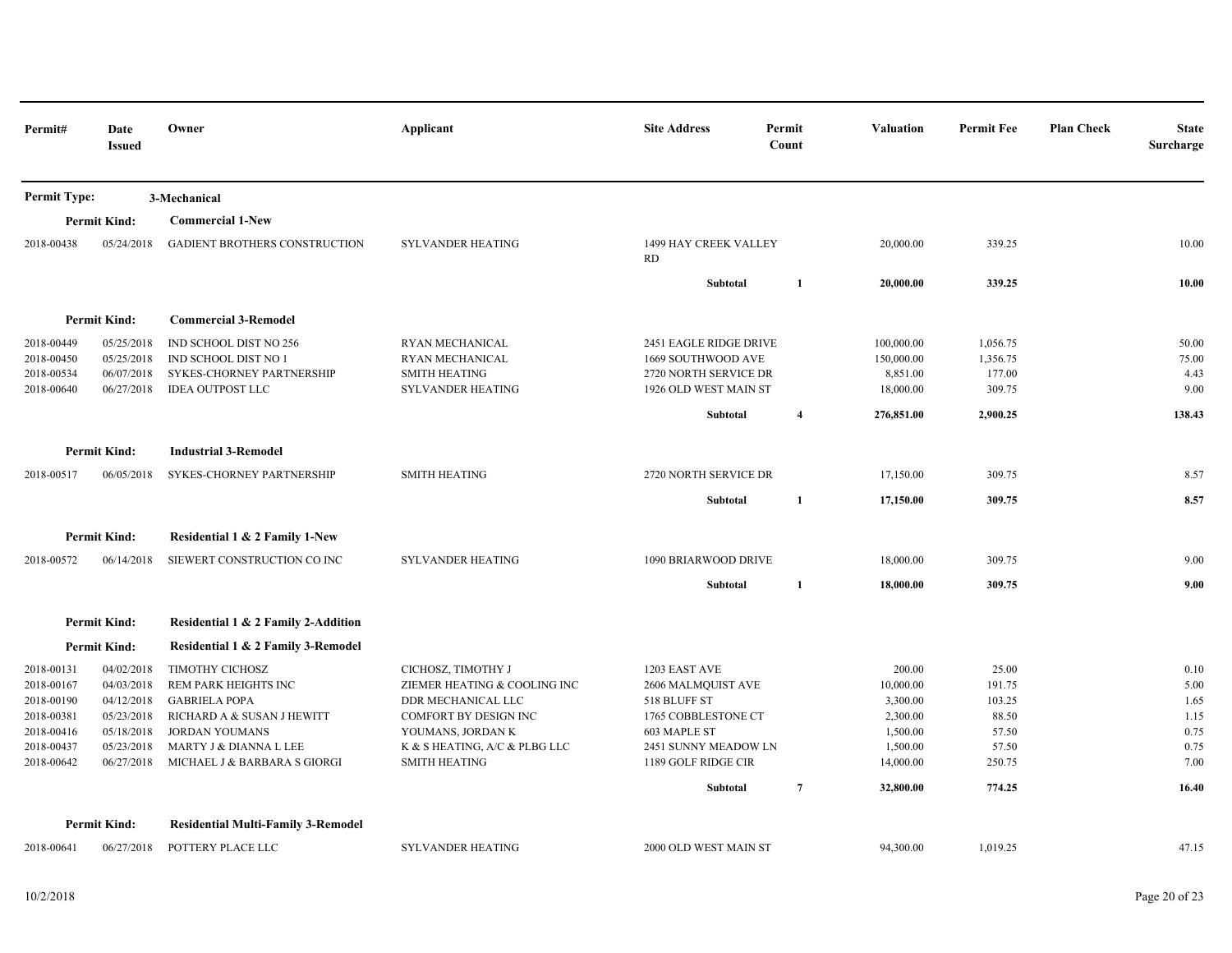| Permit#                                                                                        | Date<br><b>Issued</b>                                                                          | Owner                                                                                                                                                                            | Applicant                                                                                                                                                                       | <b>Site Address</b>                                                                                                                       | Permit<br>Count         | <b>Valuation</b>                                                                 | <b>Permit Fee</b>                                              | <b>Plan Check</b><br><b>State</b><br>Surcharge       |
|------------------------------------------------------------------------------------------------|------------------------------------------------------------------------------------------------|----------------------------------------------------------------------------------------------------------------------------------------------------------------------------------|---------------------------------------------------------------------------------------------------------------------------------------------------------------------------------|-------------------------------------------------------------------------------------------------------------------------------------------|-------------------------|----------------------------------------------------------------------------------|----------------------------------------------------------------|------------------------------------------------------|
| <b>Permit Type:</b>                                                                            |                                                                                                | 3-Mechanical                                                                                                                                                                     |                                                                                                                                                                                 |                                                                                                                                           |                         |                                                                                  |                                                                |                                                      |
|                                                                                                | <b>Permit Kind:</b>                                                                            | <b>Commercial 1-New</b>                                                                                                                                                          |                                                                                                                                                                                 |                                                                                                                                           |                         |                                                                                  |                                                                |                                                      |
| 2018-00438                                                                                     | 05/24/2018                                                                                     | <b>GADIENT BROTHERS CONSTRUCTION</b>                                                                                                                                             | <b>SYLVANDER HEATING</b>                                                                                                                                                        | 1499 HAY CREEK VALLEY<br>RD                                                                                                               |                         | 20,000.00                                                                        | 339.25                                                         | 10.00                                                |
|                                                                                                |                                                                                                |                                                                                                                                                                                  |                                                                                                                                                                                 | Subtotal                                                                                                                                  | 1                       | 20,000.00                                                                        | 339.25                                                         | 10.00                                                |
|                                                                                                | <b>Permit Kind:</b>                                                                            | <b>Commercial 3-Remodel</b>                                                                                                                                                      |                                                                                                                                                                                 |                                                                                                                                           |                         |                                                                                  |                                                                |                                                      |
| 2018-00449<br>2018-00450<br>2018-00534<br>2018-00640                                           | 05/25/2018<br>05/25/2018<br>06/07/2018<br>06/27/2018                                           | IND SCHOOL DIST NO 256<br>IND SCHOOL DIST NO 1<br>SYKES-CHORNEY PARTNERSHIP<br><b>IDEA OUTPOST LLC</b>                                                                           | RYAN MECHANICAL<br>RYAN MECHANICAL<br><b>SMITH HEATING</b><br>SYLVANDER HEATING                                                                                                 | 2451 EAGLE RIDGE DRIVE<br>1669 SOUTHWOOD AVE<br>2720 NORTH SERVICE DR<br>1926 OLD WEST MAIN ST<br>Subtotal                                | $\overline{\mathbf{4}}$ | 100,000.00<br>150,000.00<br>8,851.00<br>18,000.00<br>276,851.00                  | 1,056.75<br>1,356.75<br>177.00<br>309.75<br>2,900.25           | 50.00<br>75.00<br>4.43<br>9.00<br>138.43             |
|                                                                                                | <b>Permit Kind:</b>                                                                            | <b>Industrial 3-Remodel</b>                                                                                                                                                      |                                                                                                                                                                                 |                                                                                                                                           |                         |                                                                                  |                                                                |                                                      |
| 2018-00517                                                                                     | 06/05/2018                                                                                     | SYKES-CHORNEY PARTNERSHIP                                                                                                                                                        | <b>SMITH HEATING</b>                                                                                                                                                            | 2720 NORTH SERVICE DR                                                                                                                     |                         | 17,150.00                                                                        | 309.75                                                         | 8.57                                                 |
|                                                                                                |                                                                                                |                                                                                                                                                                                  |                                                                                                                                                                                 | Subtotal                                                                                                                                  | 1                       | 17,150.00                                                                        | 309.75                                                         | 8.57                                                 |
|                                                                                                | <b>Permit Kind:</b>                                                                            | Residential 1 & 2 Family 1-New                                                                                                                                                   |                                                                                                                                                                                 |                                                                                                                                           |                         |                                                                                  |                                                                |                                                      |
| 2018-00572                                                                                     | 06/14/2018                                                                                     | SIEWERT CONSTRUCTION CO INC                                                                                                                                                      | <b>SYLVANDER HEATING</b>                                                                                                                                                        | 1090 BRIARWOOD DRIVE                                                                                                                      |                         | 18,000.00                                                                        | 309.75                                                         | 9.00                                                 |
|                                                                                                |                                                                                                |                                                                                                                                                                                  |                                                                                                                                                                                 | Subtotal                                                                                                                                  | 1                       | 18,000.00                                                                        | 309.75                                                         | 9.00                                                 |
|                                                                                                | <b>Permit Kind:</b>                                                                            | Residential 1 & 2 Family 2-Addition                                                                                                                                              |                                                                                                                                                                                 |                                                                                                                                           |                         |                                                                                  |                                                                |                                                      |
|                                                                                                | <b>Permit Kind:</b>                                                                            | Residential 1 & 2 Family 3-Remodel                                                                                                                                               |                                                                                                                                                                                 |                                                                                                                                           |                         |                                                                                  |                                                                |                                                      |
| 2018-00131<br>2018-00167<br>2018-00190<br>2018-00381<br>2018-00416<br>2018-00437<br>2018-00642 | 04/02/2018<br>04/03/2018<br>04/12/2018<br>05/23/2018<br>05/18/2018<br>05/23/2018<br>06/27/2018 | TIMOTHY CICHOSZ<br>REM PARK HEIGHTS INC<br><b>GABRIELA POPA</b><br>RICHARD A & SUSAN J HEWITT<br><b>JORDAN YOUMANS</b><br>MARTY J & DIANNA L LEE<br>MICHAEL J & BARBARA S GIORGI | CICHOSZ, TIMOTHY J<br>ZIEMER HEATING & COOLING INC<br>DDR MECHANICAL LLC<br>COMFORT BY DESIGN INC<br>YOUMANS, JORDAN K<br>K & S HEATING, A/C & PLBG LLC<br><b>SMITH HEATING</b> | 1203 EAST AVE<br>2606 MALMQUIST AVE<br>518 BLUFF ST<br>1765 COBBLESTONE CT<br>603 MAPLE ST<br>2451 SUNNY MEADOW LN<br>1189 GOLF RIDGE CIR |                         | 200.00<br>10,000.00<br>3,300.00<br>2,300.00<br>1,500.00<br>1,500.00<br>14,000.00 | 25.00<br>191.75<br>103.25<br>88.50<br>57.50<br>57.50<br>250.75 | 0.10<br>5.00<br>1.65<br>1.15<br>0.75<br>0.75<br>7.00 |
|                                                                                                |                                                                                                |                                                                                                                                                                                  |                                                                                                                                                                                 | Subtotal                                                                                                                                  | $\overline{7}$          | 32,800.00                                                                        | 774.25                                                         | 16.40                                                |
|                                                                                                | <b>Permit Kind:</b>                                                                            | <b>Residential Multi-Family 3-Remodel</b>                                                                                                                                        |                                                                                                                                                                                 |                                                                                                                                           |                         |                                                                                  |                                                                |                                                      |
| 2018-00641                                                                                     | 06/27/2018                                                                                     | POTTERY PLACE LLC                                                                                                                                                                | <b>SYLVANDER HEATING</b>                                                                                                                                                        | 2000 OLD WEST MAIN ST                                                                                                                     |                         | 94.300.00                                                                        | 1.019.25                                                       | 47.15                                                |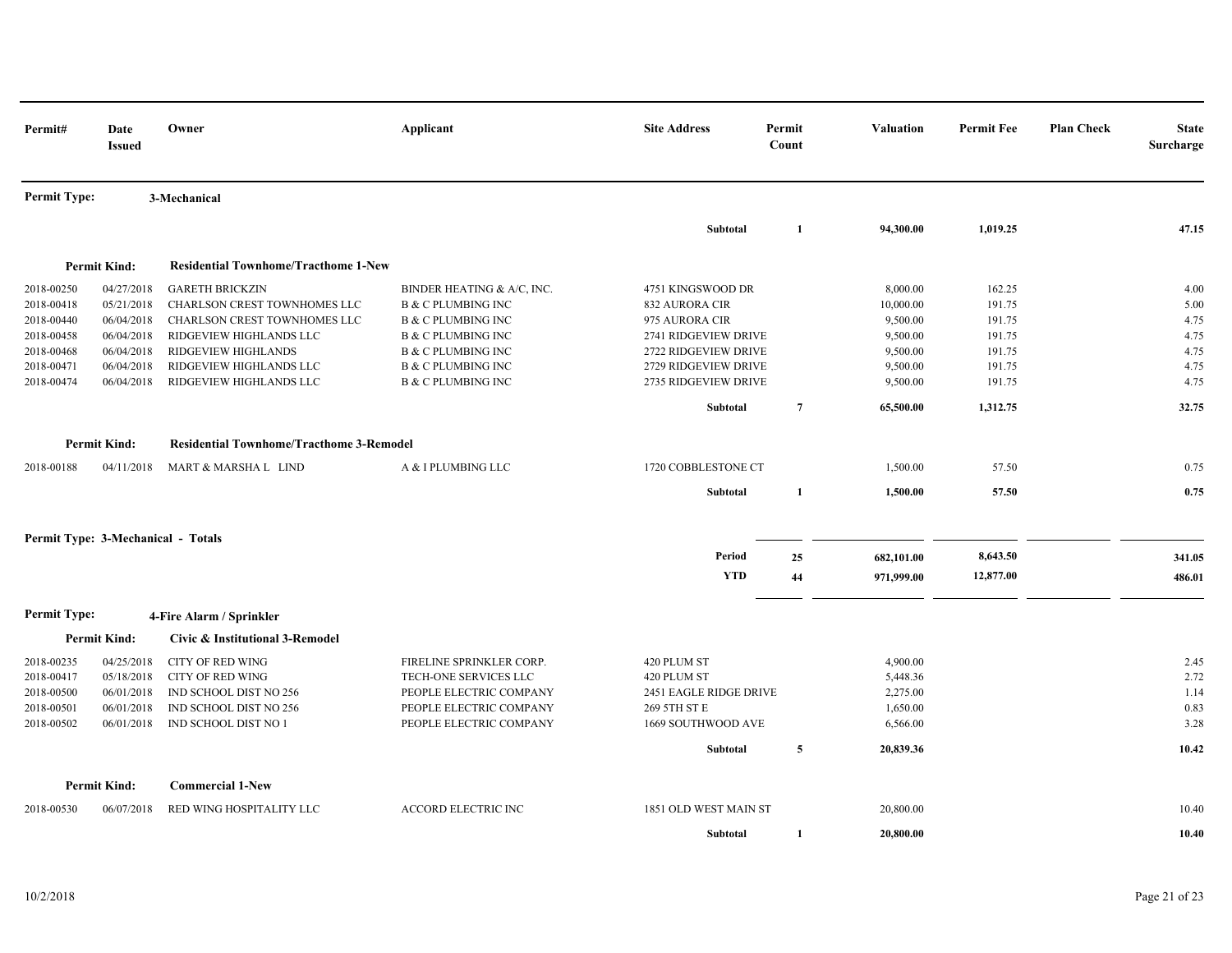| Permit#             | Date<br><b>Issued</b>              | Owner                                           | Applicant                     | <b>Site Address</b>    | Permit<br>Count | <b>Valuation</b> | <b>Permit Fee</b> | <b>Plan Check</b> | <b>State</b><br>Surcharge |
|---------------------|------------------------------------|-------------------------------------------------|-------------------------------|------------------------|-----------------|------------------|-------------------|-------------------|---------------------------|
| <b>Permit Type:</b> |                                    | 3-Mechanical                                    |                               |                        |                 |                  |                   |                   |                           |
|                     |                                    |                                                 |                               | <b>Subtotal</b>        | 1               | 94,300.00        | 1,019.25          |                   | 47.15                     |
|                     | <b>Permit Kind:</b>                | <b>Residential Townhome/Tracthome 1-New</b>     |                               |                        |                 |                  |                   |                   |                           |
| 2018-00250          | 04/27/2018                         | <b>GARETH BRICKZIN</b>                          | BINDER HEATING & A/C, INC.    | 4751 KINGSWOOD DR      |                 | 8,000.00         | 162.25            |                   | 4.00                      |
| 2018-00418          | 05/21/2018                         | CHARLSON CREST TOWNHOMES LLC                    | <b>B &amp; C PLUMBING INC</b> | 832 AURORA CIR         |                 | 10,000.00        | 191.75            |                   | 5.00                      |
| 2018-00440          | 06/04/2018                         | CHARLSON CREST TOWNHOMES LLC                    | <b>B &amp; C PLUMBING INC</b> | 975 AURORA CIR         |                 | 9,500.00         | 191.75            |                   | 4.75                      |
| 2018-00458          | 06/04/2018                         | RIDGEVIEW HIGHLANDS LLC                         | <b>B &amp; C PLUMBING INC</b> | 2741 RIDGEVIEW DRIVE   |                 | 9,500.00         | 191.75            |                   | 4.75                      |
| 2018-00468          | 06/04/2018                         | RIDGEVIEW HIGHLANDS                             | <b>B &amp; C PLUMBING INC</b> | 2722 RIDGEVIEW DRIVE   |                 | 9,500.00         | 191.75            |                   | 4.75                      |
| 2018-00471          | 06/04/2018                         | RIDGEVIEW HIGHLANDS LLC                         | <b>B &amp; C PLUMBING INC</b> | 2729 RIDGEVIEW DRIVE   |                 | 9,500.00         | 191.75            |                   | 4.75                      |
| 2018-00474          | 06/04/2018                         | RIDGEVIEW HIGHLANDS LLC                         | <b>B &amp; C PLUMBING INC</b> | 2735 RIDGEVIEW DRIVE   |                 | 9,500.00         | 191.75            |                   | 4.75                      |
|                     |                                    |                                                 |                               | Subtotal               | $\overline{7}$  | 65,500.00        | 1,312.75          |                   | 32.75                     |
|                     | <b>Permit Kind:</b>                | <b>Residential Townhome/Tracthome 3-Remodel</b> |                               |                        |                 |                  |                   |                   |                           |
| 2018-00188          | 04/11/2018                         | MART & MARSHA L LIND                            | A & I PLUMBING LLC            | 1720 COBBLESTONE CT    |                 | 1,500.00         | 57.50             |                   | 0.75                      |
|                     |                                    |                                                 |                               | <b>Subtotal</b>        | 1               | 1,500.00         | 57.50             |                   | 0.75                      |
|                     | Permit Type: 3-Mechanical - Totals |                                                 |                               |                        |                 |                  |                   |                   |                           |
|                     |                                    |                                                 |                               | Period                 | 25              | 682,101.00       | 8,643.50          |                   | 341.05                    |
|                     |                                    |                                                 |                               | <b>YTD</b>             | 44              | 971,999.00       | 12,877.00         |                   | 486.01                    |
| <b>Permit Type:</b> |                                    | 4-Fire Alarm / Sprinkler                        |                               |                        |                 |                  |                   |                   |                           |
|                     | <b>Permit Kind:</b>                | Civic & Institutional 3-Remodel                 |                               |                        |                 |                  |                   |                   |                           |
| 2018-00235          | 04/25/2018                         | <b>CITY OF RED WING</b>                         | FIRELINE SPRINKLER CORP.      | 420 PLUM ST            |                 | 4,900.00         |                   |                   | 2.45                      |
| 2018-00417          | 05/18/2018                         | <b>CITY OF RED WING</b>                         | TECH-ONE SERVICES LLC         | 420 PLUM ST            |                 | 5,448.36         |                   |                   | 2.72                      |
| 2018-00500          | 06/01/2018                         | IND SCHOOL DIST NO 256                          | PEOPLE ELECTRIC COMPANY       | 2451 EAGLE RIDGE DRIVE |                 | 2,275.00         |                   |                   | 1.14                      |
| 2018-00501          | 06/01/2018                         | IND SCHOOL DIST NO 256                          | PEOPLE ELECTRIC COMPANY       | 269 5TH ST E           |                 | 1,650.00         |                   |                   | 0.83                      |
| 2018-00502          | 06/01/2018                         | IND SCHOOL DIST NO 1                            | PEOPLE ELECTRIC COMPANY       | 1669 SOUTHWOOD AVE     |                 | 6,566.00         |                   |                   | 3.28                      |
|                     |                                    |                                                 |                               | Subtotal               | 5               | 20,839.36        |                   |                   | 10.42                     |
|                     | <b>Permit Kind:</b>                | <b>Commercial 1-New</b>                         |                               |                        |                 |                  |                   |                   |                           |
| 2018-00530          | 06/07/2018                         | RED WING HOSPITALITY LLC                        | <b>ACCORD ELECTRIC INC</b>    | 1851 OLD WEST MAIN ST  |                 | 20,800.00        |                   |                   | 10.40                     |
|                     |                                    |                                                 |                               | Subtotal               | 1               | 20,800.00        |                   |                   | 10.40                     |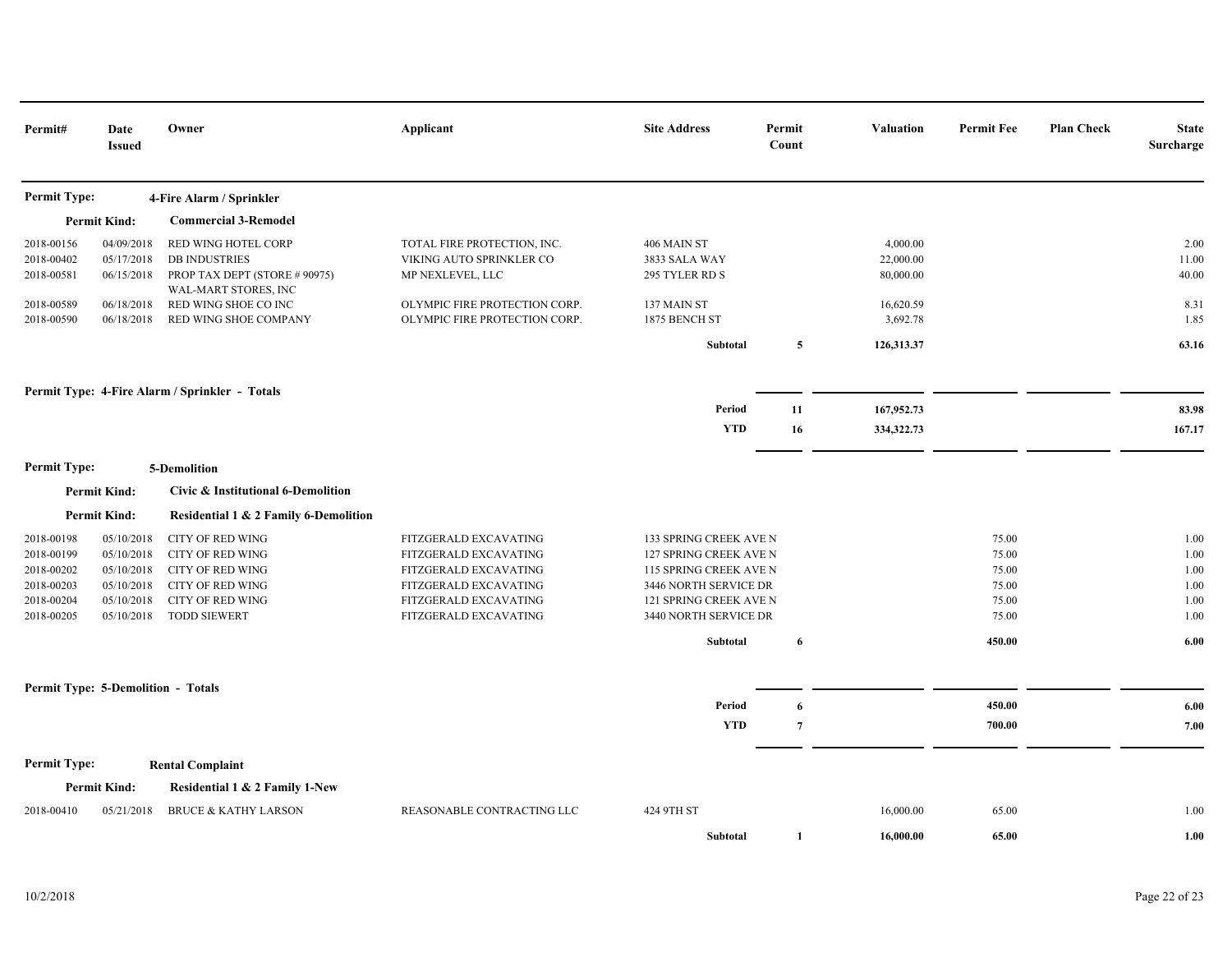| Permit#                                                                          | Date<br><b>Issued</b>                                                            | Owner                                                                                                                                                      | Applicant                                                                                                                                          | <b>Site Address</b>                                                                                                                                    | Permit<br>Count | <b>Valuation</b>                   | <b>Permit Fee</b>                                  | <b>Plan Check</b> | <b>State</b><br>Surcharge                    |
|----------------------------------------------------------------------------------|----------------------------------------------------------------------------------|------------------------------------------------------------------------------------------------------------------------------------------------------------|----------------------------------------------------------------------------------------------------------------------------------------------------|--------------------------------------------------------------------------------------------------------------------------------------------------------|-----------------|------------------------------------|----------------------------------------------------|-------------------|----------------------------------------------|
| <b>Permit Type:</b>                                                              |                                                                                  | 4-Fire Alarm / Sprinkler                                                                                                                                   |                                                                                                                                                    |                                                                                                                                                        |                 |                                    |                                                    |                   |                                              |
|                                                                                  | <b>Permit Kind:</b>                                                              | <b>Commercial 3-Remodel</b>                                                                                                                                |                                                                                                                                                    |                                                                                                                                                        |                 |                                    |                                                    |                   |                                              |
| 2018-00156<br>2018-00402<br>2018-00581                                           | 04/09/2018<br>05/17/2018<br>06/15/2018                                           | RED WING HOTEL CORP<br><b>DB INDUSTRIES</b><br>PROP TAX DEPT (STORE # 90975)                                                                               | TOTAL FIRE PROTECTION, INC.<br>VIKING AUTO SPRINKLER CO<br>MP NEXLEVEL, LLC                                                                        | 406 MAIN ST<br>3833 SALA WAY<br>295 TYLER RD S                                                                                                         |                 | 4,000.00<br>22,000.00<br>80,000.00 |                                                    |                   | 2.00<br>11.00<br>40.00                       |
| 2018-00589<br>2018-00590                                                         | 06/18/2018<br>06/18/2018                                                         | WAL-MART STORES, INC<br>RED WING SHOE CO INC<br>RED WING SHOE COMPANY                                                                                      | OLYMPIC FIRE PROTECTION CORP.<br>OLYMPIC FIRE PROTECTION CORP.                                                                                     | 137 MAIN ST<br>1875 BENCH ST                                                                                                                           |                 | 16,620.59<br>3,692.78              |                                                    |                   | 8.31<br>1.85                                 |
|                                                                                  |                                                                                  |                                                                                                                                                            |                                                                                                                                                    | Subtotal                                                                                                                                               | $\overline{5}$  | 126,313.37                         |                                                    |                   | 63.16                                        |
|                                                                                  |                                                                                  | Permit Type: 4-Fire Alarm / Sprinkler - Totals                                                                                                             |                                                                                                                                                    |                                                                                                                                                        |                 |                                    |                                                    |                   |                                              |
|                                                                                  |                                                                                  |                                                                                                                                                            |                                                                                                                                                    | Period                                                                                                                                                 | 11              | 167,952.73                         |                                                    |                   | 83.98                                        |
|                                                                                  |                                                                                  |                                                                                                                                                            |                                                                                                                                                    | <b>YTD</b>                                                                                                                                             | 16              | 334,322.73                         |                                                    |                   | 167.17                                       |
| <b>Permit Type:</b>                                                              |                                                                                  | 5-Demolition                                                                                                                                               |                                                                                                                                                    |                                                                                                                                                        |                 |                                    |                                                    |                   |                                              |
|                                                                                  | <b>Permit Kind:</b>                                                              | Civic & Institutional 6-Demolition                                                                                                                         |                                                                                                                                                    |                                                                                                                                                        |                 |                                    |                                                    |                   |                                              |
|                                                                                  | <b>Permit Kind:</b>                                                              | Residential 1 & 2 Family 6-Demolition                                                                                                                      |                                                                                                                                                    |                                                                                                                                                        |                 |                                    |                                                    |                   |                                              |
| 2018-00198<br>2018-00199<br>2018-00202<br>2018-00203<br>2018-00204<br>2018-00205 | 05/10/2018<br>05/10/2018<br>05/10/2018<br>05/10/2018<br>05/10/2018<br>05/10/2018 | <b>CITY OF RED WING</b><br><b>CITY OF RED WING</b><br><b>CITY OF RED WING</b><br><b>CITY OF RED WING</b><br><b>CITY OF RED WING</b><br><b>TODD SIEWERT</b> | FITZGERALD EXCAVATING<br>FITZGERALD EXCAVATING<br>FITZGERALD EXCAVATING<br>FITZGERALD EXCAVATING<br>FITZGERALD EXCAVATING<br>FITZGERALD EXCAVATING | 133 SPRING CREEK AVE N<br>127 SPRING CREEK AVE N<br>115 SPRING CREEK AVE N<br>3446 NORTH SERVICE DR<br>121 SPRING CREEK AVE N<br>3440 NORTH SERVICE DR |                 |                                    | 75.00<br>75.00<br>75.00<br>75.00<br>75.00<br>75.00 |                   | 1.00<br>1.00<br>1.00<br>1.00<br>1.00<br>1.00 |
|                                                                                  |                                                                                  |                                                                                                                                                            |                                                                                                                                                    | Subtotal                                                                                                                                               | 6               |                                    | 450.00                                             |                   | 6.00                                         |
|                                                                                  | Permit Type: 5-Demolition - Totals                                               |                                                                                                                                                            |                                                                                                                                                    |                                                                                                                                                        |                 |                                    |                                                    |                   |                                              |
|                                                                                  |                                                                                  |                                                                                                                                                            |                                                                                                                                                    | Period                                                                                                                                                 | 6               |                                    | 450.00                                             |                   | 6.00                                         |
|                                                                                  |                                                                                  |                                                                                                                                                            |                                                                                                                                                    | <b>YTD</b>                                                                                                                                             | $7\phantom{.0}$ |                                    | 700.00                                             |                   | 7.00                                         |
| <b>Permit Type:</b>                                                              |                                                                                  | <b>Rental Complaint</b>                                                                                                                                    |                                                                                                                                                    |                                                                                                                                                        |                 |                                    |                                                    |                   |                                              |
|                                                                                  | <b>Permit Kind:</b>                                                              | Residential 1 & 2 Family 1-New                                                                                                                             |                                                                                                                                                    |                                                                                                                                                        |                 |                                    |                                                    |                   |                                              |
| 2018-00410                                                                       | 05/21/2018                                                                       | <b>BRUCE &amp; KATHY LARSON</b>                                                                                                                            | REASONABLE CONTRACTING LLC                                                                                                                         | 424 9TH ST                                                                                                                                             |                 | 16,000.00                          | 65.00                                              |                   | 1.00                                         |
|                                                                                  |                                                                                  |                                                                                                                                                            |                                                                                                                                                    | Subtotal                                                                                                                                               | 1               | 16,000.00                          | 65.00                                              |                   | 1.00                                         |